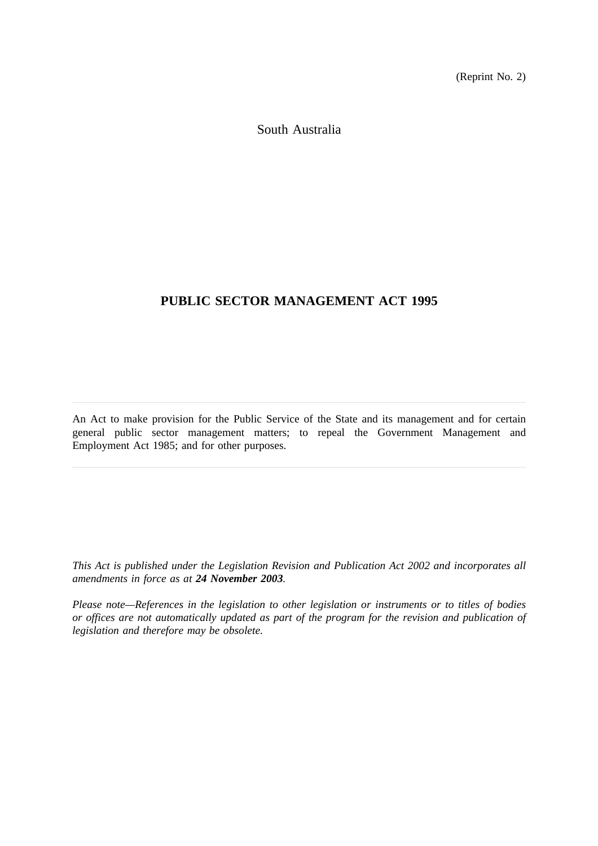(Reprint No. 2)

South Australia

# **PUBLIC SECTOR MANAGEMENT ACT 1995**

An Act to make provision for the Public Service of the State and its management and for certain general public sector management matters; to repeal the Government Management and Employment Act 1985; and for other purposes.

*This Act is published under the Legislation Revision and Publication Act 2002 and incorporates all amendments in force as at 24 November 2003.*

*Please note—References in the legislation to other legislation or instruments or to titles of bodies or offices are not automatically updated as part of the program for the revision and publication of legislation and therefore may be obsolete.*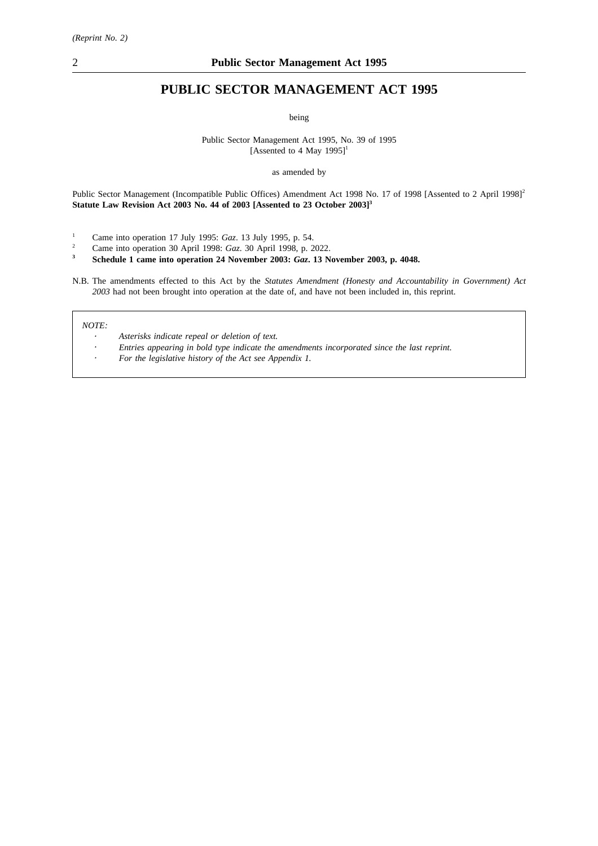# **PUBLIC SECTOR MANAGEMENT ACT 1995**

being

Public Sector Management Act 1995, No. 39 of 1995 [Assented to 4 May  $1995$ ]<sup>1</sup>

as amended by

Public Sector Management (Incompatible Public Offices) Amendment Act 1998 No. 17 of 1998 [Assented to 2 April 1998]<sup>2</sup> **Statute Law Revision Act 2003 No. 44 of 2003 [Assented to 23 October 2003]3**

- <sup>1</sup> Came into operation 17 July 1995: *Gaz*. 13 July 1995, p. 54.<br><sup>2</sup> Came into operation 30 April 1998: *Gaz*. 30 April 1998, p. 2
- <sup>2</sup> Came into operation 30 April 1998: *Gaz*. 30 April 1998, p. 2022.<br>**21 Schedule 1 came into operation 24 November 2003:** *Gaz* 13 N

**<sup>3</sup> Schedule 1 came into operation 24 November 2003:** *Gaz***. 13 November 2003, p. 4048.**

N.B. The amendments effected to this Act by the *Statutes Amendment (Honesty and Accountability in Government) Act 2003* had not been brought into operation at the date of, and have not been included in, this reprint.

*NOTE:*

- *Asterisks indicate repeal or deletion of text.*
- *Entries appearing in bold type indicate the amendments incorporated since the last reprint.*
- *For the legislative history of the Act see Appendix 1.*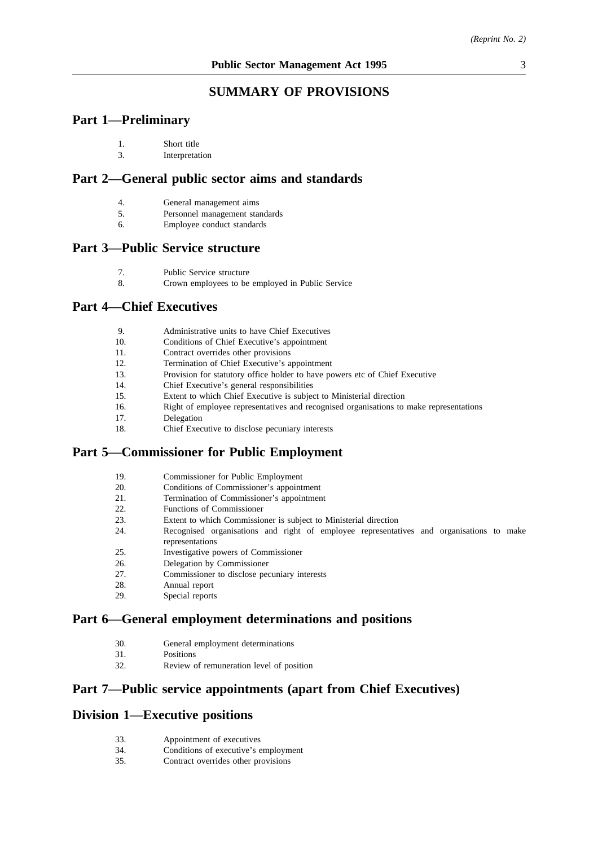# **SUMMARY OF PROVISIONS**

# **Part 1—Preliminary**

| Short title |
|-------------|
|             |

3. Interpretation

# **Part 2—General public sector aims and standards**

- 4. General management aims
- 5. Personnel management standards
- 6. Employee conduct standards

# **Part 3—Public Service structure**

- 7. Public Service structure
- 8. Crown employees to be employed in Public Service

# **Part 4—Chief Executives**

| Administrative units to have Chief Executives |  |  |
|-----------------------------------------------|--|--|
|                                               |  |  |

- 10. Conditions of Chief Executive's appointment
- 11. Contract overrides other provisions
- 12. Termination of Chief Executive's appointment
- 13. Provision for statutory office holder to have powers etc of Chief Executive
- 14. Chief Executive's general responsibilities
- 15. Extent to which Chief Executive is subject to Ministerial direction
- 16. Right of employee representatives and recognised organisations to make representations
- 17. Delegation
- 18. Chief Executive to disclose pecuniary interests

# **Part 5—Commissioner for Public Employment**

- 19. Commissioner for Public Employment
- 20. Conditions of Commissioner's appointment
- 21. Termination of Commissioner's appointment
- 22. Functions of Commissioner
- 23. Extent to which Commissioner is subject to Ministerial direction
- 24. Recognised organisations and right of employee representatives and organisations to make representations
- 25. Investigative powers of Commissioner
- 26. Delegation by Commissioner
- 27. Commissioner to disclose pecuniary interests
- 28. Annual report
- 29. Special reports

# **Part 6—General employment determinations and positions**

- 30. General employment determinations
- 31. Positions
- 32. Review of remuneration level of position

# **Part 7—Public service appointments (apart from Chief Executives)**

## **Division 1—Executive positions**

- 33. Appointment of executives
- 34. Conditions of executive's employment
- 35. Contract overrides other provisions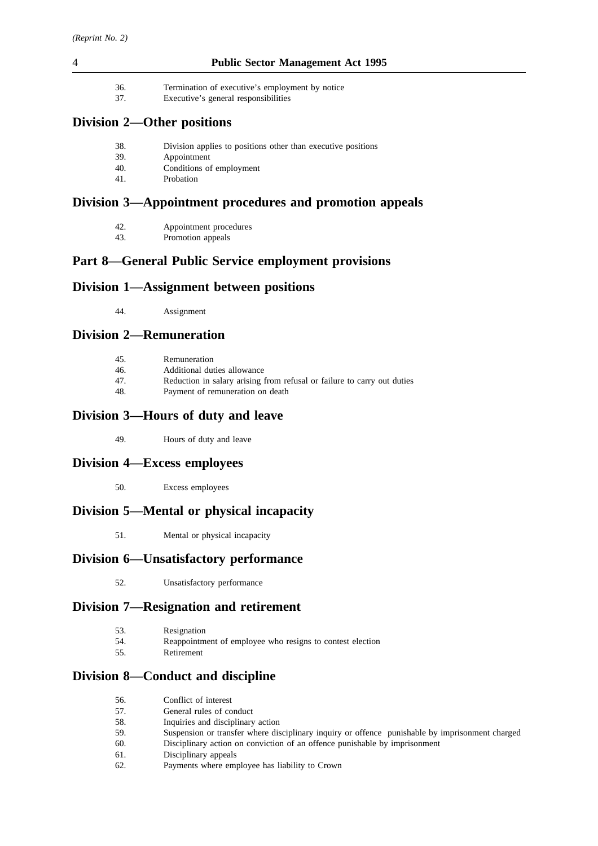36. Termination of executive's employment by notice

37. Executive's general responsibilities

# **Division 2—Other positions**

- 38. Division applies to positions other than executive positions
- 39. Appointment
- 40. Conditions of employment
- 41. Probation

# **Division 3—Appointment procedures and promotion appeals**

- 42. Appointment procedures<br>43. Promotion appeals
- Promotion appeals

# **Part 8—General Public Service employment provisions**

# **Division 1—Assignment between positions**

44. Assignment

# **Division 2—Remuneration**

- 45. Remuneration
- 46. Additional duties allowance
- 47. Reduction in salary arising from refusal or failure to carry out duties
- 48. Payment of remuneration on death

# **Division 3—Hours of duty and leave**

49. Hours of duty and leave

# **Division 4—Excess employees**

50. Excess employees

# **Division 5—Mental or physical incapacity**

51. Mental or physical incapacity

# **Division 6—Unsatisfactory performance**

52. Unsatisfactory performance

# **Division 7—Resignation and retirement**

| 53.  | Resignation                                               |
|------|-----------------------------------------------------------|
| -54. | Reappointment of employee who resigns to contest election |
| 55.  | Retirement                                                |

# **Division 8—Conduct and discipline**

| 56. | Conflict of interest |  |
|-----|----------------------|--|
|     |                      |  |

- 57. General rules of conduct
- 58. Inquiries and disciplinary action 59. Suspension or transfer where disciplinary inquiry or offence punishable by imprisonment charged
- 60. Disciplinary action on conviction of an offence punishable by imprisonment
- 61. Disciplinary appeals
- 62. Payments where employee has liability to Crown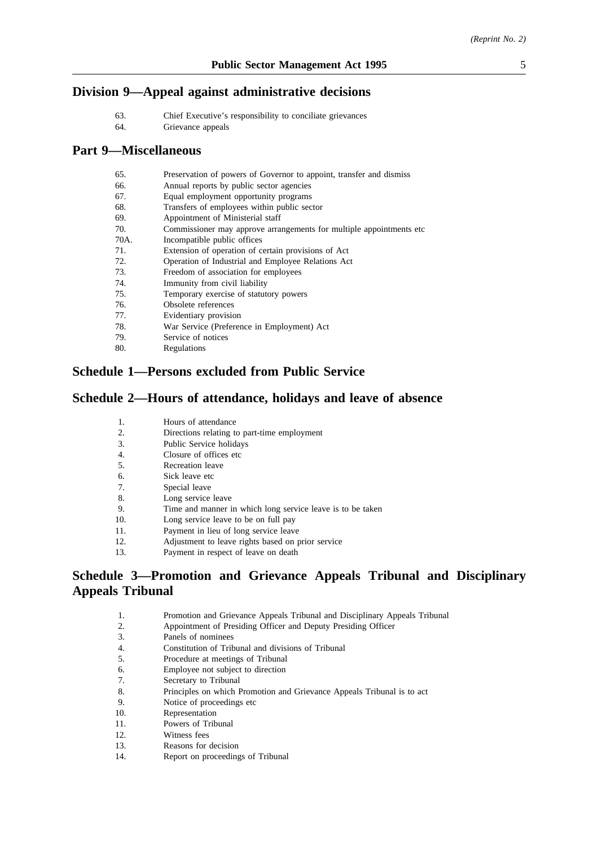# **Division 9—Appeal against administrative decisions**

- 63. Chief Executive's responsibility to conciliate grievances
- 64. Grievance appeals

# **Part 9—Miscellaneous**

| 65.          | Preservation of powers of Governor to appoint, transfer and dismiss  |
|--------------|----------------------------------------------------------------------|
| 66.          | Annual reports by public sector agencies                             |
| 67.          | Equal employment opportunity programs                                |
| 68.          | Transfers of employees within public sector                          |
| 69.          | Appointment of Ministerial staff                                     |
| 70.          | Commissioner may approve arrangements for multiple appointments etc. |
| 70A.         | Incompatible public offices                                          |
| 71.          | Extension of operation of certain provisions of Act                  |
| 72.          | Operation of Industrial and Employee Relations Act                   |
| 73.          | Freedom of association for employees                                 |
| 74.          | Immunity from civil liability                                        |
| 75.          | Temporary exercise of statutory powers                               |
| 76.          | Obsolete references                                                  |
| 77.          | Evidentiary provision                                                |
| 78.          | War Service (Preference in Employment) Act                           |
| $70^{\circ}$ | Corrier of notices                                                   |

79. Service of notices **Regulations** 

# **Schedule 1—Persons excluded from Public Service**

# **Schedule 2—Hours of attendance, holidays and leave of absence**

| $\mathbf{1}$ . | Hours of attendance                               |
|----------------|---------------------------------------------------|
| 2.             | Directions relating to part-time employment       |
| 3.             | Public Service holidays                           |
| 4.             | Closure of offices etc.                           |
| -5.            | Recreation leave                                  |
| 6.             | Sick leave etc                                    |
| 7.             | Special leave                                     |
| 8.             | Long service leave                                |
| 9.             | Time and manner in which long service leave is    |
| 10.            | Long service leave to be on full pay              |
| 11.            | Payment in lieu of long service leave             |
| 12.            | Adjustment to leave rights based on prior service |
| 13.            | Payment in respect of leave on death              |
|                |                                                   |

# **Schedule 3—Promotion and Grievance Appeals Tribunal and Disciplinary Appeals Tribunal**

is to be taken

| Promotion and Grievance Appeals Tribunal and Disciplinary Appeals Tribunal<br>1. |  |
|----------------------------------------------------------------------------------|--|
|----------------------------------------------------------------------------------|--|

- 2. Appointment of Presiding Officer and Deputy Presiding Officer
- 3. Panels of nominees
- 4. Constitution of Tribunal and divisions of Tribunal<br>5. Procedure at meetings of Tribunal
- 5. Procedure at meetings of Tribunal
- 6. Employee not subject to direction
- 7. Secretary to Tribunal
- 8. Principles on which Promotion and Grievance Appeals Tribunal is to act
- 9. Notice of proceedings etc
- 10. Representation
- 11. Powers of Tribunal
- 12. Witness fees
- 13. Reasons for decision
- 14. Report on proceedings of Tribunal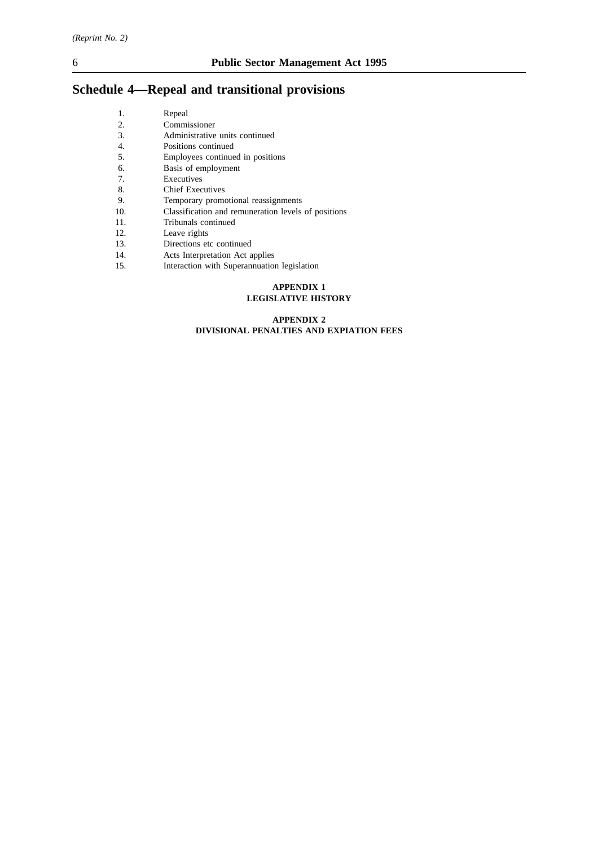# **Schedule 4—Repeal and transitional provisions**

| 1.  | Repeal                                              |
|-----|-----------------------------------------------------|
| 2.  | Commissioner                                        |
| 3.  | Administrative units continued                      |
| 4.  | Positions continued                                 |
| 5.  | Employees continued in positions                    |
| 6.  | Basis of employment                                 |
| 7.  | Executives                                          |
| 8.  | <b>Chief Executives</b>                             |
| 9.  | Temporary promotional reassignments                 |
| 10. | Classification and remuneration levels of positions |
| 11. | Tribunals continued                                 |
| 12. | Leave rights                                        |
| 13. | Directions etc continued                            |
| 14. | Acts Interpretation Act applies                     |

15. Interaction with Superannuation legislation

### **APPENDIX 1 LEGISLATIVE HISTORY**

#### **APPENDIX 2 DIVISIONAL PENALTIES AND EXPIATION FEES**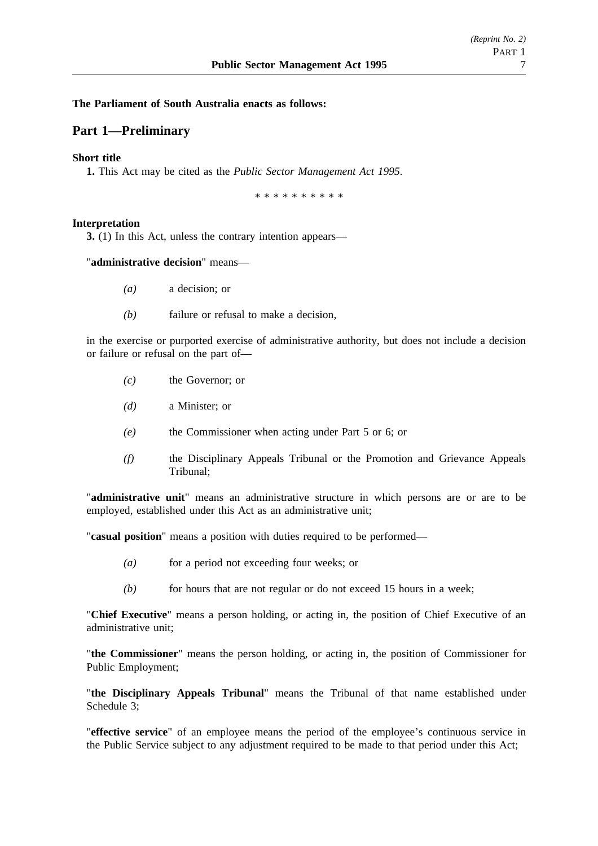## **The Parliament of South Australia enacts as follows:**

# **Part 1—Preliminary**

## **Short title**

**1.** This Act may be cited as the *Public Sector Management Act 1995.*

\*\*\*\*\*\*\*\*\*\*

### **Interpretation**

**3.** (1) In this Act, unless the contrary intention appears—

## "**administrative decision**" means—

- *(a)* a decision; or
- *(b)* failure or refusal to make a decision,

in the exercise or purported exercise of administrative authority, but does not include a decision or failure or refusal on the part of—

- *(c)* the Governor; or
- *(d)* a Minister; or
- *(e)* the Commissioner when acting under Part 5 or 6; or
- *(f)* the Disciplinary Appeals Tribunal or the Promotion and Grievance Appeals Tribunal;

"**administrative unit**" means an administrative structure in which persons are or are to be employed, established under this Act as an administrative unit;

"**casual position**" means a position with duties required to be performed—

- *(a)* for a period not exceeding four weeks; or
- *(b)* for hours that are not regular or do not exceed 15 hours in a week;

"**Chief Executive**" means a person holding, or acting in, the position of Chief Executive of an administrative unit;

"**the Commissioner**" means the person holding, or acting in, the position of Commissioner for Public Employment;

"**the Disciplinary Appeals Tribunal**" means the Tribunal of that name established under Schedule 3;

"**effective service**" of an employee means the period of the employee's continuous service in the Public Service subject to any adjustment required to be made to that period under this Act;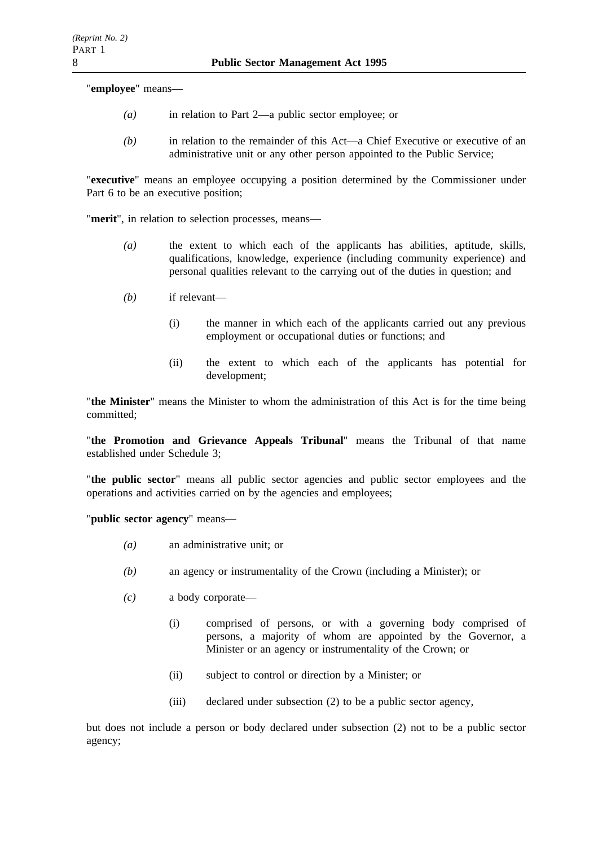"**employee**" means—

- *(a)* in relation to Part 2—a public sector employee; or
- *(b)* in relation to the remainder of this Act—a Chief Executive or executive of an administrative unit or any other person appointed to the Public Service;

"**executive**" means an employee occupying a position determined by the Commissioner under Part 6 to be an executive position;

"**merit**", in relation to selection processes, means—

- *(a)* the extent to which each of the applicants has abilities, aptitude, skills, qualifications, knowledge, experience (including community experience) and personal qualities relevant to the carrying out of the duties in question; and
- *(b)* if relevant—
	- (i) the manner in which each of the applicants carried out any previous employment or occupational duties or functions; and
	- (ii) the extent to which each of the applicants has potential for development;

"**the Minister**" means the Minister to whom the administration of this Act is for the time being committed;

"**the Promotion and Grievance Appeals Tribunal**" means the Tribunal of that name established under Schedule 3;

"**the public sector**" means all public sector agencies and public sector employees and the operations and activities carried on by the agencies and employees;

"**public sector agency**" means—

- *(a)* an administrative unit; or
- *(b)* an agency or instrumentality of the Crown (including a Minister); or
- *(c)* a body corporate—
	- (i) comprised of persons, or with a governing body comprised of persons, a majority of whom are appointed by the Governor, a Minister or an agency or instrumentality of the Crown; or
	- (ii) subject to control or direction by a Minister; or
	- (iii) declared under subsection (2) to be a public sector agency,

but does not include a person or body declared under subsection (2) not to be a public sector agency;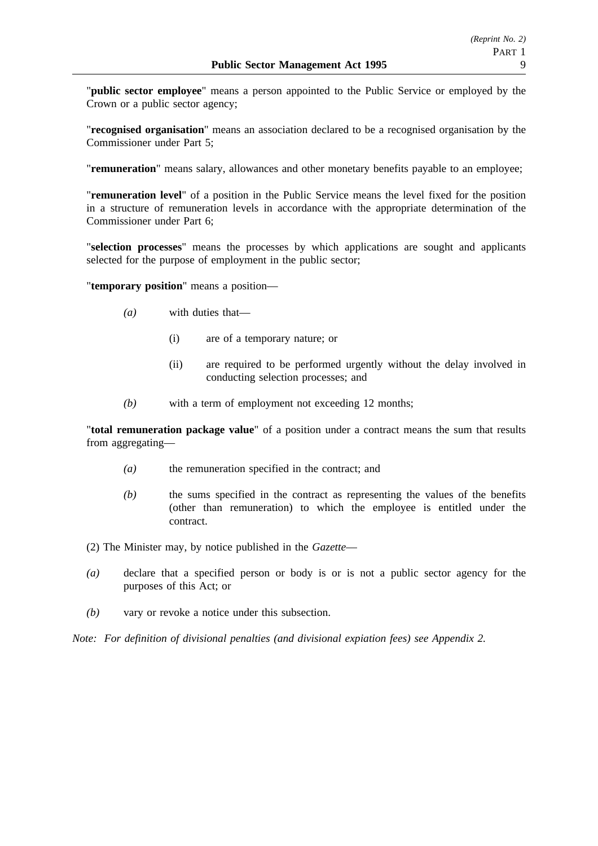"**public sector employee**" means a person appointed to the Public Service or employed by the Crown or a public sector agency;

"**recognised organisation**" means an association declared to be a recognised organisation by the Commissioner under Part 5;

"**remuneration**" means salary, allowances and other monetary benefits payable to an employee;

"**remuneration level**" of a position in the Public Service means the level fixed for the position in a structure of remuneration levels in accordance with the appropriate determination of the Commissioner under Part 6;

"**selection processes**" means the processes by which applications are sought and applicants selected for the purpose of employment in the public sector;

"**temporary position**" means a position—

- *(a)* with duties that—
	- (i) are of a temporary nature; or
	- (ii) are required to be performed urgently without the delay involved in conducting selection processes; and
- *(b)* with a term of employment not exceeding 12 months;

"**total remuneration package value**" of a position under a contract means the sum that results from aggregating—

- *(a)* the remuneration specified in the contract; and
- *(b)* the sums specified in the contract as representing the values of the benefits (other than remuneration) to which the employee is entitled under the contract.
- (2) The Minister may, by notice published in the *Gazette*—
- *(a)* declare that a specified person or body is or is not a public sector agency for the purposes of this Act; or
- *(b)* vary or revoke a notice under this subsection.

*Note: For definition of divisional penalties (and divisional expiation fees) see Appendix 2.*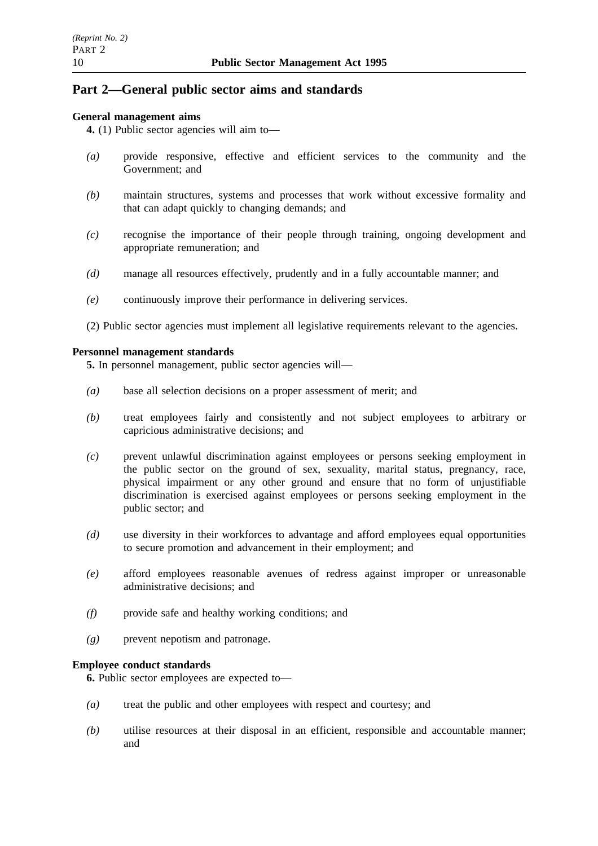# **Part 2—General public sector aims and standards**

# **General management aims**

**4.** (1) Public sector agencies will aim to—

- *(a)* provide responsive, effective and efficient services to the community and the Government; and
- *(b)* maintain structures, systems and processes that work without excessive formality and that can adapt quickly to changing demands; and
- *(c)* recognise the importance of their people through training, ongoing development and appropriate remuneration; and
- *(d)* manage all resources effectively, prudently and in a fully accountable manner; and
- *(e)* continuously improve their performance in delivering services.
- (2) Public sector agencies must implement all legislative requirements relevant to the agencies.

### **Personnel management standards**

**5.** In personnel management, public sector agencies will—

- *(a)* base all selection decisions on a proper assessment of merit; and
- *(b)* treat employees fairly and consistently and not subject employees to arbitrary or capricious administrative decisions; and
- *(c)* prevent unlawful discrimination against employees or persons seeking employment in the public sector on the ground of sex, sexuality, marital status, pregnancy, race, physical impairment or any other ground and ensure that no form of unjustifiable discrimination is exercised against employees or persons seeking employment in the public sector; and
- *(d)* use diversity in their workforces to advantage and afford employees equal opportunities to secure promotion and advancement in their employment; and
- *(e)* afford employees reasonable avenues of redress against improper or unreasonable administrative decisions; and
- *(f)* provide safe and healthy working conditions; and
- *(g)* prevent nepotism and patronage.

### **Employee conduct standards**

**6.** Public sector employees are expected to—

- *(a)* treat the public and other employees with respect and courtesy; and
- *(b)* utilise resources at their disposal in an efficient, responsible and accountable manner; and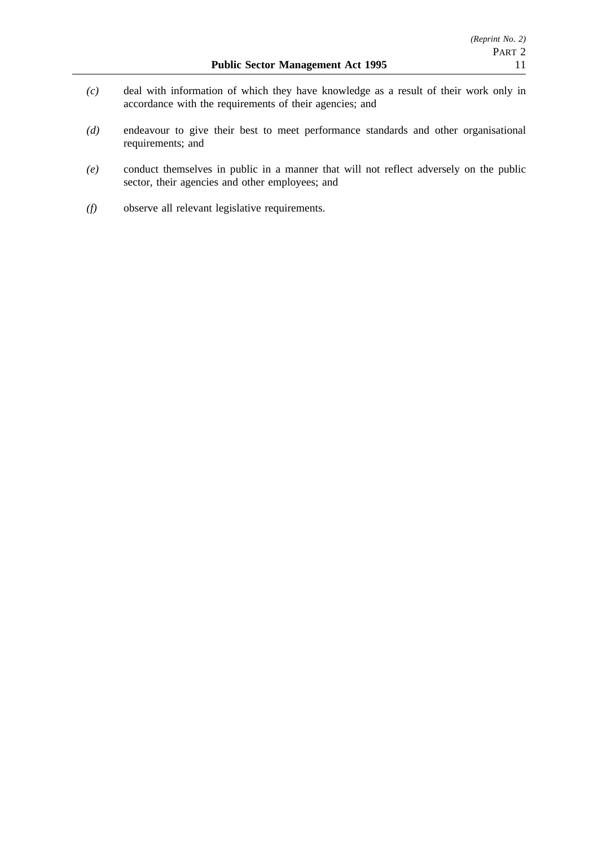- *(c)* deal with information of which they have knowledge as a result of their work only in accordance with the requirements of their agencies; and
- *(d)* endeavour to give their best to meet performance standards and other organisational requirements; and
- *(e)* conduct themselves in public in a manner that will not reflect adversely on the public sector, their agencies and other employees; and
- *(f)* observe all relevant legislative requirements.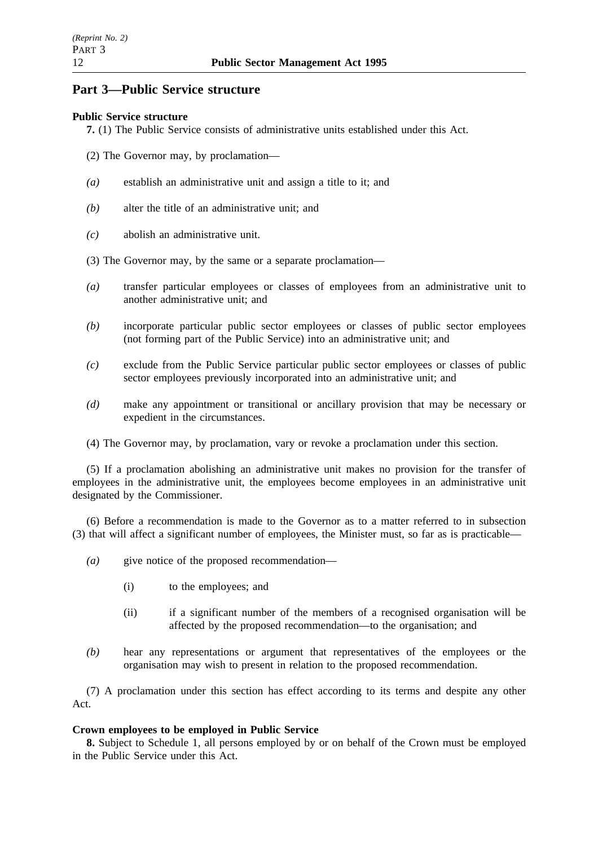# **Part 3—Public Service structure**

# **Public Service structure**

**7.** (1) The Public Service consists of administrative units established under this Act.

- (2) The Governor may, by proclamation—
- *(a)* establish an administrative unit and assign a title to it; and
- *(b)* alter the title of an administrative unit; and
- *(c)* abolish an administrative unit.
- (3) The Governor may, by the same or a separate proclamation—
- *(a)* transfer particular employees or classes of employees from an administrative unit to another administrative unit; and
- *(b)* incorporate particular public sector employees or classes of public sector employees (not forming part of the Public Service) into an administrative unit; and
- *(c)* exclude from the Public Service particular public sector employees or classes of public sector employees previously incorporated into an administrative unit; and
- *(d)* make any appointment or transitional or ancillary provision that may be necessary or expedient in the circumstances.
- (4) The Governor may, by proclamation, vary or revoke a proclamation under this section.

(5) If a proclamation abolishing an administrative unit makes no provision for the transfer of employees in the administrative unit, the employees become employees in an administrative unit designated by the Commissioner.

(6) Before a recommendation is made to the Governor as to a matter referred to in subsection (3) that will affect a significant number of employees, the Minister must, so far as is practicable—

- *(a)* give notice of the proposed recommendation—
	- (i) to the employees; and
	- (ii) if a significant number of the members of a recognised organisation will be affected by the proposed recommendation—to the organisation; and
- *(b)* hear any representations or argument that representatives of the employees or the organisation may wish to present in relation to the proposed recommendation.

(7) A proclamation under this section has effect according to its terms and despite any other Act.

# **Crown employees to be employed in Public Service**

**8.** Subject to Schedule 1, all persons employed by or on behalf of the Crown must be employed in the Public Service under this Act.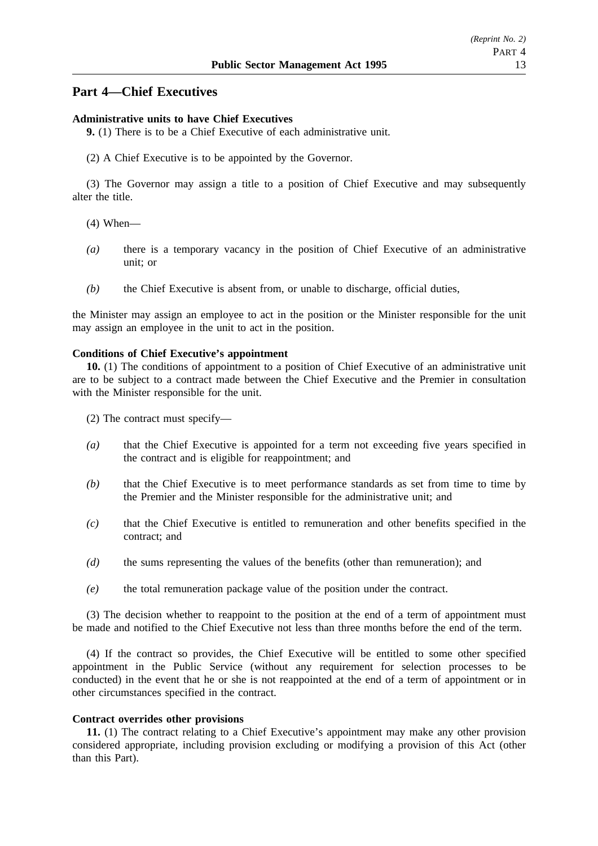# **Part 4—Chief Executives**

### **Administrative units to have Chief Executives**

**9.** (1) There is to be a Chief Executive of each administrative unit.

(2) A Chief Executive is to be appointed by the Governor.

(3) The Governor may assign a title to a position of Chief Executive and may subsequently alter the title.

- (4) When—
- *(a)* there is a temporary vacancy in the position of Chief Executive of an administrative unit; or
- *(b)* the Chief Executive is absent from, or unable to discharge, official duties,

the Minister may assign an employee to act in the position or the Minister responsible for the unit may assign an employee in the unit to act in the position.

### **Conditions of Chief Executive's appointment**

**10.** (1) The conditions of appointment to a position of Chief Executive of an administrative unit are to be subject to a contract made between the Chief Executive and the Premier in consultation with the Minister responsible for the unit.

(2) The contract must specify—

- *(a)* that the Chief Executive is appointed for a term not exceeding five years specified in the contract and is eligible for reappointment; and
- *(b)* that the Chief Executive is to meet performance standards as set from time to time by the Premier and the Minister responsible for the administrative unit; and
- *(c)* that the Chief Executive is entitled to remuneration and other benefits specified in the contract; and
- *(d)* the sums representing the values of the benefits (other than remuneration); and
- *(e)* the total remuneration package value of the position under the contract.

(3) The decision whether to reappoint to the position at the end of a term of appointment must be made and notified to the Chief Executive not less than three months before the end of the term.

(4) If the contract so provides, the Chief Executive will be entitled to some other specified appointment in the Public Service (without any requirement for selection processes to be conducted) in the event that he or she is not reappointed at the end of a term of appointment or in other circumstances specified in the contract.

## **Contract overrides other provisions**

**11.** (1) The contract relating to a Chief Executive's appointment may make any other provision considered appropriate, including provision excluding or modifying a provision of this Act (other than this Part).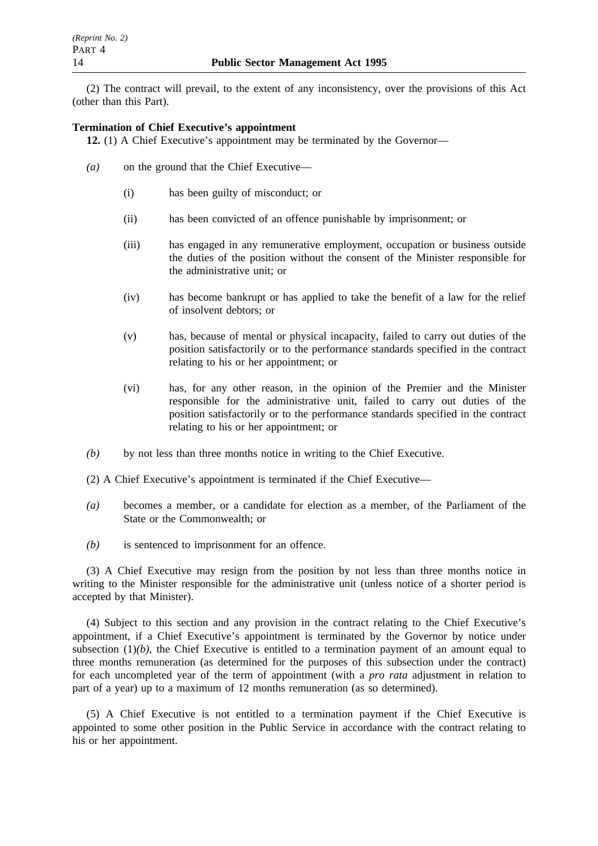(2) The contract will prevail, to the extent of any inconsistency, over the provisions of this Act (other than this Part).

## **Termination of Chief Executive's appointment**

**12.** (1) A Chief Executive's appointment may be terminated by the Governor—

- *(a)* on the ground that the Chief Executive—
	- (i) has been guilty of misconduct; or
	- (ii) has been convicted of an offence punishable by imprisonment; or
	- (iii) has engaged in any remunerative employment, occupation or business outside the duties of the position without the consent of the Minister responsible for the administrative unit; or
	- (iv) has become bankrupt or has applied to take the benefit of a law for the relief of insolvent debtors; or
	- (v) has, because of mental or physical incapacity, failed to carry out duties of the position satisfactorily or to the performance standards specified in the contract relating to his or her appointment; or
	- (vi) has, for any other reason, in the opinion of the Premier and the Minister responsible for the administrative unit, failed to carry out duties of the position satisfactorily or to the performance standards specified in the contract relating to his or her appointment; or
- *(b)* by not less than three months notice in writing to the Chief Executive.
- (2) A Chief Executive's appointment is terminated if the Chief Executive—
- *(a)* becomes a member, or a candidate for election as a member, of the Parliament of the State or the Commonwealth; or
- *(b)* is sentenced to imprisonment for an offence.

(3) A Chief Executive may resign from the position by not less than three months notice in writing to the Minister responsible for the administrative unit (unless notice of a shorter period is accepted by that Minister).

(4) Subject to this section and any provision in the contract relating to the Chief Executive's appointment, if a Chief Executive's appointment is terminated by the Governor by notice under subsection  $(1)(b)$ , the Chief Executive is entitled to a termination payment of an amount equal to three months remuneration (as determined for the purposes of this subsection under the contract) for each uncompleted year of the term of appointment (with a *pro rata* adjustment in relation to part of a year) up to a maximum of 12 months remuneration (as so determined).

(5) A Chief Executive is not entitled to a termination payment if the Chief Executive is appointed to some other position in the Public Service in accordance with the contract relating to his or her appointment.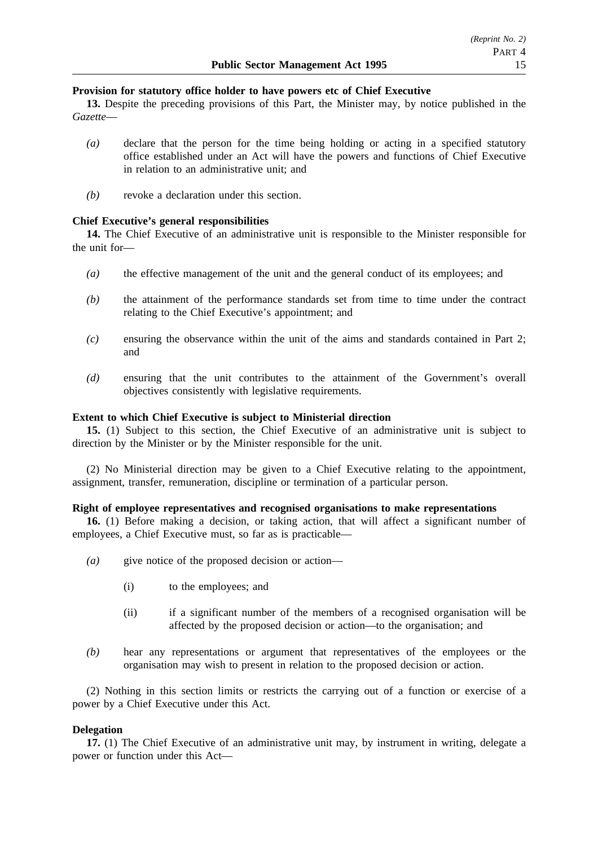## **Provision for statutory office holder to have powers etc of Chief Executive**

**13.** Despite the preceding provisions of this Part, the Minister may, by notice published in the *Gazette*—

- *(a)* declare that the person for the time being holding or acting in a specified statutory office established under an Act will have the powers and functions of Chief Executive in relation to an administrative unit; and
- *(b)* revoke a declaration under this section.

### **Chief Executive's general responsibilities**

**14.** The Chief Executive of an administrative unit is responsible to the Minister responsible for the unit for—

- *(a)* the effective management of the unit and the general conduct of its employees; and
- *(b)* the attainment of the performance standards set from time to time under the contract relating to the Chief Executive's appointment; and
- *(c)* ensuring the observance within the unit of the aims and standards contained in Part 2; and
- *(d)* ensuring that the unit contributes to the attainment of the Government's overall objectives consistently with legislative requirements.

### **Extent to which Chief Executive is subject to Ministerial direction**

**15.** (1) Subject to this section, the Chief Executive of an administrative unit is subject to direction by the Minister or by the Minister responsible for the unit.

(2) No Ministerial direction may be given to a Chief Executive relating to the appointment, assignment, transfer, remuneration, discipline or termination of a particular person.

### **Right of employee representatives and recognised organisations to make representations**

**16.** (1) Before making a decision, or taking action, that will affect a significant number of employees, a Chief Executive must, so far as is practicable—

- *(a)* give notice of the proposed decision or action—
	- (i) to the employees; and
	- (ii) if a significant number of the members of a recognised organisation will be affected by the proposed decision or action—to the organisation; and
- *(b)* hear any representations or argument that representatives of the employees or the organisation may wish to present in relation to the proposed decision or action.

(2) Nothing in this section limits or restricts the carrying out of a function or exercise of a power by a Chief Executive under this Act.

### **Delegation**

**17.** (1) The Chief Executive of an administrative unit may, by instrument in writing, delegate a power or function under this Act—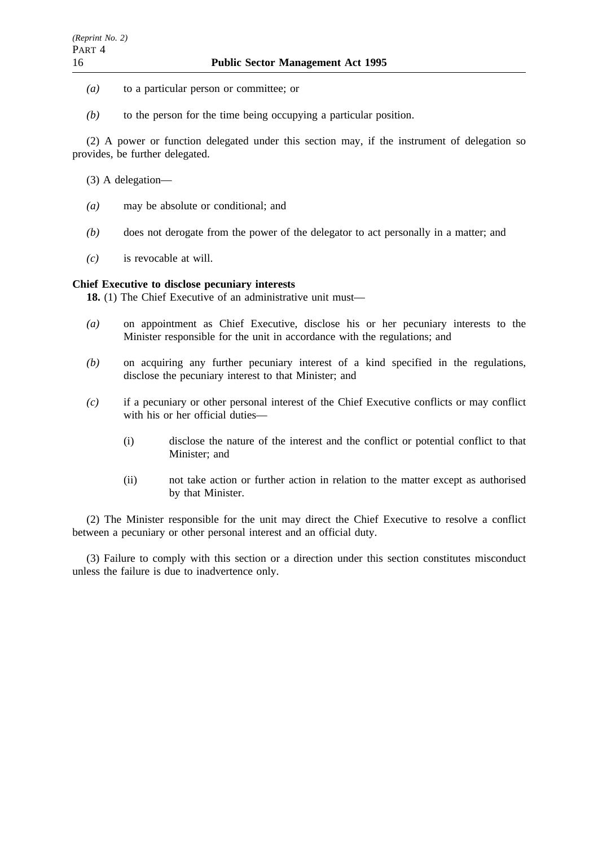- *(a)* to a particular person or committee; or
- *(b)* to the person for the time being occupying a particular position.

(2) A power or function delegated under this section may, if the instrument of delegation so provides, be further delegated.

- (3) A delegation—
- *(a)* may be absolute or conditional; and
- *(b)* does not derogate from the power of the delegator to act personally in a matter; and
- *(c)* is revocable at will.

## **Chief Executive to disclose pecuniary interests**

**18.** (1) The Chief Executive of an administrative unit must—

- *(a)* on appointment as Chief Executive, disclose his or her pecuniary interests to the Minister responsible for the unit in accordance with the regulations; and
- *(b)* on acquiring any further pecuniary interest of a kind specified in the regulations, disclose the pecuniary interest to that Minister; and
- *(c)* if a pecuniary or other personal interest of the Chief Executive conflicts or may conflict with his or her official duties—
	- (i) disclose the nature of the interest and the conflict or potential conflict to that Minister; and
	- (ii) not take action or further action in relation to the matter except as authorised by that Minister.

(2) The Minister responsible for the unit may direct the Chief Executive to resolve a conflict between a pecuniary or other personal interest and an official duty.

(3) Failure to comply with this section or a direction under this section constitutes misconduct unless the failure is due to inadvertence only.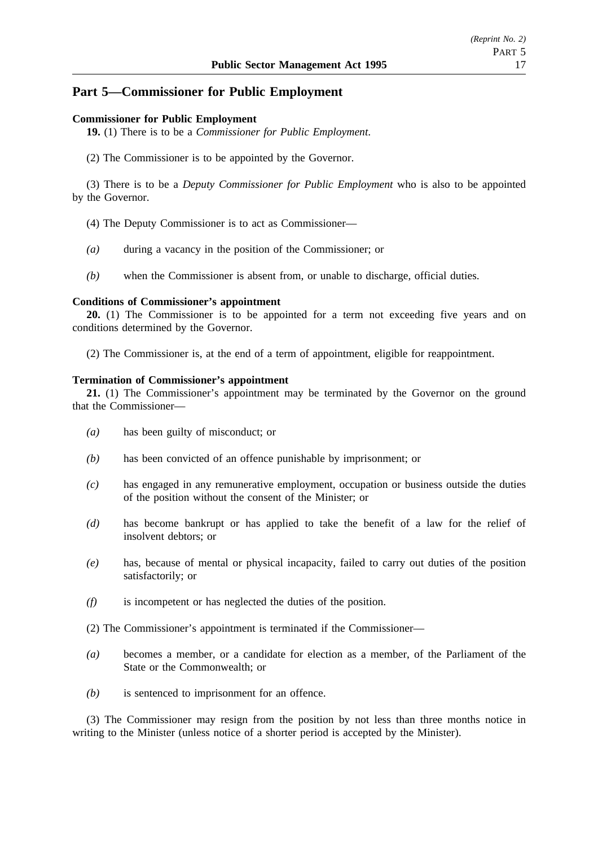# **Part 5—Commissioner for Public Employment**

### **Commissioner for Public Employment**

**19.** (1) There is to be a *Commissioner for Public Employment*.

(2) The Commissioner is to be appointed by the Governor.

(3) There is to be a *Deputy Commissioner for Public Employment* who is also to be appointed by the Governor.

- (4) The Deputy Commissioner is to act as Commissioner—
- *(a)* during a vacancy in the position of the Commissioner; or
- *(b)* when the Commissioner is absent from, or unable to discharge, official duties.

#### **Conditions of Commissioner's appointment**

**20.** (1) The Commissioner is to be appointed for a term not exceeding five years and on conditions determined by the Governor.

(2) The Commissioner is, at the end of a term of appointment, eligible for reappointment.

#### **Termination of Commissioner's appointment**

**21.** (1) The Commissioner's appointment may be terminated by the Governor on the ground that the Commissioner—

- *(a)* has been guilty of misconduct; or
- *(b)* has been convicted of an offence punishable by imprisonment; or
- *(c)* has engaged in any remunerative employment, occupation or business outside the duties of the position without the consent of the Minister; or
- *(d)* has become bankrupt or has applied to take the benefit of a law for the relief of insolvent debtors; or
- *(e)* has, because of mental or physical incapacity, failed to carry out duties of the position satisfactorily; or
- *(f)* is incompetent or has neglected the duties of the position.
- (2) The Commissioner's appointment is terminated if the Commissioner—
- *(a)* becomes a member, or a candidate for election as a member, of the Parliament of the State or the Commonwealth; or
- *(b)* is sentenced to imprisonment for an offence.

(3) The Commissioner may resign from the position by not less than three months notice in writing to the Minister (unless notice of a shorter period is accepted by the Minister).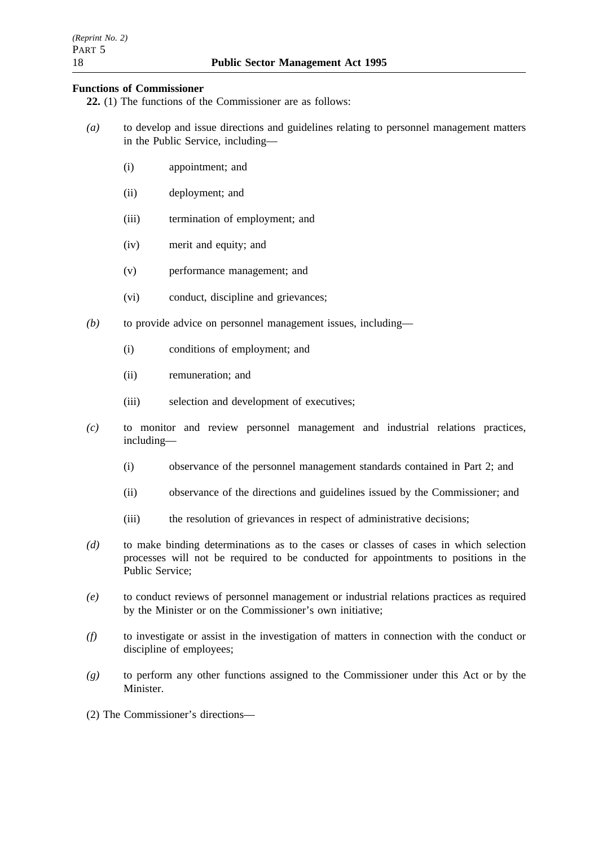# **Functions of Commissioner**

**22.** (1) The functions of the Commissioner are as follows:

- *(a)* to develop and issue directions and guidelines relating to personnel management matters in the Public Service, including—
	- (i) appointment; and
	- (ii) deployment; and
	- (iii) termination of employment; and
	- (iv) merit and equity; and
	- (v) performance management; and
	- (vi) conduct, discipline and grievances;
- *(b)* to provide advice on personnel management issues, including—
	- (i) conditions of employment; and
	- (ii) remuneration; and
	- (iii) selection and development of executives;
- *(c)* to monitor and review personnel management and industrial relations practices, including—
	- (i) observance of the personnel management standards contained in Part 2; and
	- (ii) observance of the directions and guidelines issued by the Commissioner; and
	- (iii) the resolution of grievances in respect of administrative decisions;
- *(d)* to make binding determinations as to the cases or classes of cases in which selection processes will not be required to be conducted for appointments to positions in the Public Service;
- *(e)* to conduct reviews of personnel management or industrial relations practices as required by the Minister or on the Commissioner's own initiative;
- *(f)* to investigate or assist in the investigation of matters in connection with the conduct or discipline of employees;
- *(g)* to perform any other functions assigned to the Commissioner under this Act or by the Minister.
- (2) The Commissioner's directions—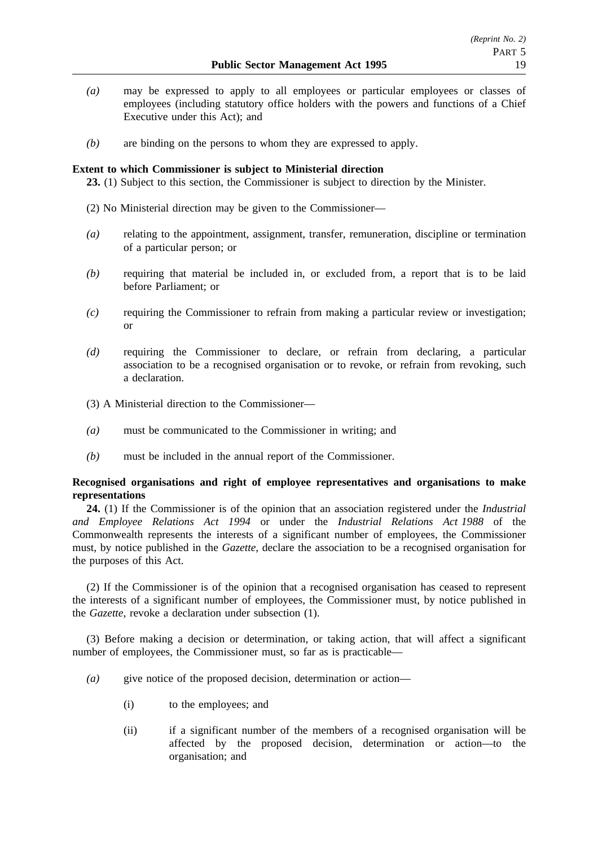- *(a)* may be expressed to apply to all employees or particular employees or classes of employees (including statutory office holders with the powers and functions of a Chief Executive under this Act); and
- *(b)* are binding on the persons to whom they are expressed to apply.

## **Extent to which Commissioner is subject to Ministerial direction**

**23.** (1) Subject to this section, the Commissioner is subject to direction by the Minister.

- (2) No Ministerial direction may be given to the Commissioner—
- *(a)* relating to the appointment, assignment, transfer, remuneration, discipline or termination of a particular person; or
- *(b)* requiring that material be included in, or excluded from, a report that is to be laid before Parliament; or
- *(c)* requiring the Commissioner to refrain from making a particular review or investigation; or
- *(d)* requiring the Commissioner to declare, or refrain from declaring, a particular association to be a recognised organisation or to revoke, or refrain from revoking, such a declaration.
- (3) A Ministerial direction to the Commissioner—
- *(a)* must be communicated to the Commissioner in writing; and
- *(b)* must be included in the annual report of the Commissioner.

# **Recognised organisations and right of employee representatives and organisations to make representations**

**24.** (1) If the Commissioner is of the opinion that an association registered under the *Industrial and Employee Relations Act 1994* or under the *Industrial Relations Act 1988* of the Commonwealth represents the interests of a significant number of employees, the Commissioner must, by notice published in the *Gazette*, declare the association to be a recognised organisation for the purposes of this Act.

(2) If the Commissioner is of the opinion that a recognised organisation has ceased to represent the interests of a significant number of employees, the Commissioner must, by notice published in the *Gazette*, revoke a declaration under subsection (1).

(3) Before making a decision or determination, or taking action, that will affect a significant number of employees, the Commissioner must, so far as is practicable—

- *(a)* give notice of the proposed decision, determination or action—
	- (i) to the employees; and
	- (ii) if a significant number of the members of a recognised organisation will be affected by the proposed decision, determination or action—to the organisation; and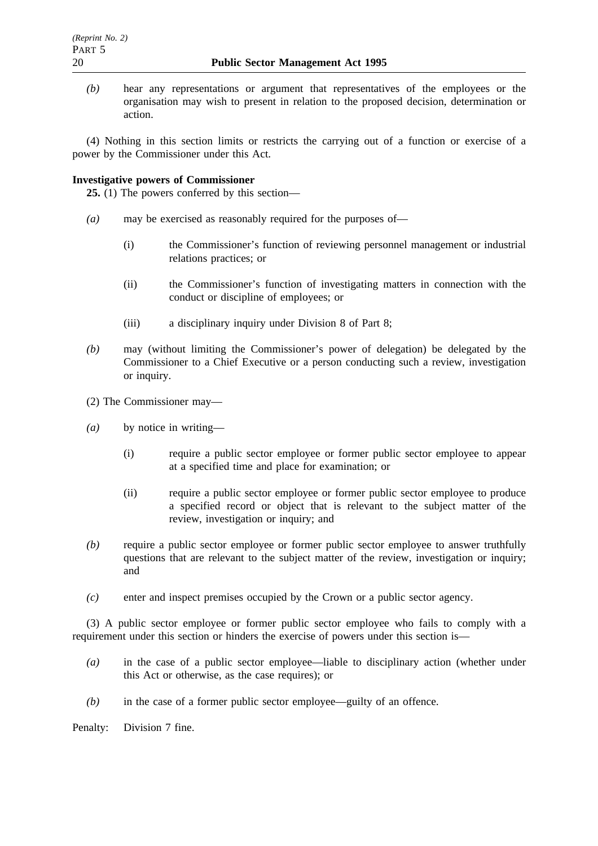*(b)* hear any representations or argument that representatives of the employees or the organisation may wish to present in relation to the proposed decision, determination or action.

(4) Nothing in this section limits or restricts the carrying out of a function or exercise of a power by the Commissioner under this Act.

## **Investigative powers of Commissioner**

**25.** (1) The powers conferred by this section—

- *(a)* may be exercised as reasonably required for the purposes of—
	- (i) the Commissioner's function of reviewing personnel management or industrial relations practices; or
	- (ii) the Commissioner's function of investigating matters in connection with the conduct or discipline of employees; or
	- (iii) a disciplinary inquiry under Division 8 of Part 8;
- *(b)* may (without limiting the Commissioner's power of delegation) be delegated by the Commissioner to a Chief Executive or a person conducting such a review, investigation or inquiry.
- (2) The Commissioner may—
- *(a)* by notice in writing—
	- (i) require a public sector employee or former public sector employee to appear at a specified time and place for examination; or
	- (ii) require a public sector employee or former public sector employee to produce a specified record or object that is relevant to the subject matter of the review, investigation or inquiry; and
- *(b)* require a public sector employee or former public sector employee to answer truthfully questions that are relevant to the subject matter of the review, investigation or inquiry; and
- *(c)* enter and inspect premises occupied by the Crown or a public sector agency.

(3) A public sector employee or former public sector employee who fails to comply with a requirement under this section or hinders the exercise of powers under this section is—

- *(a)* in the case of a public sector employee—liable to disciplinary action (whether under this Act or otherwise, as the case requires); or
- *(b)* in the case of a former public sector employee—guilty of an offence.

Penalty: Division 7 fine.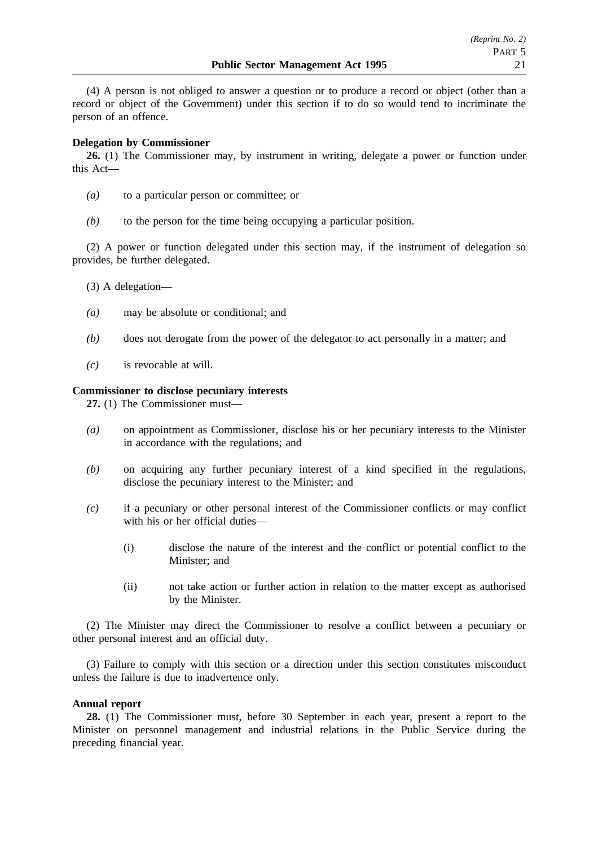(4) A person is not obliged to answer a question or to produce a record or object (other than a record or object of the Government) under this section if to do so would tend to incriminate the person of an offence.

## **Delegation by Commissioner**

**26.** (1) The Commissioner may, by instrument in writing, delegate a power or function under this Act—

- *(a)* to a particular person or committee; or
- *(b)* to the person for the time being occupying a particular position.

(2) A power or function delegated under this section may, if the instrument of delegation so provides, be further delegated.

- (3) A delegation—
- *(a)* may be absolute or conditional; and
- *(b)* does not derogate from the power of the delegator to act personally in a matter; and
- *(c)* is revocable at will.

### **Commissioner to disclose pecuniary interests**

**27.** (1) The Commissioner must—

- *(a)* on appointment as Commissioner, disclose his or her pecuniary interests to the Minister in accordance with the regulations; and
- *(b)* on acquiring any further pecuniary interest of a kind specified in the regulations, disclose the pecuniary interest to the Minister; and
- *(c)* if a pecuniary or other personal interest of the Commissioner conflicts or may conflict with his or her official duties—
	- (i) disclose the nature of the interest and the conflict or potential conflict to the Minister; and
	- (ii) not take action or further action in relation to the matter except as authorised by the Minister.

(2) The Minister may direct the Commissioner to resolve a conflict between a pecuniary or other personal interest and an official duty.

(3) Failure to comply with this section or a direction under this section constitutes misconduct unless the failure is due to inadvertence only.

### **Annual report**

**28.** (1) The Commissioner must, before 30 September in each year, present a report to the Minister on personnel management and industrial relations in the Public Service during the preceding financial year.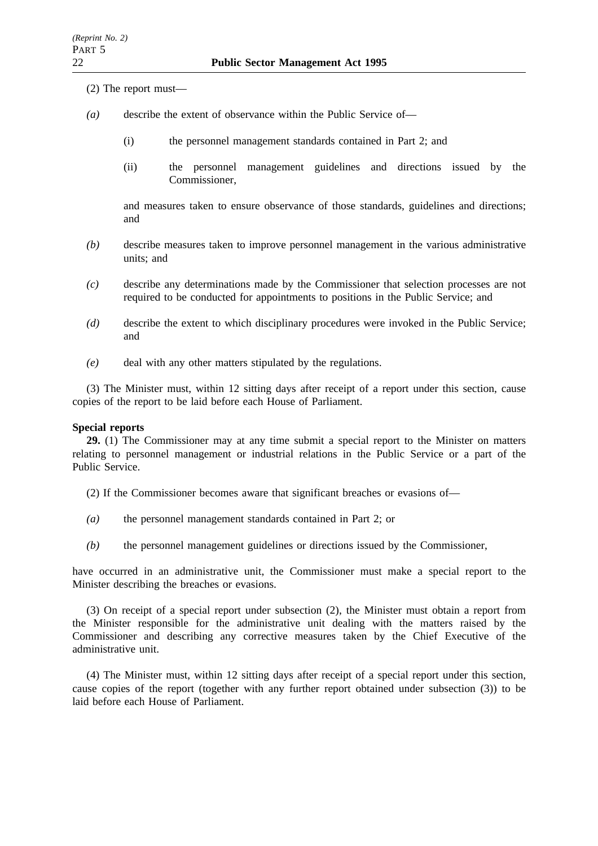- (2) The report must—
- *(a)* describe the extent of observance within the Public Service of—
	- (i) the personnel management standards contained in Part 2; and
	- (ii) the personnel management guidelines and directions issued by the Commissioner,

and measures taken to ensure observance of those standards, guidelines and directions; and

- *(b)* describe measures taken to improve personnel management in the various administrative units; and
- *(c)* describe any determinations made by the Commissioner that selection processes are not required to be conducted for appointments to positions in the Public Service; and
- *(d)* describe the extent to which disciplinary procedures were invoked in the Public Service; and
- *(e)* deal with any other matters stipulated by the regulations.

(3) The Minister must, within 12 sitting days after receipt of a report under this section, cause copies of the report to be laid before each House of Parliament.

## **Special reports**

**29.** (1) The Commissioner may at any time submit a special report to the Minister on matters relating to personnel management or industrial relations in the Public Service or a part of the Public Service.

(2) If the Commissioner becomes aware that significant breaches or evasions of—

- *(a)* the personnel management standards contained in Part 2; or
- *(b)* the personnel management guidelines or directions issued by the Commissioner,

have occurred in an administrative unit, the Commissioner must make a special report to the Minister describing the breaches or evasions.

(3) On receipt of a special report under subsection (2), the Minister must obtain a report from the Minister responsible for the administrative unit dealing with the matters raised by the Commissioner and describing any corrective measures taken by the Chief Executive of the administrative unit.

(4) The Minister must, within 12 sitting days after receipt of a special report under this section, cause copies of the report (together with any further report obtained under subsection (3)) to be laid before each House of Parliament.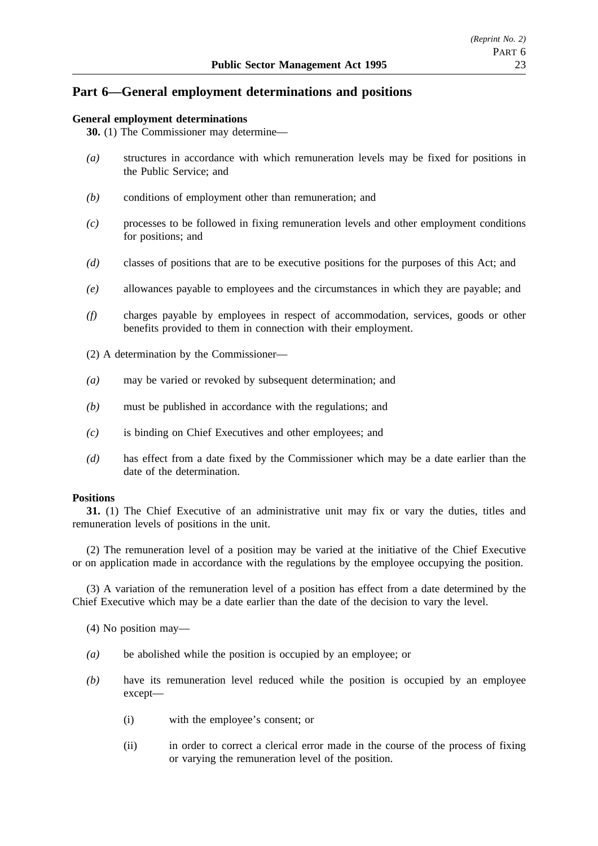# **Part 6—General employment determinations and positions**

## **General employment determinations**

**30.** (1) The Commissioner may determine—

- *(a)* structures in accordance with which remuneration levels may be fixed for positions in the Public Service; and
- *(b)* conditions of employment other than remuneration; and
- *(c)* processes to be followed in fixing remuneration levels and other employment conditions for positions; and
- *(d)* classes of positions that are to be executive positions for the purposes of this Act; and
- *(e)* allowances payable to employees and the circumstances in which they are payable; and
- *(f)* charges payable by employees in respect of accommodation, services, goods or other benefits provided to them in connection with their employment.
- (2) A determination by the Commissioner—
- *(a)* may be varied or revoked by subsequent determination; and
- *(b)* must be published in accordance with the regulations; and
- *(c)* is binding on Chief Executives and other employees; and
- *(d)* has effect from a date fixed by the Commissioner which may be a date earlier than the date of the determination.

### **Positions**

**31.** (1) The Chief Executive of an administrative unit may fix or vary the duties, titles and remuneration levels of positions in the unit.

(2) The remuneration level of a position may be varied at the initiative of the Chief Executive or on application made in accordance with the regulations by the employee occupying the position.

(3) A variation of the remuneration level of a position has effect from a date determined by the Chief Executive which may be a date earlier than the date of the decision to vary the level.

- (4) No position may—
- *(a)* be abolished while the position is occupied by an employee; or
- *(b)* have its remuneration level reduced while the position is occupied by an employee except—
	- (i) with the employee's consent; or
	- (ii) in order to correct a clerical error made in the course of the process of fixing or varying the remuneration level of the position.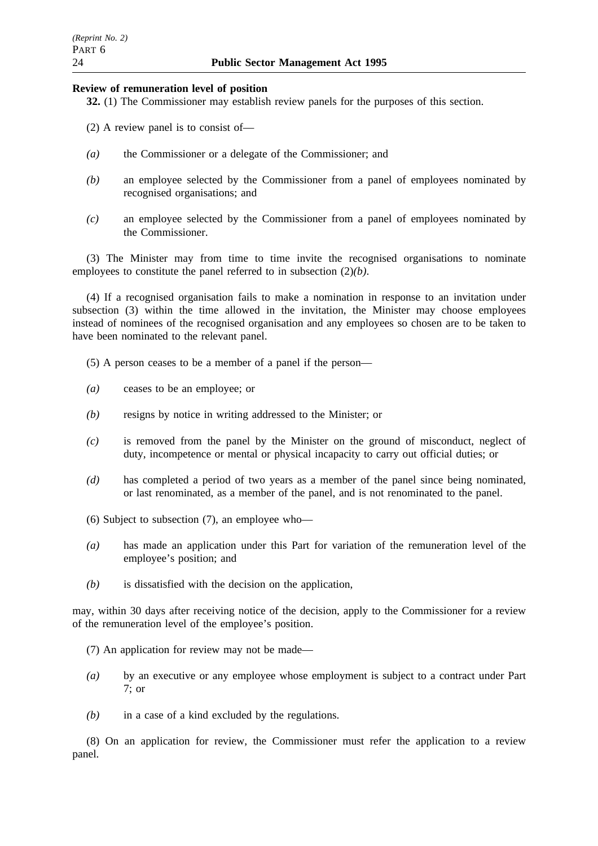## **Review of remuneration level of position**

**32.** (1) The Commissioner may establish review panels for the purposes of this section.

- (2) A review panel is to consist of—
- *(a)* the Commissioner or a delegate of the Commissioner; and
- *(b)* an employee selected by the Commissioner from a panel of employees nominated by recognised organisations; and
- *(c)* an employee selected by the Commissioner from a panel of employees nominated by the Commissioner.

(3) The Minister may from time to time invite the recognised organisations to nominate employees to constitute the panel referred to in subsection (2)*(b)*.

(4) If a recognised organisation fails to make a nomination in response to an invitation under subsection (3) within the time allowed in the invitation, the Minister may choose employees instead of nominees of the recognised organisation and any employees so chosen are to be taken to have been nominated to the relevant panel.

- (5) A person ceases to be a member of a panel if the person—
- *(a)* ceases to be an employee; or
- *(b)* resigns by notice in writing addressed to the Minister; or
- *(c)* is removed from the panel by the Minister on the ground of misconduct, neglect of duty, incompetence or mental or physical incapacity to carry out official duties; or
- *(d)* has completed a period of two years as a member of the panel since being nominated, or last renominated, as a member of the panel, and is not renominated to the panel.
- (6) Subject to subsection (7), an employee who—
- *(a)* has made an application under this Part for variation of the remuneration level of the employee's position; and
- *(b)* is dissatisfied with the decision on the application,

may, within 30 days after receiving notice of the decision, apply to the Commissioner for a review of the remuneration level of the employee's position.

- (7) An application for review may not be made—
- *(a)* by an executive or any employee whose employment is subject to a contract under Part 7; or
- *(b)* in a case of a kind excluded by the regulations.

(8) On an application for review, the Commissioner must refer the application to a review panel.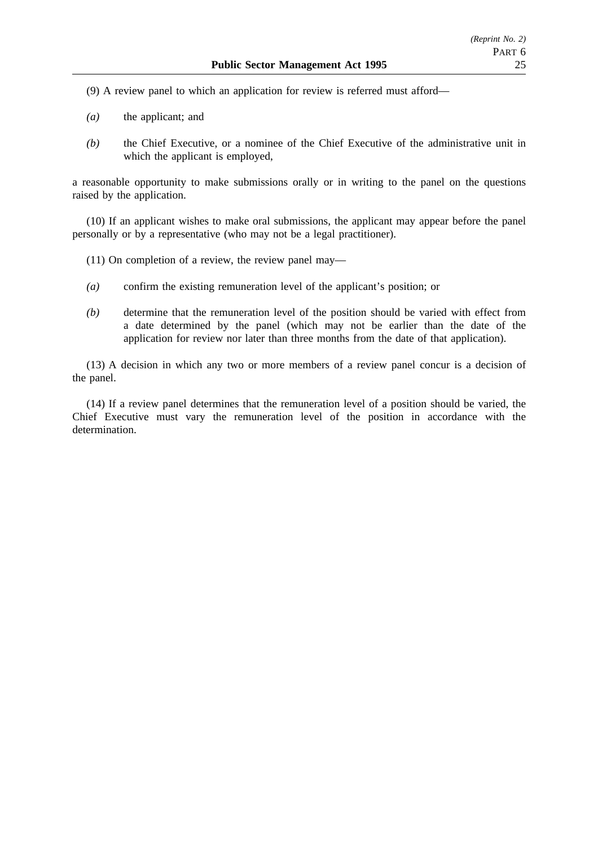(9) A review panel to which an application for review is referred must afford—

- *(a)* the applicant; and
- *(b)* the Chief Executive, or a nominee of the Chief Executive of the administrative unit in which the applicant is employed,

a reasonable opportunity to make submissions orally or in writing to the panel on the questions raised by the application.

(10) If an applicant wishes to make oral submissions, the applicant may appear before the panel personally or by a representative (who may not be a legal practitioner).

- (11) On completion of a review, the review panel may—
- *(a)* confirm the existing remuneration level of the applicant's position; or
- *(b)* determine that the remuneration level of the position should be varied with effect from a date determined by the panel (which may not be earlier than the date of the application for review nor later than three months from the date of that application).

(13) A decision in which any two or more members of a review panel concur is a decision of the panel.

(14) If a review panel determines that the remuneration level of a position should be varied, the Chief Executive must vary the remuneration level of the position in accordance with the determination.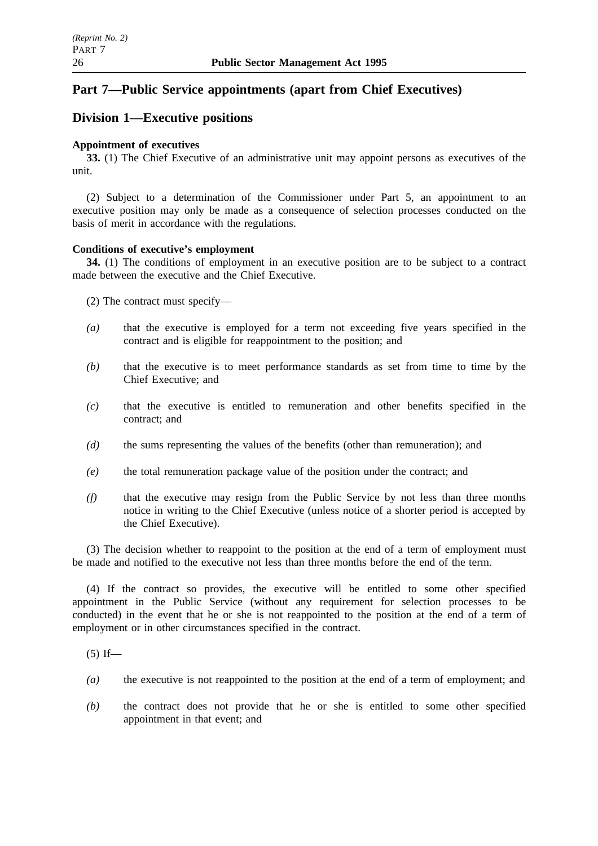# **Part 7—Public Service appointments (apart from Chief Executives)**

# **Division 1—Executive positions**

# **Appointment of executives**

**33.** (1) The Chief Executive of an administrative unit may appoint persons as executives of the unit.

(2) Subject to a determination of the Commissioner under Part 5, an appointment to an executive position may only be made as a consequence of selection processes conducted on the basis of merit in accordance with the regulations.

# **Conditions of executive's employment**

**34.** (1) The conditions of employment in an executive position are to be subject to a contract made between the executive and the Chief Executive.

- (2) The contract must specify—
- *(a)* that the executive is employed for a term not exceeding five years specified in the contract and is eligible for reappointment to the position; and
- *(b)* that the executive is to meet performance standards as set from time to time by the Chief Executive; and
- *(c)* that the executive is entitled to remuneration and other benefits specified in the contract; and
- *(d)* the sums representing the values of the benefits (other than remuneration); and
- *(e)* the total remuneration package value of the position under the contract; and
- *(f)* that the executive may resign from the Public Service by not less than three months notice in writing to the Chief Executive (unless notice of a shorter period is accepted by the Chief Executive).

(3) The decision whether to reappoint to the position at the end of a term of employment must be made and notified to the executive not less than three months before the end of the term.

(4) If the contract so provides, the executive will be entitled to some other specified appointment in the Public Service (without any requirement for selection processes to be conducted) in the event that he or she is not reappointed to the position at the end of a term of employment or in other circumstances specified in the contract.

 $(5)$  If—

- *(a)* the executive is not reappointed to the position at the end of a term of employment; and
- *(b)* the contract does not provide that he or she is entitled to some other specified appointment in that event; and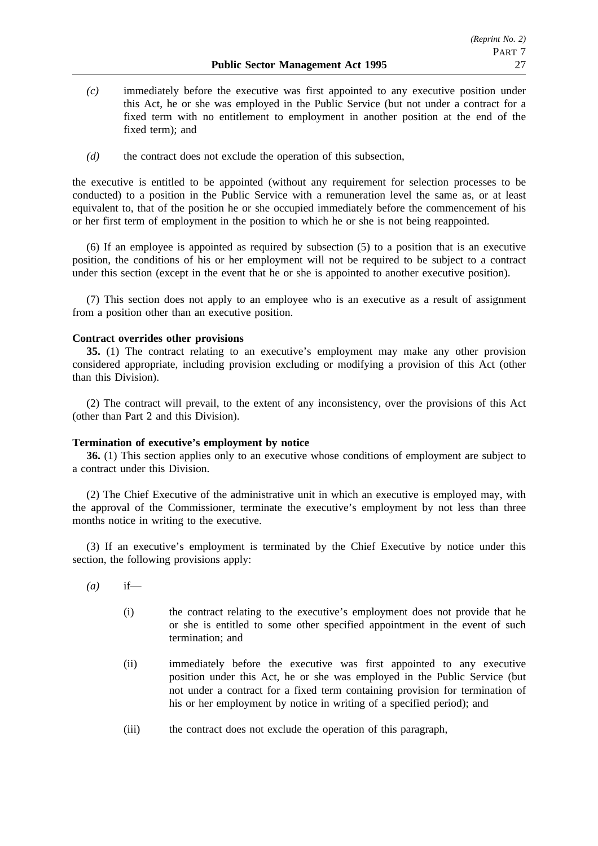- *(c)* immediately before the executive was first appointed to any executive position under this Act, he or she was employed in the Public Service (but not under a contract for a fixed term with no entitlement to employment in another position at the end of the fixed term); and
- *(d)* the contract does not exclude the operation of this subsection,

the executive is entitled to be appointed (without any requirement for selection processes to be conducted) to a position in the Public Service with a remuneration level the same as, or at least equivalent to, that of the position he or she occupied immediately before the commencement of his or her first term of employment in the position to which he or she is not being reappointed.

(6) If an employee is appointed as required by subsection (5) to a position that is an executive position, the conditions of his or her employment will not be required to be subject to a contract under this section (except in the event that he or she is appointed to another executive position).

(7) This section does not apply to an employee who is an executive as a result of assignment from a position other than an executive position.

### **Contract overrides other provisions**

**35.** (1) The contract relating to an executive's employment may make any other provision considered appropriate, including provision excluding or modifying a provision of this Act (other than this Division).

(2) The contract will prevail, to the extent of any inconsistency, over the provisions of this Act (other than Part 2 and this Division).

### **Termination of executive's employment by notice**

**36.** (1) This section applies only to an executive whose conditions of employment are subject to a contract under this Division.

(2) The Chief Executive of the administrative unit in which an executive is employed may, with the approval of the Commissioner, terminate the executive's employment by not less than three months notice in writing to the executive.

(3) If an executive's employment is terminated by the Chief Executive by notice under this section, the following provisions apply:

- *(a)* if—
	- (i) the contract relating to the executive's employment does not provide that he or she is entitled to some other specified appointment in the event of such termination; and
	- (ii) immediately before the executive was first appointed to any executive position under this Act, he or she was employed in the Public Service (but not under a contract for a fixed term containing provision for termination of his or her employment by notice in writing of a specified period); and
	- (iii) the contract does not exclude the operation of this paragraph,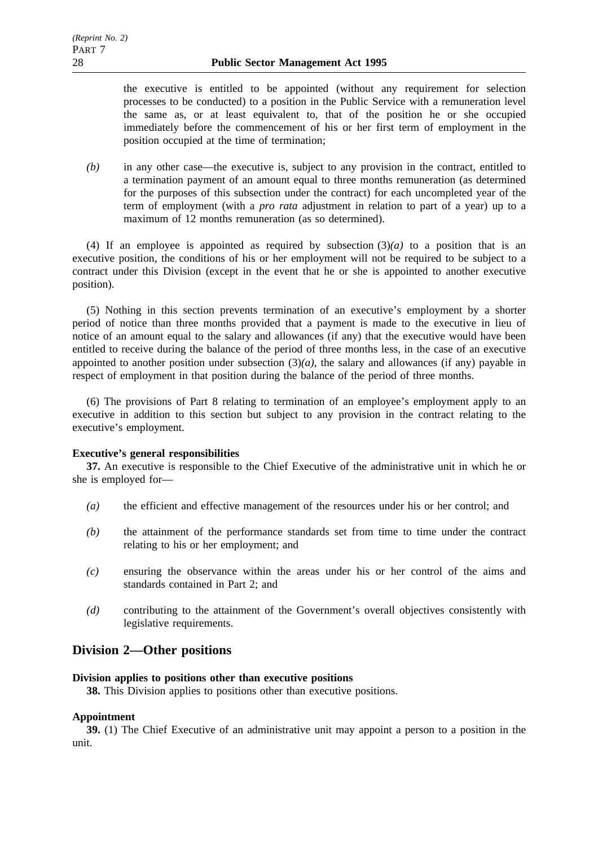the executive is entitled to be appointed (without any requirement for selection processes to be conducted) to a position in the Public Service with a remuneration level the same as, or at least equivalent to, that of the position he or she occupied immediately before the commencement of his or her first term of employment in the position occupied at the time of termination;

*(b)* in any other case—the executive is, subject to any provision in the contract, entitled to a termination payment of an amount equal to three months remuneration (as determined for the purposes of this subsection under the contract) for each uncompleted year of the term of employment (with a *pro rata* adjustment in relation to part of a year) up to a maximum of 12 months remuneration (as so determined).

(4) If an employee is appointed as required by subsection  $(3)(a)$  to a position that is an executive position, the conditions of his or her employment will not be required to be subject to a contract under this Division (except in the event that he or she is appointed to another executive position).

(5) Nothing in this section prevents termination of an executive's employment by a shorter period of notice than three months provided that a payment is made to the executive in lieu of notice of an amount equal to the salary and allowances (if any) that the executive would have been entitled to receive during the balance of the period of three months less, in the case of an executive appointed to another position under subsection  $(3)(a)$ , the salary and allowances (if any) payable in respect of employment in that position during the balance of the period of three months.

(6) The provisions of Part 8 relating to termination of an employee's employment apply to an executive in addition to this section but subject to any provision in the contract relating to the executive's employment.

# **Executive's general responsibilities**

**37.** An executive is responsible to the Chief Executive of the administrative unit in which he or she is employed for—

- *(a)* the efficient and effective management of the resources under his or her control; and
- *(b)* the attainment of the performance standards set from time to time under the contract relating to his or her employment; and
- *(c)* ensuring the observance within the areas under his or her control of the aims and standards contained in Part 2; and
- *(d)* contributing to the attainment of the Government's overall objectives consistently with legislative requirements.

# **Division 2—Other positions**

## **Division applies to positions other than executive positions**

**38.** This Division applies to positions other than executive positions.

# **Appointment**

**39.** (1) The Chief Executive of an administrative unit may appoint a person to a position in the unit.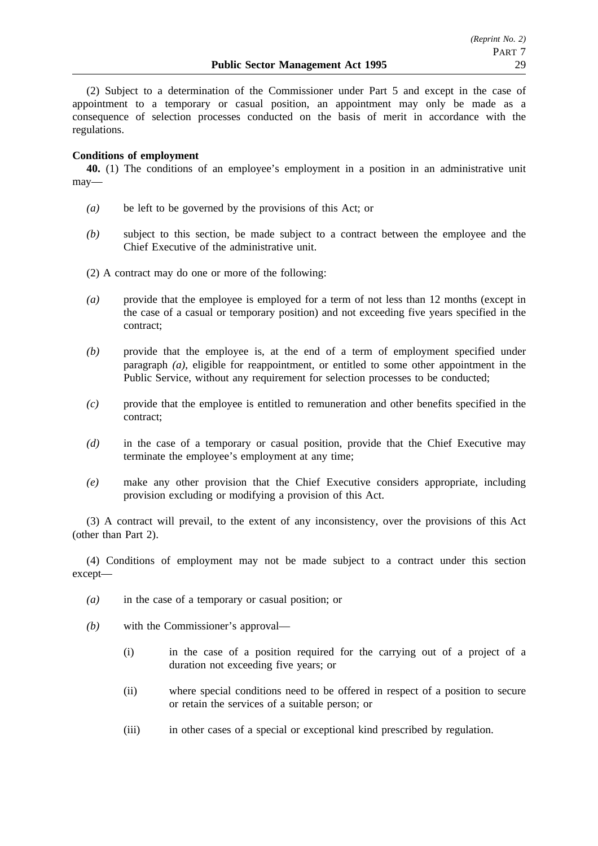(2) Subject to a determination of the Commissioner under Part 5 and except in the case of appointment to a temporary or casual position, an appointment may only be made as a consequence of selection processes conducted on the basis of merit in accordance with the regulations.

# **Conditions of employment**

**40.** (1) The conditions of an employee's employment in a position in an administrative unit may—

- *(a)* be left to be governed by the provisions of this Act; or
- *(b)* subject to this section, be made subject to a contract between the employee and the Chief Executive of the administrative unit.
- (2) A contract may do one or more of the following:
- *(a)* provide that the employee is employed for a term of not less than 12 months (except in the case of a casual or temporary position) and not exceeding five years specified in the contract;
- *(b)* provide that the employee is, at the end of a term of employment specified under paragraph *(a)*, eligible for reappointment, or entitled to some other appointment in the Public Service, without any requirement for selection processes to be conducted;
- *(c)* provide that the employee is entitled to remuneration and other benefits specified in the contract;
- *(d)* in the case of a temporary or casual position, provide that the Chief Executive may terminate the employee's employment at any time;
- *(e)* make any other provision that the Chief Executive considers appropriate, including provision excluding or modifying a provision of this Act.

(3) A contract will prevail, to the extent of any inconsistency, over the provisions of this Act (other than Part 2).

(4) Conditions of employment may not be made subject to a contract under this section except—

- *(a)* in the case of a temporary or casual position; or
- *(b)* with the Commissioner's approval—
	- (i) in the case of a position required for the carrying out of a project of a duration not exceeding five years; or
	- (ii) where special conditions need to be offered in respect of a position to secure or retain the services of a suitable person; or
	- (iii) in other cases of a special or exceptional kind prescribed by regulation.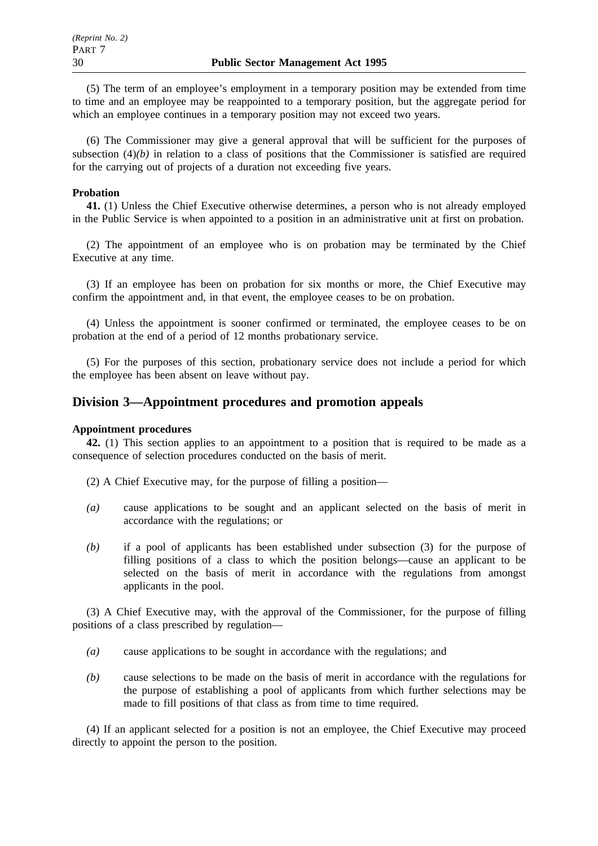(5) The term of an employee's employment in a temporary position may be extended from time to time and an employee may be reappointed to a temporary position, but the aggregate period for which an employee continues in a temporary position may not exceed two years.

(6) The Commissioner may give a general approval that will be sufficient for the purposes of subsection  $(4)(b)$  in relation to a class of positions that the Commissioner is satisfied are required for the carrying out of projects of a duration not exceeding five years.

## **Probation**

**41.** (1) Unless the Chief Executive otherwise determines, a person who is not already employed in the Public Service is when appointed to a position in an administrative unit at first on probation.

(2) The appointment of an employee who is on probation may be terminated by the Chief Executive at any time.

(3) If an employee has been on probation for six months or more, the Chief Executive may confirm the appointment and, in that event, the employee ceases to be on probation.

(4) Unless the appointment is sooner confirmed or terminated, the employee ceases to be on probation at the end of a period of 12 months probationary service.

(5) For the purposes of this section, probationary service does not include a period for which the employee has been absent on leave without pay.

# **Division 3—Appointment procedures and promotion appeals**

### **Appointment procedures**

**42.** (1) This section applies to an appointment to a position that is required to be made as a consequence of selection procedures conducted on the basis of merit.

(2) A Chief Executive may, for the purpose of filling a position—

- *(a)* cause applications to be sought and an applicant selected on the basis of merit in accordance with the regulations; or
- *(b)* if a pool of applicants has been established under subsection (3) for the purpose of filling positions of a class to which the position belongs—cause an applicant to be selected on the basis of merit in accordance with the regulations from amongst applicants in the pool.

(3) A Chief Executive may, with the approval of the Commissioner, for the purpose of filling positions of a class prescribed by regulation—

- *(a)* cause applications to be sought in accordance with the regulations; and
- *(b)* cause selections to be made on the basis of merit in accordance with the regulations for the purpose of establishing a pool of applicants from which further selections may be made to fill positions of that class as from time to time required.

(4) If an applicant selected for a position is not an employee, the Chief Executive may proceed directly to appoint the person to the position.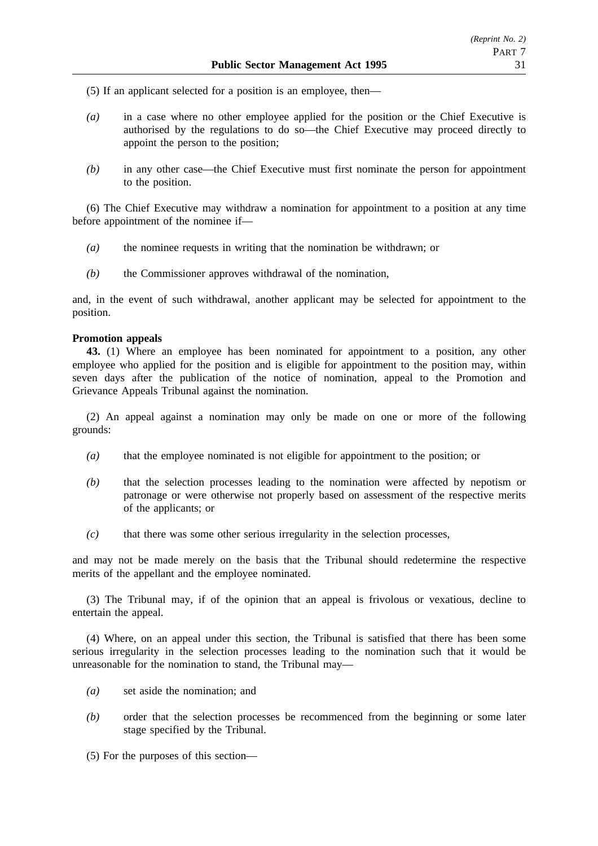(5) If an applicant selected for a position is an employee, then—

- *(a)* in a case where no other employee applied for the position or the Chief Executive is authorised by the regulations to do so—the Chief Executive may proceed directly to appoint the person to the position;
- *(b)* in any other case—the Chief Executive must first nominate the person for appointment to the position.

(6) The Chief Executive may withdraw a nomination for appointment to a position at any time before appointment of the nominee if—

- *(a)* the nominee requests in writing that the nomination be withdrawn; or
- *(b)* the Commissioner approves withdrawal of the nomination,

and, in the event of such withdrawal, another applicant may be selected for appointment to the position.

### **Promotion appeals**

**43.** (1) Where an employee has been nominated for appointment to a position, any other employee who applied for the position and is eligible for appointment to the position may, within seven days after the publication of the notice of nomination, appeal to the Promotion and Grievance Appeals Tribunal against the nomination.

(2) An appeal against a nomination may only be made on one or more of the following grounds:

- *(a)* that the employee nominated is not eligible for appointment to the position; or
- *(b)* that the selection processes leading to the nomination were affected by nepotism or patronage or were otherwise not properly based on assessment of the respective merits of the applicants; or
- *(c)* that there was some other serious irregularity in the selection processes,

and may not be made merely on the basis that the Tribunal should redetermine the respective merits of the appellant and the employee nominated.

(3) The Tribunal may, if of the opinion that an appeal is frivolous or vexatious, decline to entertain the appeal.

(4) Where, on an appeal under this section, the Tribunal is satisfied that there has been some serious irregularity in the selection processes leading to the nomination such that it would be unreasonable for the nomination to stand, the Tribunal may—

- *(a)* set aside the nomination; and
- *(b)* order that the selection processes be recommenced from the beginning or some later stage specified by the Tribunal.
- (5) For the purposes of this section—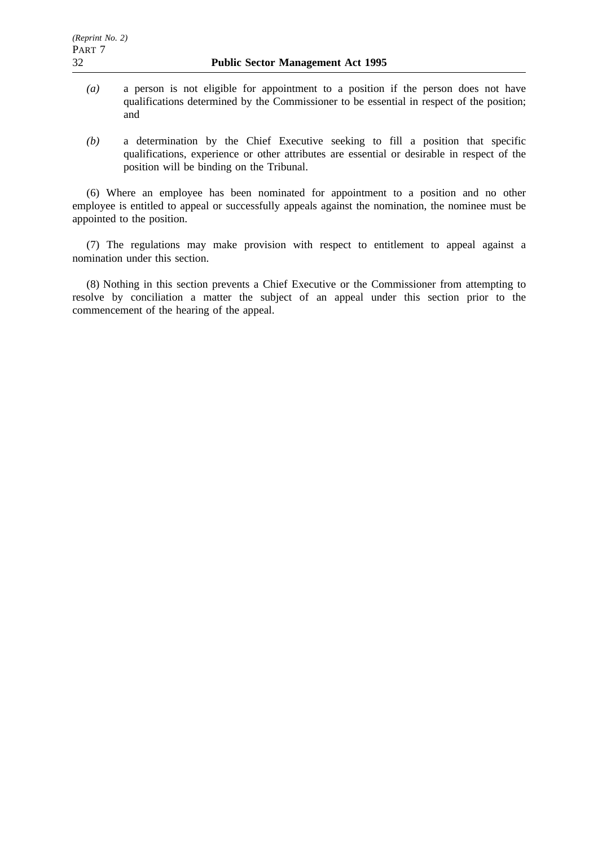- *(a)* a person is not eligible for appointment to a position if the person does not have qualifications determined by the Commissioner to be essential in respect of the position; and
- *(b)* a determination by the Chief Executive seeking to fill a position that specific qualifications, experience or other attributes are essential or desirable in respect of the position will be binding on the Tribunal.

(6) Where an employee has been nominated for appointment to a position and no other employee is entitled to appeal or successfully appeals against the nomination, the nominee must be appointed to the position.

(7) The regulations may make provision with respect to entitlement to appeal against a nomination under this section.

(8) Nothing in this section prevents a Chief Executive or the Commissioner from attempting to resolve by conciliation a matter the subject of an appeal under this section prior to the commencement of the hearing of the appeal.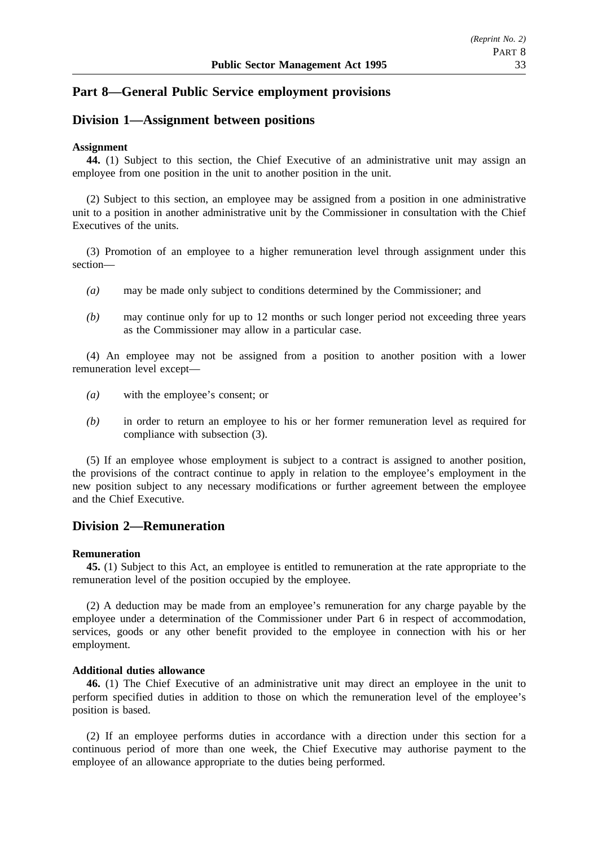# **Part 8—General Public Service employment provisions**

# **Division 1—Assignment between positions**

### **Assignment**

**44.** (1) Subject to this section, the Chief Executive of an administrative unit may assign an employee from one position in the unit to another position in the unit.

(2) Subject to this section, an employee may be assigned from a position in one administrative unit to a position in another administrative unit by the Commissioner in consultation with the Chief Executives of the units.

(3) Promotion of an employee to a higher remuneration level through assignment under this section—

- *(a)* may be made only subject to conditions determined by the Commissioner; and
- *(b)* may continue only for up to 12 months or such longer period not exceeding three years as the Commissioner may allow in a particular case.

(4) An employee may not be assigned from a position to another position with a lower remuneration level except—

- *(a)* with the employee's consent; or
- *(b)* in order to return an employee to his or her former remuneration level as required for compliance with subsection (3).

(5) If an employee whose employment is subject to a contract is assigned to another position, the provisions of the contract continue to apply in relation to the employee's employment in the new position subject to any necessary modifications or further agreement between the employee and the Chief Executive.

# **Division 2—Remuneration**

### **Remuneration**

**45.** (1) Subject to this Act, an employee is entitled to remuneration at the rate appropriate to the remuneration level of the position occupied by the employee.

(2) A deduction may be made from an employee's remuneration for any charge payable by the employee under a determination of the Commissioner under Part 6 in respect of accommodation, services, goods or any other benefit provided to the employee in connection with his or her employment.

### **Additional duties allowance**

**46.** (1) The Chief Executive of an administrative unit may direct an employee in the unit to perform specified duties in addition to those on which the remuneration level of the employee's position is based.

(2) If an employee performs duties in accordance with a direction under this section for a continuous period of more than one week, the Chief Executive may authorise payment to the employee of an allowance appropriate to the duties being performed.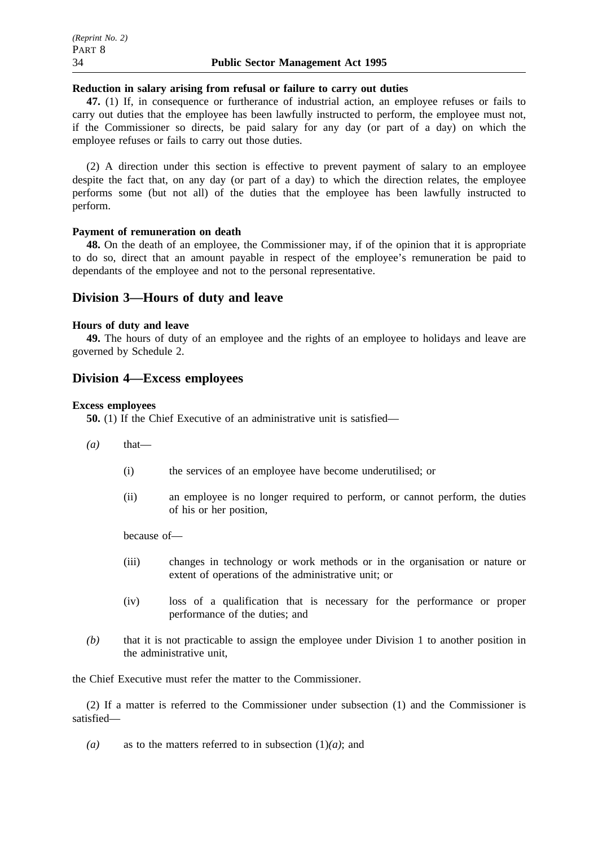### **Reduction in salary arising from refusal or failure to carry out duties**

**47.** (1) If, in consequence or furtherance of industrial action, an employee refuses or fails to carry out duties that the employee has been lawfully instructed to perform, the employee must not, if the Commissioner so directs, be paid salary for any day (or part of a day) on which the employee refuses or fails to carry out those duties.

(2) A direction under this section is effective to prevent payment of salary to an employee despite the fact that, on any day (or part of a day) to which the direction relates, the employee performs some (but not all) of the duties that the employee has been lawfully instructed to perform.

### **Payment of remuneration on death**

**48.** On the death of an employee, the Commissioner may, if of the opinion that it is appropriate to do so, direct that an amount payable in respect of the employee's remuneration be paid to dependants of the employee and not to the personal representative.

# **Division 3—Hours of duty and leave**

#### **Hours of duty and leave**

**49.** The hours of duty of an employee and the rights of an employee to holidays and leave are governed by Schedule 2.

# **Division 4—Excess employees**

#### **Excess employees**

**50.** (1) If the Chief Executive of an administrative unit is satisfied—

- $(a)$  that—
	- (i) the services of an employee have become underutilised; or
	- (ii) an employee is no longer required to perform, or cannot perform, the duties of his or her position,

because of—

- (iii) changes in technology or work methods or in the organisation or nature or extent of operations of the administrative unit; or
- (iv) loss of a qualification that is necessary for the performance or proper performance of the duties; and
- *(b)* that it is not practicable to assign the employee under Division 1 to another position in the administrative unit,

the Chief Executive must refer the matter to the Commissioner.

(2) If a matter is referred to the Commissioner under subsection (1) and the Commissioner is satisfied—

(a) as to the matters referred to in subsection  $(1)(a)$ ; and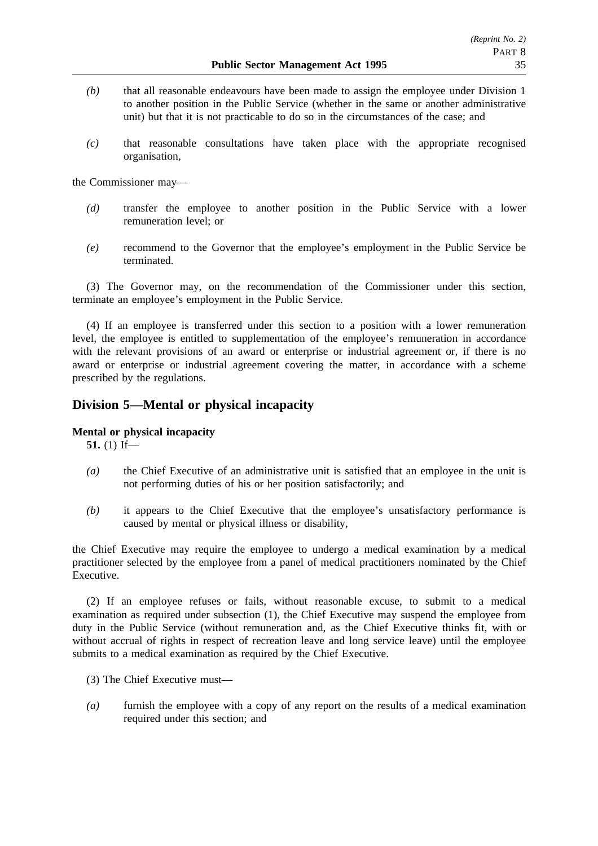- *(b)* that all reasonable endeavours have been made to assign the employee under Division 1 to another position in the Public Service (whether in the same or another administrative unit) but that it is not practicable to do so in the circumstances of the case; and
- *(c)* that reasonable consultations have taken place with the appropriate recognised organisation,

the Commissioner may—

- *(d)* transfer the employee to another position in the Public Service with a lower remuneration level; or
- *(e)* recommend to the Governor that the employee's employment in the Public Service be terminated.

(3) The Governor may, on the recommendation of the Commissioner under this section, terminate an employee's employment in the Public Service.

(4) If an employee is transferred under this section to a position with a lower remuneration level, the employee is entitled to supplementation of the employee's remuneration in accordance with the relevant provisions of an award or enterprise or industrial agreement or, if there is no award or enterprise or industrial agreement covering the matter, in accordance with a scheme prescribed by the regulations.

# **Division 5—Mental or physical incapacity**

### **Mental or physical incapacity**

**51.** (1) If—

- *(a)* the Chief Executive of an administrative unit is satisfied that an employee in the unit is not performing duties of his or her position satisfactorily; and
- *(b)* it appears to the Chief Executive that the employee's unsatisfactory performance is caused by mental or physical illness or disability,

the Chief Executive may require the employee to undergo a medical examination by a medical practitioner selected by the employee from a panel of medical practitioners nominated by the Chief Executive.

(2) If an employee refuses or fails, without reasonable excuse, to submit to a medical examination as required under subsection (1), the Chief Executive may suspend the employee from duty in the Public Service (without remuneration and, as the Chief Executive thinks fit, with or without accrual of rights in respect of recreation leave and long service leave) until the employee submits to a medical examination as required by the Chief Executive.

- (3) The Chief Executive must—
- *(a)* furnish the employee with a copy of any report on the results of a medical examination required under this section; and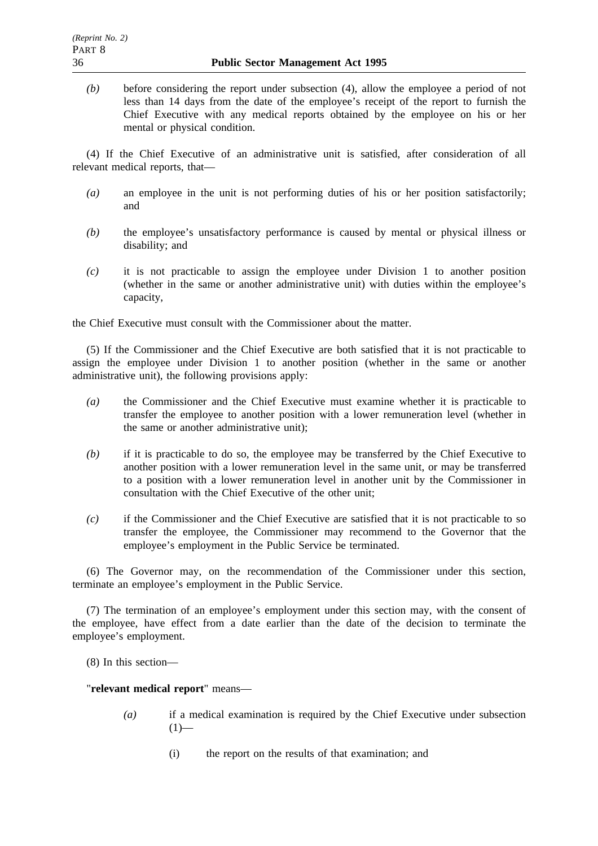*(b)* before considering the report under subsection (4), allow the employee a period of not less than 14 days from the date of the employee's receipt of the report to furnish the Chief Executive with any medical reports obtained by the employee on his or her mental or physical condition.

(4) If the Chief Executive of an administrative unit is satisfied, after consideration of all relevant medical reports, that—

- *(a)* an employee in the unit is not performing duties of his or her position satisfactorily; and
- *(b)* the employee's unsatisfactory performance is caused by mental or physical illness or disability; and
- *(c)* it is not practicable to assign the employee under Division 1 to another position (whether in the same or another administrative unit) with duties within the employee's capacity,

the Chief Executive must consult with the Commissioner about the matter.

(5) If the Commissioner and the Chief Executive are both satisfied that it is not practicable to assign the employee under Division 1 to another position (whether in the same or another administrative unit), the following provisions apply:

- *(a)* the Commissioner and the Chief Executive must examine whether it is practicable to transfer the employee to another position with a lower remuneration level (whether in the same or another administrative unit);
- *(b)* if it is practicable to do so, the employee may be transferred by the Chief Executive to another position with a lower remuneration level in the same unit, or may be transferred to a position with a lower remuneration level in another unit by the Commissioner in consultation with the Chief Executive of the other unit;
- *(c)* if the Commissioner and the Chief Executive are satisfied that it is not practicable to so transfer the employee, the Commissioner may recommend to the Governor that the employee's employment in the Public Service be terminated.

(6) The Governor may, on the recommendation of the Commissioner under this section, terminate an employee's employment in the Public Service.

(7) The termination of an employee's employment under this section may, with the consent of the employee, have effect from a date earlier than the date of the decision to terminate the employee's employment.

(8) In this section—

"**relevant medical report**" means—

- *(a)* if a medical examination is required by the Chief Executive under subsection  $(1)$ —
	- (i) the report on the results of that examination; and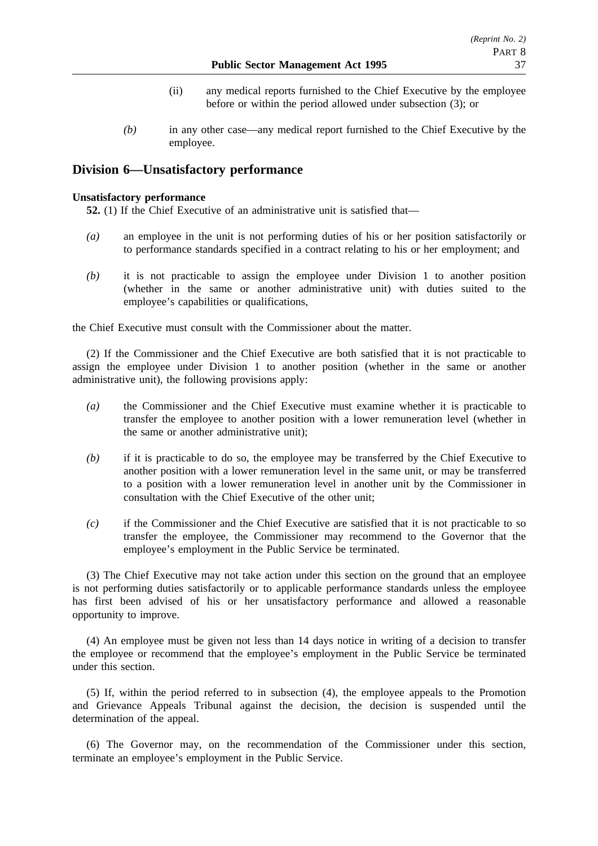- (ii) any medical reports furnished to the Chief Executive by the employee before or within the period allowed under subsection (3); or
- *(b)* in any other case—any medical report furnished to the Chief Executive by the employee.

# **Division 6—Unsatisfactory performance**

### **Unsatisfactory performance**

**52.** (1) If the Chief Executive of an administrative unit is satisfied that—

- *(a)* an employee in the unit is not performing duties of his or her position satisfactorily or to performance standards specified in a contract relating to his or her employment; and
- *(b)* it is not practicable to assign the employee under Division 1 to another position (whether in the same or another administrative unit) with duties suited to the employee's capabilities or qualifications,

the Chief Executive must consult with the Commissioner about the matter.

(2) If the Commissioner and the Chief Executive are both satisfied that it is not practicable to assign the employee under Division 1 to another position (whether in the same or another administrative unit), the following provisions apply:

- *(a)* the Commissioner and the Chief Executive must examine whether it is practicable to transfer the employee to another position with a lower remuneration level (whether in the same or another administrative unit);
- *(b)* if it is practicable to do so, the employee may be transferred by the Chief Executive to another position with a lower remuneration level in the same unit, or may be transferred to a position with a lower remuneration level in another unit by the Commissioner in consultation with the Chief Executive of the other unit;
- *(c)* if the Commissioner and the Chief Executive are satisfied that it is not practicable to so transfer the employee, the Commissioner may recommend to the Governor that the employee's employment in the Public Service be terminated.

(3) The Chief Executive may not take action under this section on the ground that an employee is not performing duties satisfactorily or to applicable performance standards unless the employee has first been advised of his or her unsatisfactory performance and allowed a reasonable opportunity to improve.

(4) An employee must be given not less than 14 days notice in writing of a decision to transfer the employee or recommend that the employee's employment in the Public Service be terminated under this section.

(5) If, within the period referred to in subsection (4), the employee appeals to the Promotion and Grievance Appeals Tribunal against the decision, the decision is suspended until the determination of the appeal.

(6) The Governor may, on the recommendation of the Commissioner under this section, terminate an employee's employment in the Public Service.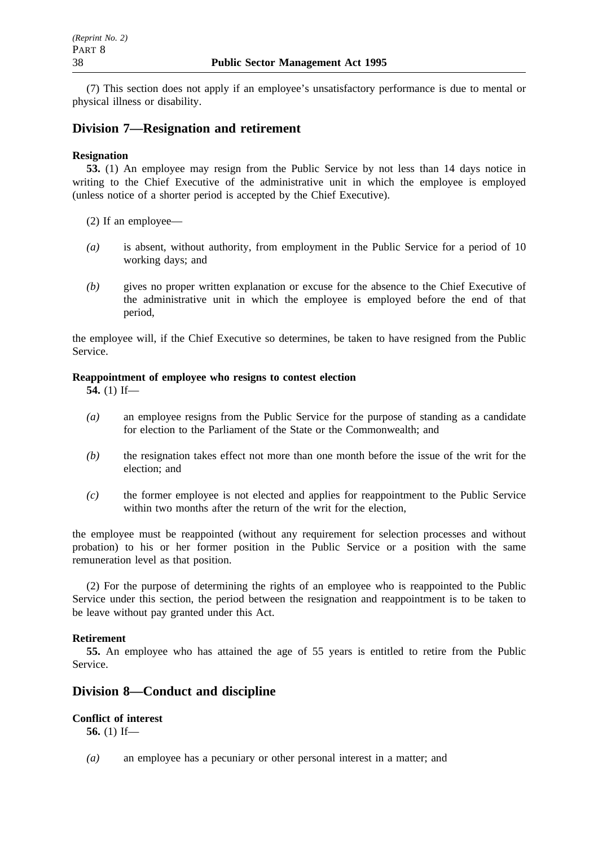(7) This section does not apply if an employee's unsatisfactory performance is due to mental or physical illness or disability.

# **Division 7—Resignation and retirement**

## **Resignation**

**53.** (1) An employee may resign from the Public Service by not less than 14 days notice in writing to the Chief Executive of the administrative unit in which the employee is employed (unless notice of a shorter period is accepted by the Chief Executive).

- (2) If an employee—
- *(a)* is absent, without authority, from employment in the Public Service for a period of 10 working days; and
- *(b)* gives no proper written explanation or excuse for the absence to the Chief Executive of the administrative unit in which the employee is employed before the end of that period,

the employee will, if the Chief Executive so determines, be taken to have resigned from the Public Service.

### **Reappointment of employee who resigns to contest election**

**54.** (1) If—

- *(a)* an employee resigns from the Public Service for the purpose of standing as a candidate for election to the Parliament of the State or the Commonwealth; and
- *(b)* the resignation takes effect not more than one month before the issue of the writ for the election; and
- *(c)* the former employee is not elected and applies for reappointment to the Public Service within two months after the return of the writ for the election.

the employee must be reappointed (without any requirement for selection processes and without probation) to his or her former position in the Public Service or a position with the same remuneration level as that position.

(2) For the purpose of determining the rights of an employee who is reappointed to the Public Service under this section, the period between the resignation and reappointment is to be taken to be leave without pay granted under this Act.

# **Retirement**

**55.** An employee who has attained the age of 55 years is entitled to retire from the Public Service.

# **Division 8—Conduct and discipline**

# **Conflict of interest**

**56.** (1) If—

*(a)* an employee has a pecuniary or other personal interest in a matter; and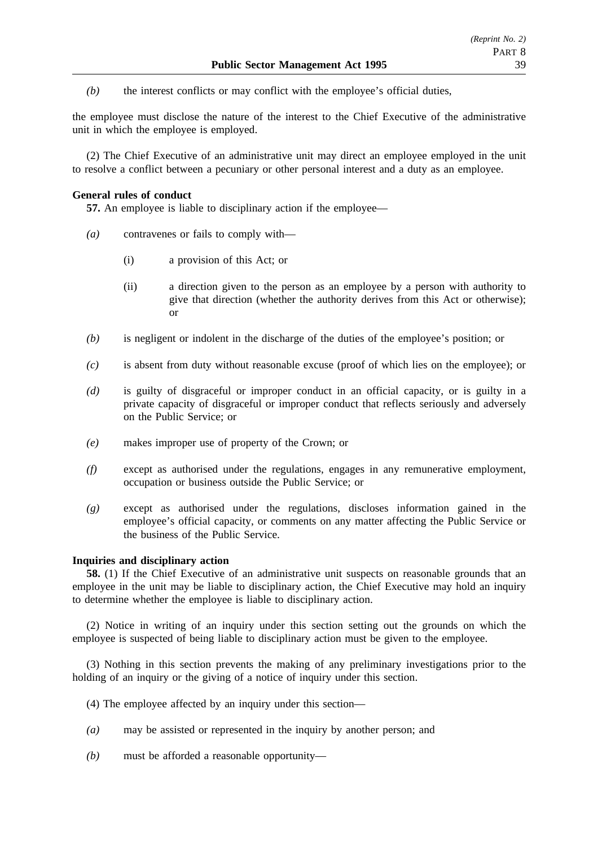*(b)* the interest conflicts or may conflict with the employee's official duties,

the employee must disclose the nature of the interest to the Chief Executive of the administrative unit in which the employee is employed.

(2) The Chief Executive of an administrative unit may direct an employee employed in the unit to resolve a conflict between a pecuniary or other personal interest and a duty as an employee.

## **General rules of conduct**

**57.** An employee is liable to disciplinary action if the employee—

- *(a)* contravenes or fails to comply with—
	- (i) a provision of this Act; or
	- (ii) a direction given to the person as an employee by a person with authority to give that direction (whether the authority derives from this Act or otherwise); or
- *(b)* is negligent or indolent in the discharge of the duties of the employee's position; or
- *(c)* is absent from duty without reasonable excuse (proof of which lies on the employee); or
- *(d)* is guilty of disgraceful or improper conduct in an official capacity, or is guilty in a private capacity of disgraceful or improper conduct that reflects seriously and adversely on the Public Service; or
- *(e)* makes improper use of property of the Crown; or
- *(f)* except as authorised under the regulations, engages in any remunerative employment, occupation or business outside the Public Service; or
- *(g)* except as authorised under the regulations, discloses information gained in the employee's official capacity, or comments on any matter affecting the Public Service or the business of the Public Service.

## **Inquiries and disciplinary action**

**58.** (1) If the Chief Executive of an administrative unit suspects on reasonable grounds that an employee in the unit may be liable to disciplinary action, the Chief Executive may hold an inquiry to determine whether the employee is liable to disciplinary action.

(2) Notice in writing of an inquiry under this section setting out the grounds on which the employee is suspected of being liable to disciplinary action must be given to the employee.

(3) Nothing in this section prevents the making of any preliminary investigations prior to the holding of an inquiry or the giving of a notice of inquiry under this section.

- (4) The employee affected by an inquiry under this section—
- *(a)* may be assisted or represented in the inquiry by another person; and
- *(b)* must be afforded a reasonable opportunity—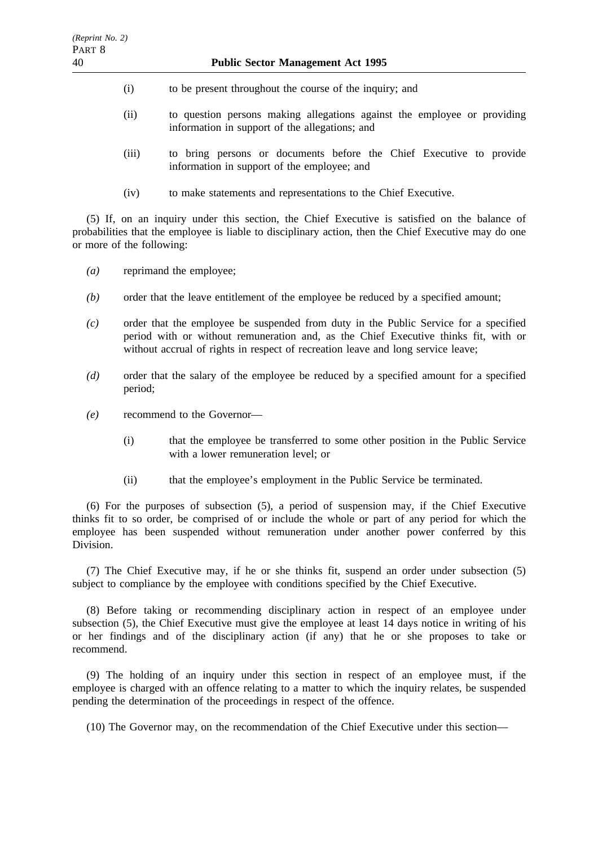- (i) to be present throughout the course of the inquiry; and
- (ii) to question persons making allegations against the employee or providing information in support of the allegations; and
- (iii) to bring persons or documents before the Chief Executive to provide information in support of the employee; and
- (iv) to make statements and representations to the Chief Executive.

(5) If, on an inquiry under this section, the Chief Executive is satisfied on the balance of probabilities that the employee is liable to disciplinary action, then the Chief Executive may do one or more of the following:

- *(a)* reprimand the employee;
- *(b)* order that the leave entitlement of the employee be reduced by a specified amount;
- *(c)* order that the employee be suspended from duty in the Public Service for a specified period with or without remuneration and, as the Chief Executive thinks fit, with or without accrual of rights in respect of recreation leave and long service leave:
- *(d)* order that the salary of the employee be reduced by a specified amount for a specified period;
- *(e)* recommend to the Governor—
	- (i) that the employee be transferred to some other position in the Public Service with a lower remuneration level; or
	- (ii) that the employee's employment in the Public Service be terminated.

(6) For the purposes of subsection (5), a period of suspension may, if the Chief Executive thinks fit to so order, be comprised of or include the whole or part of any period for which the employee has been suspended without remuneration under another power conferred by this Division.

(7) The Chief Executive may, if he or she thinks fit, suspend an order under subsection (5) subject to compliance by the employee with conditions specified by the Chief Executive.

(8) Before taking or recommending disciplinary action in respect of an employee under subsection (5), the Chief Executive must give the employee at least 14 days notice in writing of his or her findings and of the disciplinary action (if any) that he or she proposes to take or recommend.

(9) The holding of an inquiry under this section in respect of an employee must, if the employee is charged with an offence relating to a matter to which the inquiry relates, be suspended pending the determination of the proceedings in respect of the offence.

(10) The Governor may, on the recommendation of the Chief Executive under this section—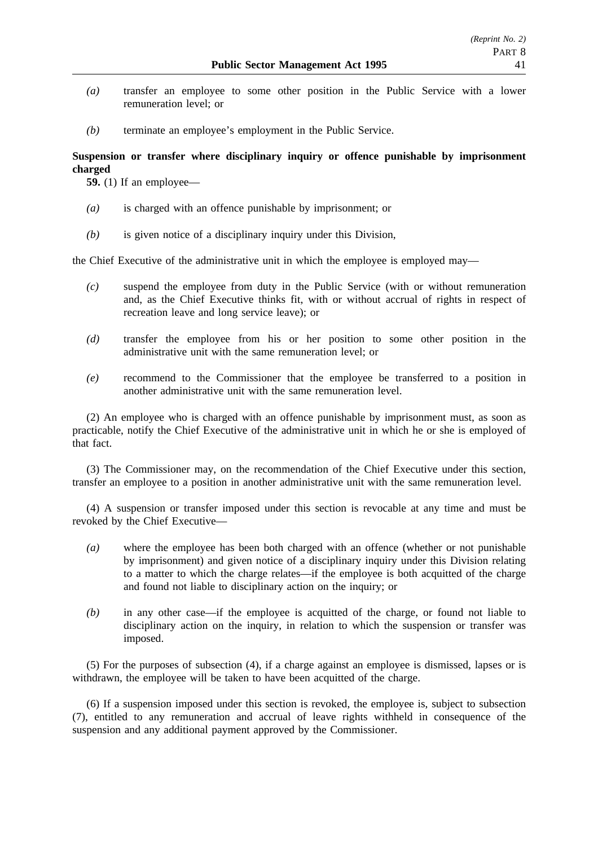- *(a)* transfer an employee to some other position in the Public Service with a lower remuneration level; or
- *(b)* terminate an employee's employment in the Public Service.

# **Suspension or transfer where disciplinary inquiry or offence punishable by imprisonment charged**

**59.** (1) If an employee—

- *(a)* is charged with an offence punishable by imprisonment; or
- *(b)* is given notice of a disciplinary inquiry under this Division,

the Chief Executive of the administrative unit in which the employee is employed may—

- *(c)* suspend the employee from duty in the Public Service (with or without remuneration and, as the Chief Executive thinks fit, with or without accrual of rights in respect of recreation leave and long service leave); or
- *(d)* transfer the employee from his or her position to some other position in the administrative unit with the same remuneration level; or
- *(e)* recommend to the Commissioner that the employee be transferred to a position in another administrative unit with the same remuneration level.

(2) An employee who is charged with an offence punishable by imprisonment must, as soon as practicable, notify the Chief Executive of the administrative unit in which he or she is employed of that fact.

(3) The Commissioner may, on the recommendation of the Chief Executive under this section, transfer an employee to a position in another administrative unit with the same remuneration level.

(4) A suspension or transfer imposed under this section is revocable at any time and must be revoked by the Chief Executive—

- *(a)* where the employee has been both charged with an offence (whether or not punishable by imprisonment) and given notice of a disciplinary inquiry under this Division relating to a matter to which the charge relates—if the employee is both acquitted of the charge and found not liable to disciplinary action on the inquiry; or
- *(b)* in any other case—if the employee is acquitted of the charge, or found not liable to disciplinary action on the inquiry, in relation to which the suspension or transfer was imposed.

(5) For the purposes of subsection (4), if a charge against an employee is dismissed, lapses or is withdrawn, the employee will be taken to have been acquitted of the charge.

(6) If a suspension imposed under this section is revoked, the employee is, subject to subsection (7), entitled to any remuneration and accrual of leave rights withheld in consequence of the suspension and any additional payment approved by the Commissioner.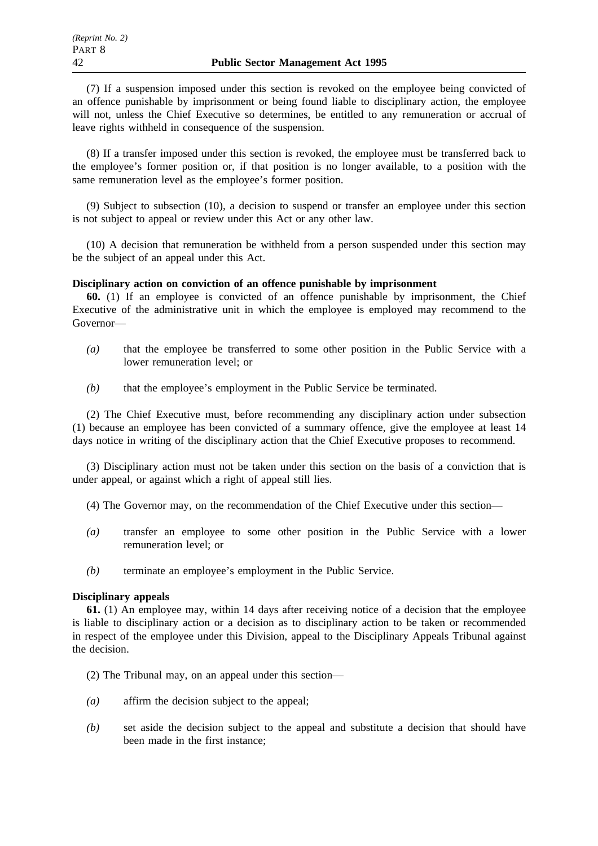(7) If a suspension imposed under this section is revoked on the employee being convicted of an offence punishable by imprisonment or being found liable to disciplinary action, the employee will not, unless the Chief Executive so determines, be entitled to any remuneration or accrual of leave rights withheld in consequence of the suspension.

(8) If a transfer imposed under this section is revoked, the employee must be transferred back to the employee's former position or, if that position is no longer available, to a position with the same remuneration level as the employee's former position.

(9) Subject to subsection (10), a decision to suspend or transfer an employee under this section is not subject to appeal or review under this Act or any other law.

(10) A decision that remuneration be withheld from a person suspended under this section may be the subject of an appeal under this Act.

## **Disciplinary action on conviction of an offence punishable by imprisonment**

**60.** (1) If an employee is convicted of an offence punishable by imprisonment, the Chief Executive of the administrative unit in which the employee is employed may recommend to the Governor—

- *(a)* that the employee be transferred to some other position in the Public Service with a lower remuneration level; or
- *(b)* that the employee's employment in the Public Service be terminated.

(2) The Chief Executive must, before recommending any disciplinary action under subsection (1) because an employee has been convicted of a summary offence, give the employee at least 14 days notice in writing of the disciplinary action that the Chief Executive proposes to recommend.

(3) Disciplinary action must not be taken under this section on the basis of a conviction that is under appeal, or against which a right of appeal still lies.

- (4) The Governor may, on the recommendation of the Chief Executive under this section—
- *(a)* transfer an employee to some other position in the Public Service with a lower remuneration level; or
- *(b)* terminate an employee's employment in the Public Service.

# **Disciplinary appeals**

**61.** (1) An employee may, within 14 days after receiving notice of a decision that the employee is liable to disciplinary action or a decision as to disciplinary action to be taken or recommended in respect of the employee under this Division, appeal to the Disciplinary Appeals Tribunal against the decision.

(2) The Tribunal may, on an appeal under this section—

- *(a)* affirm the decision subject to the appeal;
- *(b)* set aside the decision subject to the appeal and substitute a decision that should have been made in the first instance;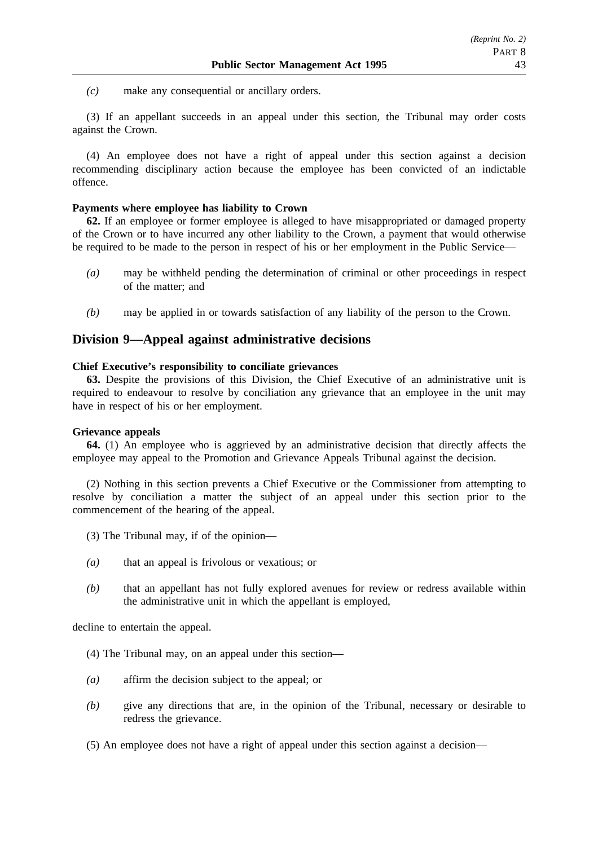*(c)* make any consequential or ancillary orders.

(3) If an appellant succeeds in an appeal under this section, the Tribunal may order costs against the Crown.

(4) An employee does not have a right of appeal under this section against a decision recommending disciplinary action because the employee has been convicted of an indictable offence.

### **Payments where employee has liability to Crown**

**62.** If an employee or former employee is alleged to have misappropriated or damaged property of the Crown or to have incurred any other liability to the Crown, a payment that would otherwise be required to be made to the person in respect of his or her employment in the Public Service—

- *(a)* may be withheld pending the determination of criminal or other proceedings in respect of the matter; and
- *(b)* may be applied in or towards satisfaction of any liability of the person to the Crown.

# **Division 9—Appeal against administrative decisions**

### **Chief Executive's responsibility to conciliate grievances**

**63.** Despite the provisions of this Division, the Chief Executive of an administrative unit is required to endeavour to resolve by conciliation any grievance that an employee in the unit may have in respect of his or her employment.

### **Grievance appeals**

**64.** (1) An employee who is aggrieved by an administrative decision that directly affects the employee may appeal to the Promotion and Grievance Appeals Tribunal against the decision.

(2) Nothing in this section prevents a Chief Executive or the Commissioner from attempting to resolve by conciliation a matter the subject of an appeal under this section prior to the commencement of the hearing of the appeal.

- (3) The Tribunal may, if of the opinion—
- *(a)* that an appeal is frivolous or vexatious; or
- *(b)* that an appellant has not fully explored avenues for review or redress available within the administrative unit in which the appellant is employed,

decline to entertain the appeal.

- (4) The Tribunal may, on an appeal under this section—
- *(a)* affirm the decision subject to the appeal; or
- *(b)* give any directions that are, in the opinion of the Tribunal, necessary or desirable to redress the grievance.
- (5) An employee does not have a right of appeal under this section against a decision—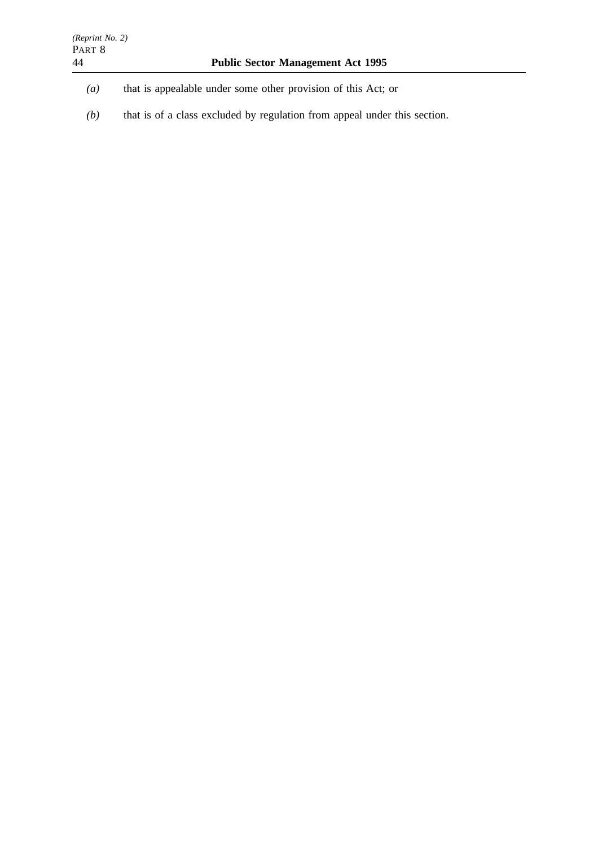- *(a)* that is appealable under some other provision of this Act; or
- *(b)* that is of a class excluded by regulation from appeal under this section.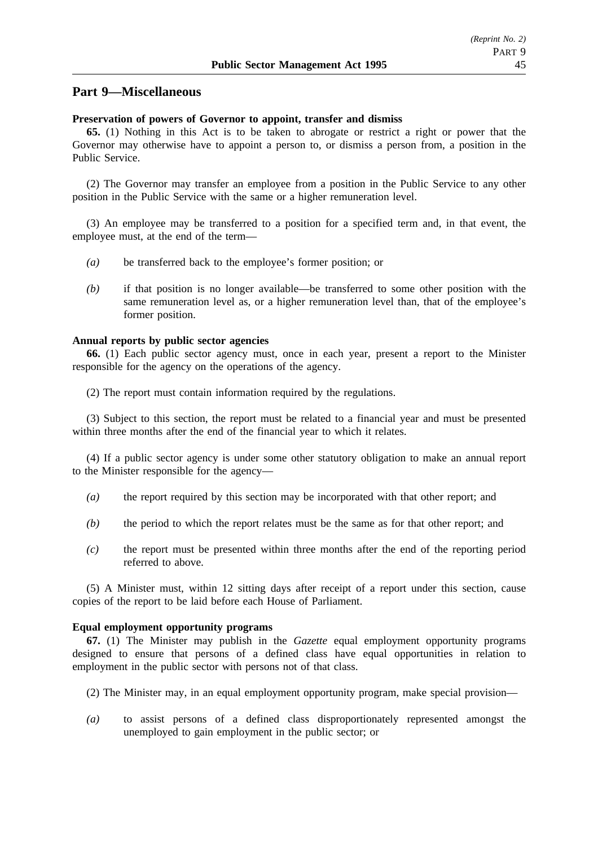# **Part 9—Miscellaneous**

## **Preservation of powers of Governor to appoint, transfer and dismiss**

**65.** (1) Nothing in this Act is to be taken to abrogate or restrict a right or power that the Governor may otherwise have to appoint a person to, or dismiss a person from, a position in the Public Service.

(2) The Governor may transfer an employee from a position in the Public Service to any other position in the Public Service with the same or a higher remuneration level.

(3) An employee may be transferred to a position for a specified term and, in that event, the employee must, at the end of the term—

- *(a)* be transferred back to the employee's former position; or
- *(b)* if that position is no longer available—be transferred to some other position with the same remuneration level as, or a higher remuneration level than, that of the employee's former position.

#### **Annual reports by public sector agencies**

**66.** (1) Each public sector agency must, once in each year, present a report to the Minister responsible for the agency on the operations of the agency.

(2) The report must contain information required by the regulations.

(3) Subject to this section, the report must be related to a financial year and must be presented within three months after the end of the financial year to which it relates.

(4) If a public sector agency is under some other statutory obligation to make an annual report to the Minister responsible for the agency—

- *(a)* the report required by this section may be incorporated with that other report; and
- *(b)* the period to which the report relates must be the same as for that other report; and
- *(c)* the report must be presented within three months after the end of the reporting period referred to above.

(5) A Minister must, within 12 sitting days after receipt of a report under this section, cause copies of the report to be laid before each House of Parliament.

#### **Equal employment opportunity programs**

**67.** (1) The Minister may publish in the *Gazette* equal employment opportunity programs designed to ensure that persons of a defined class have equal opportunities in relation to employment in the public sector with persons not of that class.

- (2) The Minister may, in an equal employment opportunity program, make special provision—
- *(a)* to assist persons of a defined class disproportionately represented amongst the unemployed to gain employment in the public sector; or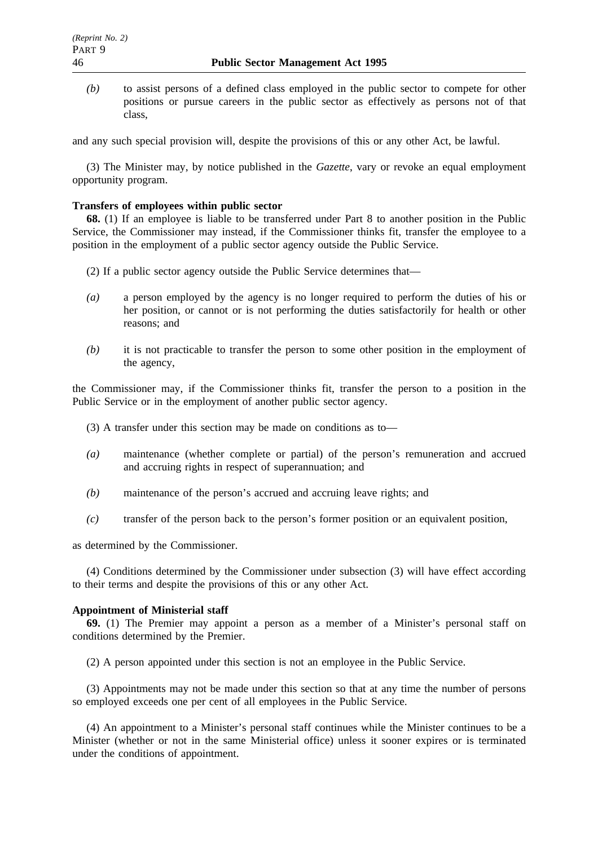*(b)* to assist persons of a defined class employed in the public sector to compete for other positions or pursue careers in the public sector as effectively as persons not of that class,

and any such special provision will, despite the provisions of this or any other Act, be lawful.

(3) The Minister may, by notice published in the *Gazette*, vary or revoke an equal employment opportunity program.

## **Transfers of employees within public sector**

**68.** (1) If an employee is liable to be transferred under Part 8 to another position in the Public Service, the Commissioner may instead, if the Commissioner thinks fit, transfer the employee to a position in the employment of a public sector agency outside the Public Service.

- (2) If a public sector agency outside the Public Service determines that—
- *(a)* a person employed by the agency is no longer required to perform the duties of his or her position, or cannot or is not performing the duties satisfactorily for health or other reasons; and
- *(b)* it is not practicable to transfer the person to some other position in the employment of the agency,

the Commissioner may, if the Commissioner thinks fit, transfer the person to a position in the Public Service or in the employment of another public sector agency.

- (3) A transfer under this section may be made on conditions as to—
- *(a)* maintenance (whether complete or partial) of the person's remuneration and accrued and accruing rights in respect of superannuation; and
- *(b)* maintenance of the person's accrued and accruing leave rights; and
- *(c)* transfer of the person back to the person's former position or an equivalent position,

as determined by the Commissioner.

(4) Conditions determined by the Commissioner under subsection (3) will have effect according to their terms and despite the provisions of this or any other Act.

# **Appointment of Ministerial staff**

**69.** (1) The Premier may appoint a person as a member of a Minister's personal staff on conditions determined by the Premier.

(2) A person appointed under this section is not an employee in the Public Service.

(3) Appointments may not be made under this section so that at any time the number of persons so employed exceeds one per cent of all employees in the Public Service.

(4) An appointment to a Minister's personal staff continues while the Minister continues to be a Minister (whether or not in the same Ministerial office) unless it sooner expires or is terminated under the conditions of appointment.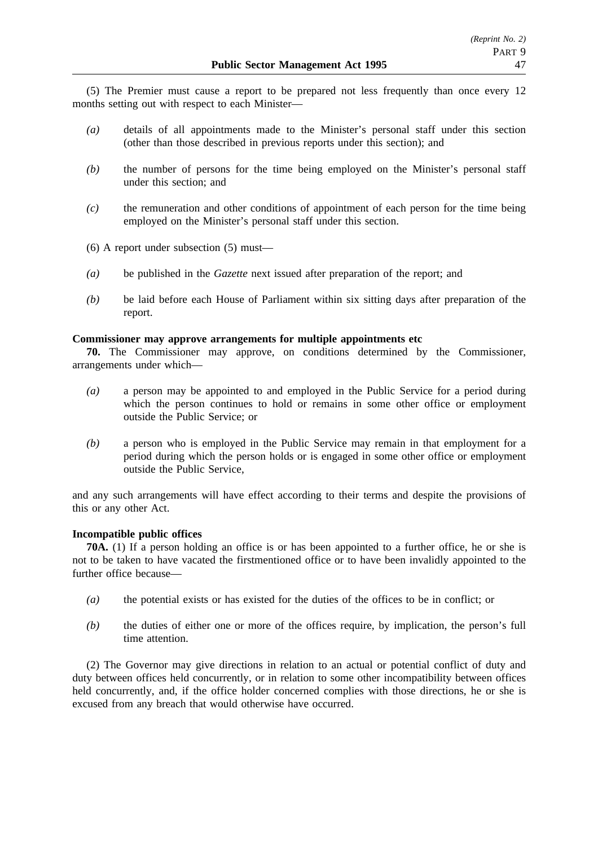(5) The Premier must cause a report to be prepared not less frequently than once every 12 months setting out with respect to each Minister—

- *(a)* details of all appointments made to the Minister's personal staff under this section (other than those described in previous reports under this section); and
- *(b)* the number of persons for the time being employed on the Minister's personal staff under this section; and
- *(c)* the remuneration and other conditions of appointment of each person for the time being employed on the Minister's personal staff under this section.
- (6) A report under subsection (5) must—
- *(a)* be published in the *Gazette* next issued after preparation of the report; and
- *(b)* be laid before each House of Parliament within six sitting days after preparation of the report.

### **Commissioner may approve arrangements for multiple appointments etc**

**70.** The Commissioner may approve, on conditions determined by the Commissioner, arrangements under which—

- *(a)* a person may be appointed to and employed in the Public Service for a period during which the person continues to hold or remains in some other office or employment outside the Public Service; or
- *(b)* a person who is employed in the Public Service may remain in that employment for a period during which the person holds or is engaged in some other office or employment outside the Public Service,

and any such arrangements will have effect according to their terms and despite the provisions of this or any other Act.

# **Incompatible public offices**

**70A.** (1) If a person holding an office is or has been appointed to a further office, he or she is not to be taken to have vacated the firstmentioned office or to have been invalidly appointed to the further office because—

- *(a)* the potential exists or has existed for the duties of the offices to be in conflict; or
- *(b)* the duties of either one or more of the offices require, by implication, the person's full time attention.

(2) The Governor may give directions in relation to an actual or potential conflict of duty and duty between offices held concurrently, or in relation to some other incompatibility between offices held concurrently, and, if the office holder concerned complies with those directions, he or she is excused from any breach that would otherwise have occurred.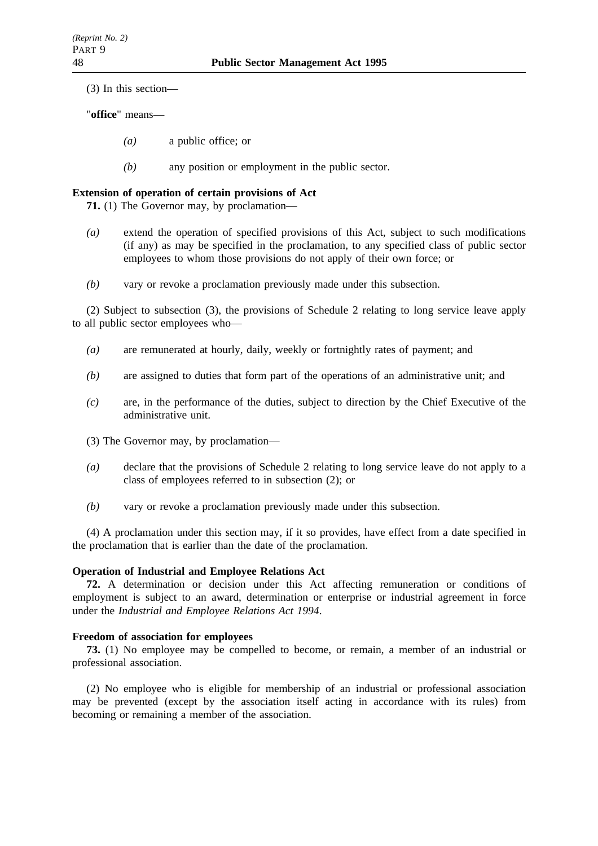(3) In this section—

"**office**" means—

- *(a)* a public office; or
- *(b)* any position or employment in the public sector.

# **Extension of operation of certain provisions of Act**

**71.** (1) The Governor may, by proclamation—

- *(a)* extend the operation of specified provisions of this Act, subject to such modifications (if any) as may be specified in the proclamation, to any specified class of public sector employees to whom those provisions do not apply of their own force; or
- *(b)* vary or revoke a proclamation previously made under this subsection.

(2) Subject to subsection (3), the provisions of Schedule 2 relating to long service leave apply to all public sector employees who—

- *(a)* are remunerated at hourly, daily, weekly or fortnightly rates of payment; and
- *(b)* are assigned to duties that form part of the operations of an administrative unit; and
- *(c)* are, in the performance of the duties, subject to direction by the Chief Executive of the administrative unit.
- (3) The Governor may, by proclamation—
- *(a)* declare that the provisions of Schedule 2 relating to long service leave do not apply to a class of employees referred to in subsection (2); or
- *(b)* vary or revoke a proclamation previously made under this subsection.

(4) A proclamation under this section may, if it so provides, have effect from a date specified in the proclamation that is earlier than the date of the proclamation.

#### **Operation of Industrial and Employee Relations Act**

**72.** A determination or decision under this Act affecting remuneration or conditions of employment is subject to an award, determination or enterprise or industrial agreement in force under the *Industrial and Employee Relations Act 1994*.

### **Freedom of association for employees**

**73.** (1) No employee may be compelled to become, or remain, a member of an industrial or professional association.

(2) No employee who is eligible for membership of an industrial or professional association may be prevented (except by the association itself acting in accordance with its rules) from becoming or remaining a member of the association.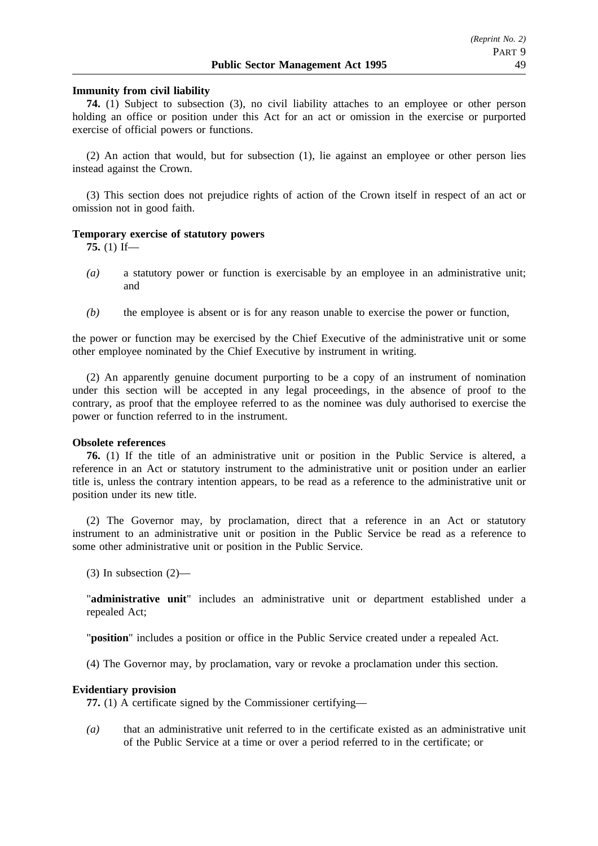### **Immunity from civil liability**

**74.** (1) Subject to subsection (3), no civil liability attaches to an employee or other person holding an office or position under this Act for an act or omission in the exercise or purported exercise of official powers or functions.

(2) An action that would, but for subsection (1), lie against an employee or other person lies instead against the Crown.

(3) This section does not prejudice rights of action of the Crown itself in respect of an act or omission not in good faith.

#### **Temporary exercise of statutory powers**

**75.** (1) If—

- *(a)* a statutory power or function is exercisable by an employee in an administrative unit; and
- *(b)* the employee is absent or is for any reason unable to exercise the power or function,

the power or function may be exercised by the Chief Executive of the administrative unit or some other employee nominated by the Chief Executive by instrument in writing.

(2) An apparently genuine document purporting to be a copy of an instrument of nomination under this section will be accepted in any legal proceedings, in the absence of proof to the contrary, as proof that the employee referred to as the nominee was duly authorised to exercise the power or function referred to in the instrument.

### **Obsolete references**

**76.** (1) If the title of an administrative unit or position in the Public Service is altered, a reference in an Act or statutory instrument to the administrative unit or position under an earlier title is, unless the contrary intention appears, to be read as a reference to the administrative unit or position under its new title.

(2) The Governor may, by proclamation, direct that a reference in an Act or statutory instrument to an administrative unit or position in the Public Service be read as a reference to some other administrative unit or position in the Public Service.

(3) In subsection (2)—

"**administrative unit**" includes an administrative unit or department established under a repealed Act;

"**position**" includes a position or office in the Public Service created under a repealed Act.

(4) The Governor may, by proclamation, vary or revoke a proclamation under this section.

### **Evidentiary provision**

**77.** (1) A certificate signed by the Commissioner certifying—

*(a)* that an administrative unit referred to in the certificate existed as an administrative unit of the Public Service at a time or over a period referred to in the certificate; or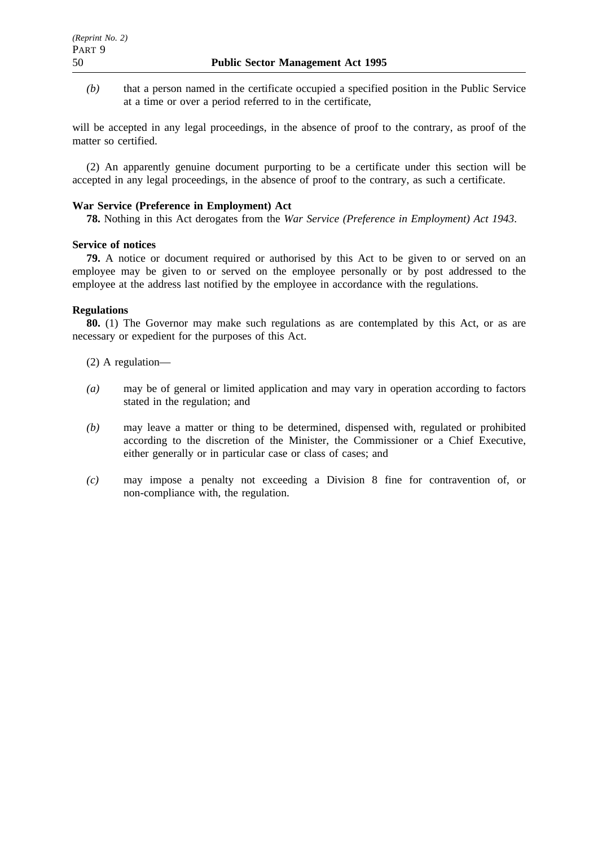*(b)* that a person named in the certificate occupied a specified position in the Public Service at a time or over a period referred to in the certificate,

will be accepted in any legal proceedings, in the absence of proof to the contrary, as proof of the matter so certified.

(2) An apparently genuine document purporting to be a certificate under this section will be accepted in any legal proceedings, in the absence of proof to the contrary, as such a certificate.

# **War Service (Preference in Employment) Act**

**78.** Nothing in this Act derogates from the *War Service (Preference in Employment) Act 1943*.

### **Service of notices**

**79.** A notice or document required or authorised by this Act to be given to or served on an employee may be given to or served on the employee personally or by post addressed to the employee at the address last notified by the employee in accordance with the regulations.

## **Regulations**

**80.** (1) The Governor may make such regulations as are contemplated by this Act, or as are necessary or expedient for the purposes of this Act.

- (2) A regulation—
- *(a)* may be of general or limited application and may vary in operation according to factors stated in the regulation; and
- *(b)* may leave a matter or thing to be determined, dispensed with, regulated or prohibited according to the discretion of the Minister, the Commissioner or a Chief Executive, either generally or in particular case or class of cases; and
- *(c)* may impose a penalty not exceeding a Division 8 fine for contravention of, or non-compliance with, the regulation.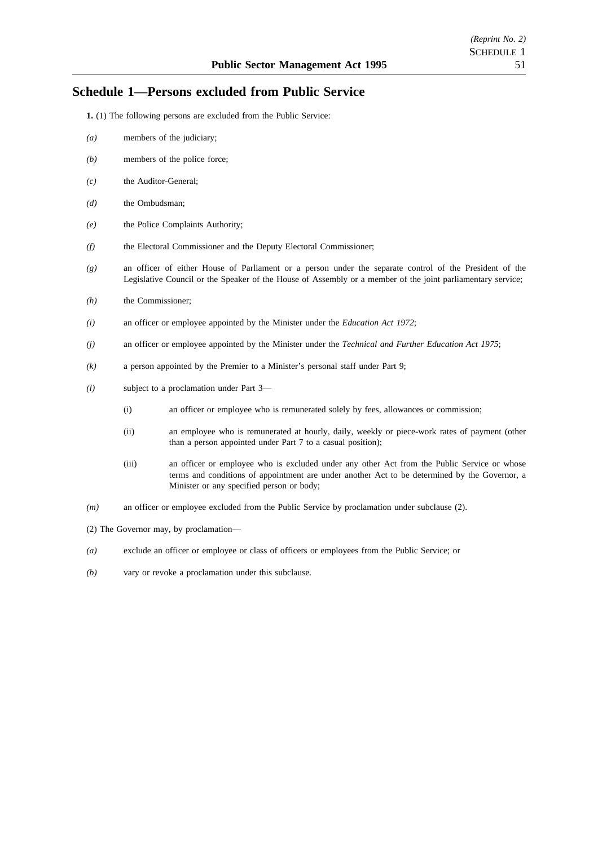# **Schedule 1—Persons excluded from Public Service**

- **1.** (1) The following persons are excluded from the Public Service:
- *(a)* members of the judiciary;
- *(b)* members of the police force;
- *(c)* the Auditor-General;
- *(d)* the Ombudsman;
- *(e)* the Police Complaints Authority;
- *(f)* the Electoral Commissioner and the Deputy Electoral Commissioner;
- *(g)* an officer of either House of Parliament or a person under the separate control of the President of the Legislative Council or the Speaker of the House of Assembly or a member of the joint parliamentary service;
- *(h)* the Commissioner;
- *(i)* an officer or employee appointed by the Minister under the *Education Act 1972*;
- *(j)* an officer or employee appointed by the Minister under the *Technical and Further Education Act 1975*;
- *(k)* a person appointed by the Premier to a Minister's personal staff under Part 9;
- *(l)* subject to a proclamation under Part 3—
	- (i) an officer or employee who is remunerated solely by fees, allowances or commission;
	- (ii) an employee who is remunerated at hourly, daily, weekly or piece-work rates of payment (other than a person appointed under Part 7 to a casual position);
	- (iii) an officer or employee who is excluded under any other Act from the Public Service or whose terms and conditions of appointment are under another Act to be determined by the Governor, a Minister or any specified person or body;
- *(m)* an officer or employee excluded from the Public Service by proclamation under subclause (2).
- (2) The Governor may, by proclamation—
- *(a)* exclude an officer or employee or class of officers or employees from the Public Service; or
- *(b)* vary or revoke a proclamation under this subclause.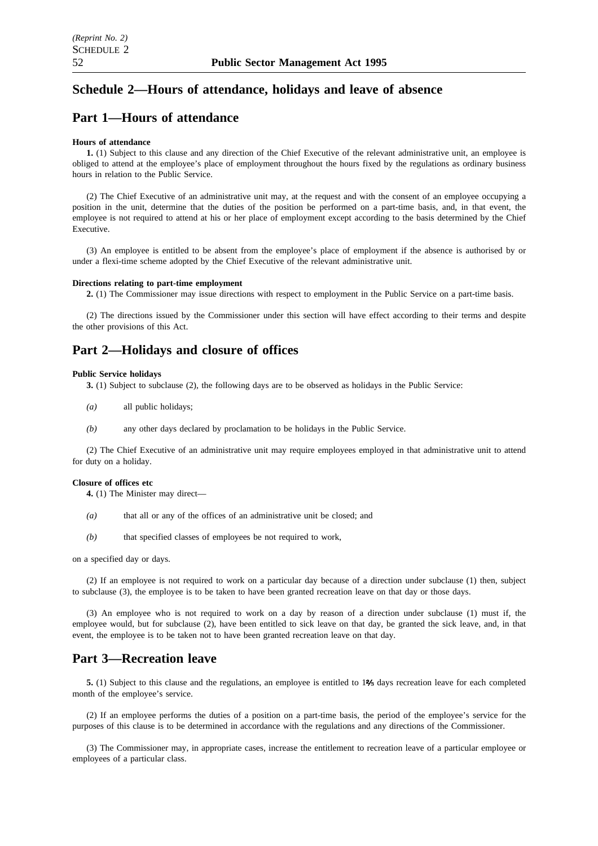# **Schedule 2—Hours of attendance, holidays and leave of absence**

# **Part 1—Hours of attendance**

#### **Hours of attendance**

**1.** (1) Subject to this clause and any direction of the Chief Executive of the relevant administrative unit, an employee is obliged to attend at the employee's place of employment throughout the hours fixed by the regulations as ordinary business hours in relation to the Public Service.

(2) The Chief Executive of an administrative unit may, at the request and with the consent of an employee occupying a position in the unit, determine that the duties of the position be performed on a part-time basis, and, in that event, the employee is not required to attend at his or her place of employment except according to the basis determined by the Chief Executive.

(3) An employee is entitled to be absent from the employee's place of employment if the absence is authorised by or under a flexi-time scheme adopted by the Chief Executive of the relevant administrative unit.

#### **Directions relating to part-time employment**

**2.** (1) The Commissioner may issue directions with respect to employment in the Public Service on a part-time basis.

(2) The directions issued by the Commissioner under this section will have effect according to their terms and despite the other provisions of this Act.

# **Part 2—Holidays and closure of offices**

#### **Public Service holidays**

**3.** (1) Subject to subclause (2), the following days are to be observed as holidays in the Public Service:

- *(a)* all public holidays;
- *(b)* any other days declared by proclamation to be holidays in the Public Service.

(2) The Chief Executive of an administrative unit may require employees employed in that administrative unit to attend for duty on a holiday.

#### **Closure of offices etc**

**4.** (1) The Minister may direct—

- *(a)* that all or any of the offices of an administrative unit be closed; and
- *(b)* that specified classes of employees be not required to work,

on a specified day or days.

(2) If an employee is not required to work on a particular day because of a direction under subclause (1) then, subject to subclause (3), the employee is to be taken to have been granted recreation leave on that day or those days.

(3) An employee who is not required to work on a day by reason of a direction under subclause (1) must if, the employee would, but for subclause (2), have been entitled to sick leave on that day, be granted the sick leave, and, in that event, the employee is to be taken not to have been granted recreation leave on that day.

# **Part 3—Recreation leave**

**5.** (1) Subject to this clause and the regulations, an employee is entitled to 1% days recreation leave for each completed month of the employee's service.

(2) If an employee performs the duties of a position on a part-time basis, the period of the employee's service for the purposes of this clause is to be determined in accordance with the regulations and any directions of the Commissioner.

(3) The Commissioner may, in appropriate cases, increase the entitlement to recreation leave of a particular employee or employees of a particular class.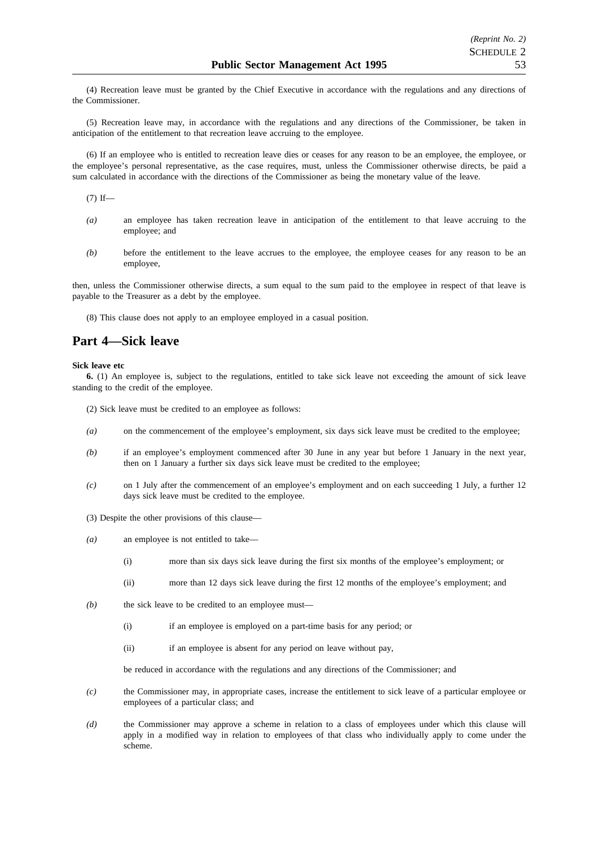(4) Recreation leave must be granted by the Chief Executive in accordance with the regulations and any directions of the Commissioner.

(5) Recreation leave may, in accordance with the regulations and any directions of the Commissioner, be taken in anticipation of the entitlement to that recreation leave accruing to the employee.

(6) If an employee who is entitled to recreation leave dies or ceases for any reason to be an employee, the employee, or the employee's personal representative, as the case requires, must, unless the Commissioner otherwise directs, be paid a sum calculated in accordance with the directions of the Commissioner as being the monetary value of the leave.

 $(7)$  If—

- *(a)* an employee has taken recreation leave in anticipation of the entitlement to that leave accruing to the employee; and
- *(b)* before the entitlement to the leave accrues to the employee, the employee ceases for any reason to be an employee,

then, unless the Commissioner otherwise directs, a sum equal to the sum paid to the employee in respect of that leave is payable to the Treasurer as a debt by the employee.

(8) This clause does not apply to an employee employed in a casual position.

# **Part 4—Sick leave**

#### **Sick leave etc**

**6.** (1) An employee is, subject to the regulations, entitled to take sick leave not exceeding the amount of sick leave standing to the credit of the employee.

- (2) Sick leave must be credited to an employee as follows:
- *(a)* on the commencement of the employee's employment, six days sick leave must be credited to the employee;
- *(b)* if an employee's employment commenced after 30 June in any year but before 1 January in the next year, then on 1 January a further six days sick leave must be credited to the employee;
- *(c)* on 1 July after the commencement of an employee's employment and on each succeeding 1 July, a further 12 days sick leave must be credited to the employee.
- (3) Despite the other provisions of this clause—
- *(a)* an employee is not entitled to take—
	- (i) more than six days sick leave during the first six months of the employee's employment; or
	- (ii) more than 12 days sick leave during the first 12 months of the employee's employment; and
- *(b)* the sick leave to be credited to an employee must—
	- (i) if an employee is employed on a part-time basis for any period; or
	- (ii) if an employee is absent for any period on leave without pay,

be reduced in accordance with the regulations and any directions of the Commissioner; and

- *(c)* the Commissioner may, in appropriate cases, increase the entitlement to sick leave of a particular employee or employees of a particular class; and
- *(d)* the Commissioner may approve a scheme in relation to a class of employees under which this clause will apply in a modified way in relation to employees of that class who individually apply to come under the scheme.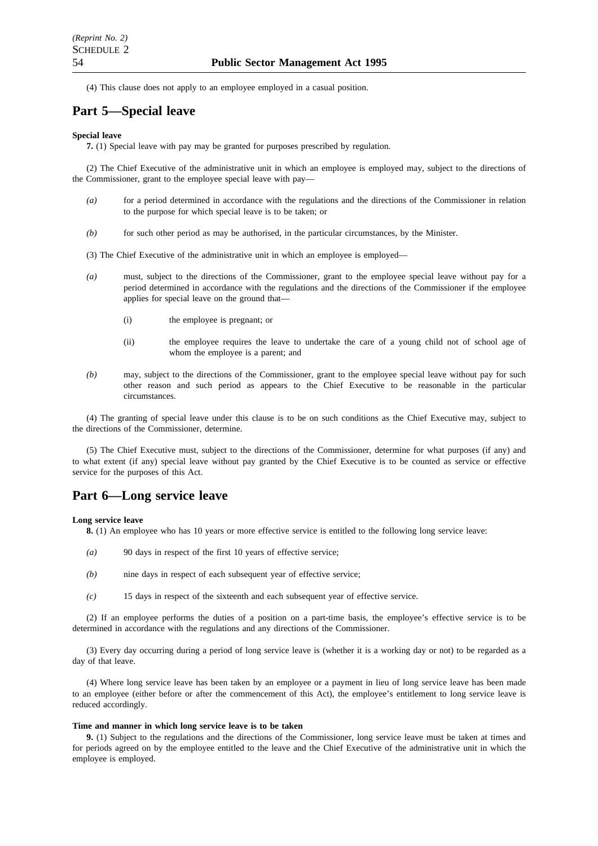(4) This clause does not apply to an employee employed in a casual position.

# **Part 5—Special leave**

#### **Special leave**

**7.** (1) Special leave with pay may be granted for purposes prescribed by regulation.

(2) The Chief Executive of the administrative unit in which an employee is employed may, subject to the directions of the Commissioner, grant to the employee special leave with pay—

- *(a)* for a period determined in accordance with the regulations and the directions of the Commissioner in relation to the purpose for which special leave is to be taken; or
- *(b)* for such other period as may be authorised, in the particular circumstances, by the Minister.
- (3) The Chief Executive of the administrative unit in which an employee is employed—
- *(a)* must, subject to the directions of the Commissioner, grant to the employee special leave without pay for a period determined in accordance with the regulations and the directions of the Commissioner if the employee applies for special leave on the ground that—
	- (i) the employee is pregnant; or
	- (ii) the employee requires the leave to undertake the care of a young child not of school age of whom the employee is a parent; and
- *(b)* may, subject to the directions of the Commissioner, grant to the employee special leave without pay for such other reason and such period as appears to the Chief Executive to be reasonable in the particular circumstances.

(4) The granting of special leave under this clause is to be on such conditions as the Chief Executive may, subject to the directions of the Commissioner, determine.

(5) The Chief Executive must, subject to the directions of the Commissioner, determine for what purposes (if any) and to what extent (if any) special leave without pay granted by the Chief Executive is to be counted as service or effective service for the purposes of this Act.

## **Part 6—Long service leave**

#### **Long service leave**

**8.** (1) An employee who has 10 years or more effective service is entitled to the following long service leave:

- *(a)* 90 days in respect of the first 10 years of effective service;
- *(b)* nine days in respect of each subsequent year of effective service;
- *(c)* 15 days in respect of the sixteenth and each subsequent year of effective service.

(2) If an employee performs the duties of a position on a part-time basis, the employee's effective service is to be determined in accordance with the regulations and any directions of the Commissioner.

(3) Every day occurring during a period of long service leave is (whether it is a working day or not) to be regarded as a day of that leave.

(4) Where long service leave has been taken by an employee or a payment in lieu of long service leave has been made to an employee (either before or after the commencement of this Act), the employee's entitlement to long service leave is reduced accordingly.

#### **Time and manner in which long service leave is to be taken**

**9.** (1) Subject to the regulations and the directions of the Commissioner, long service leave must be taken at times and for periods agreed on by the employee entitled to the leave and the Chief Executive of the administrative unit in which the employee is employed.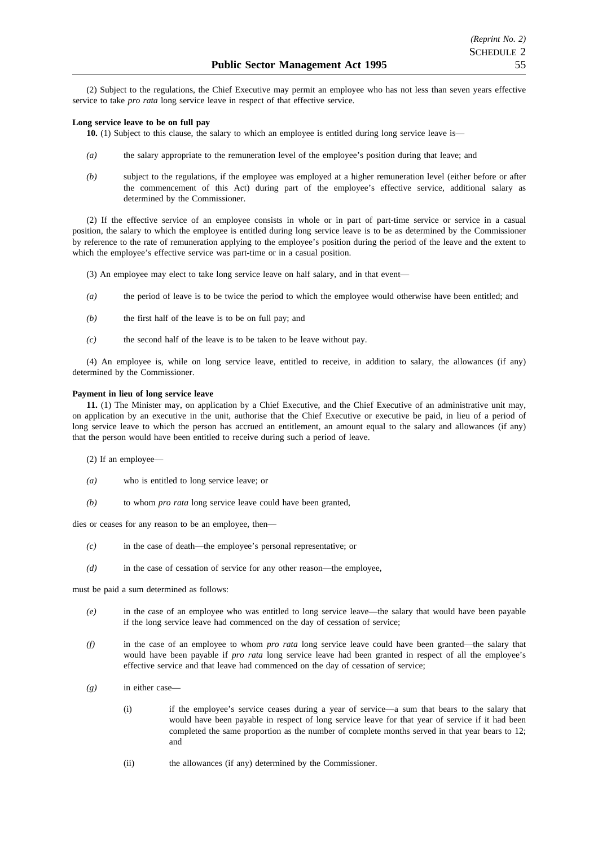(2) Subject to the regulations, the Chief Executive may permit an employee who has not less than seven years effective service to take *pro rata* long service leave in respect of that effective service.

#### **Long service leave to be on full pay**

- **10.** (1) Subject to this clause, the salary to which an employee is entitled during long service leave is—
- *(a)* the salary appropriate to the remuneration level of the employee's position during that leave; and
- *(b)* subject to the regulations, if the employee was employed at a higher remuneration level (either before or after the commencement of this Act) during part of the employee's effective service, additional salary as determined by the Commissioner.

(2) If the effective service of an employee consists in whole or in part of part-time service or service in a casual position, the salary to which the employee is entitled during long service leave is to be as determined by the Commissioner by reference to the rate of remuneration applying to the employee's position during the period of the leave and the extent to which the employee's effective service was part-time or in a casual position.

- (3) An employee may elect to take long service leave on half salary, and in that event—
- *(a)* the period of leave is to be twice the period to which the employee would otherwise have been entitled; and
- *(b)* the first half of the leave is to be on full pay; and
- *(c)* the second half of the leave is to be taken to be leave without pay.

(4) An employee is, while on long service leave, entitled to receive, in addition to salary, the allowances (if any) determined by the Commissioner.

#### **Payment in lieu of long service leave**

**11.** (1) The Minister may, on application by a Chief Executive, and the Chief Executive of an administrative unit may, on application by an executive in the unit, authorise that the Chief Executive or executive be paid, in lieu of a period of long service leave to which the person has accrued an entitlement, an amount equal to the salary and allowances (if any) that the person would have been entitled to receive during such a period of leave.

- (2) If an employee—
- *(a)* who is entitled to long service leave; or
- *(b)* to whom *pro rata* long service leave could have been granted,

dies or ceases for any reason to be an employee, then—

- *(c)* in the case of death—the employee's personal representative; or
- *(d)* in the case of cessation of service for any other reason—the employee,

must be paid a sum determined as follows:

- *(e)* in the case of an employee who was entitled to long service leave—the salary that would have been payable if the long service leave had commenced on the day of cessation of service;
- *(f)* in the case of an employee to whom *pro rata* long service leave could have been granted—the salary that would have been payable if *pro rata* long service leave had been granted in respect of all the employee's effective service and that leave had commenced on the day of cessation of service;
- *(g)* in either case—
	- (i) if the employee's service ceases during a year of service—a sum that bears to the salary that would have been payable in respect of long service leave for that year of service if it had been completed the same proportion as the number of complete months served in that year bears to 12; and
	- (ii) the allowances (if any) determined by the Commissioner.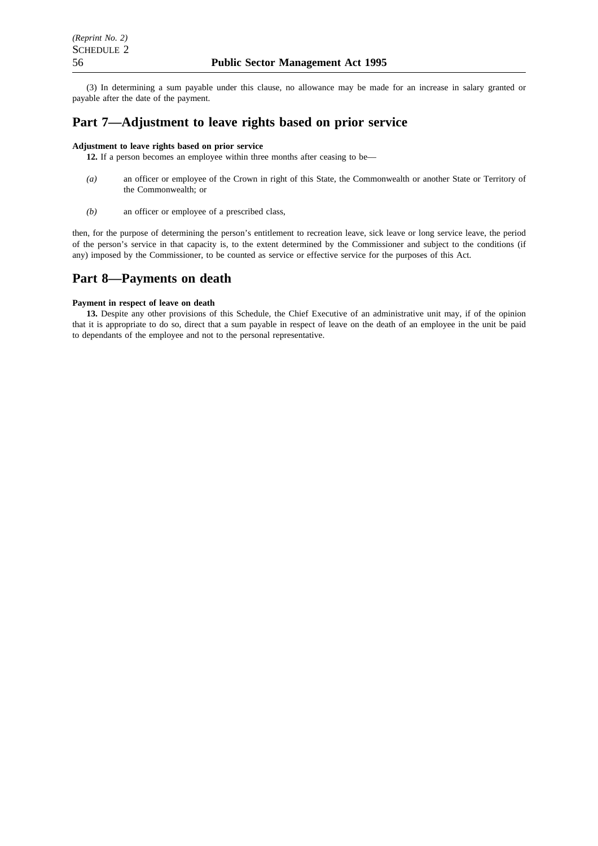(3) In determining a sum payable under this clause, no allowance may be made for an increase in salary granted or payable after the date of the payment.

# **Part 7—Adjustment to leave rights based on prior service**

#### **Adjustment to leave rights based on prior service**

**12.** If a person becomes an employee within three months after ceasing to be—

- *(a)* an officer or employee of the Crown in right of this State, the Commonwealth or another State or Territory of the Commonwealth; or
- *(b)* an officer or employee of a prescribed class,

then, for the purpose of determining the person's entitlement to recreation leave, sick leave or long service leave, the period of the person's service in that capacity is, to the extent determined by the Commissioner and subject to the conditions (if any) imposed by the Commissioner, to be counted as service or effective service for the purposes of this Act.

# **Part 8—Payments on death**

#### **Payment in respect of leave on death**

**13.** Despite any other provisions of this Schedule, the Chief Executive of an administrative unit may, if of the opinion that it is appropriate to do so, direct that a sum payable in respect of leave on the death of an employee in the unit be paid to dependants of the employee and not to the personal representative.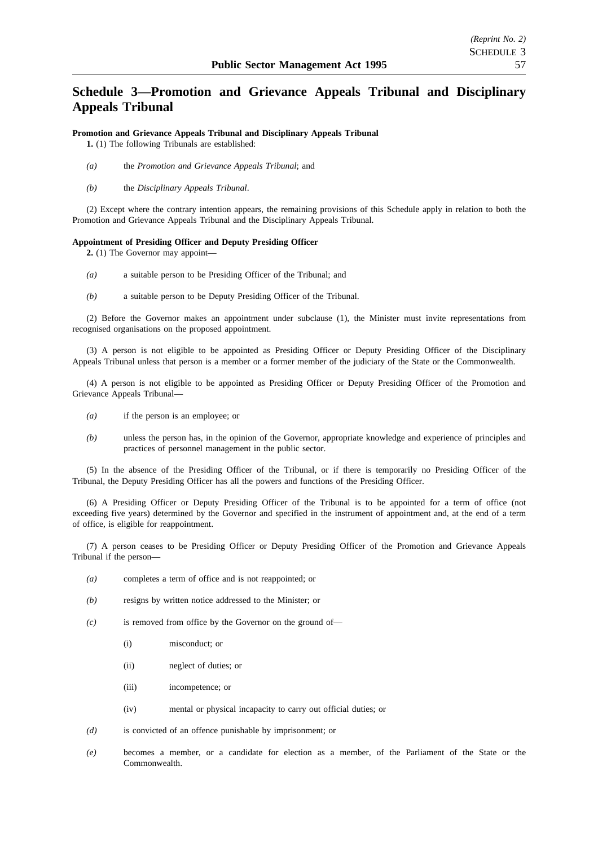# **Schedule 3—Promotion and Grievance Appeals Tribunal and Disciplinary Appeals Tribunal**

## **Promotion and Grievance Appeals Tribunal and Disciplinary Appeals Tribunal**

**1.** (1) The following Tribunals are established:

- *(a)* the *Promotion and Grievance Appeals Tribunal*; and
- *(b)* the *Disciplinary Appeals Tribunal*.

(2) Except where the contrary intention appears, the remaining provisions of this Schedule apply in relation to both the Promotion and Grievance Appeals Tribunal and the Disciplinary Appeals Tribunal.

#### **Appointment of Presiding Officer and Deputy Presiding Officer**

**2.** (1) The Governor may appoint—

- *(a)* a suitable person to be Presiding Officer of the Tribunal; and
- *(b)* a suitable person to be Deputy Presiding Officer of the Tribunal.

(2) Before the Governor makes an appointment under subclause (1), the Minister must invite representations from recognised organisations on the proposed appointment.

(3) A person is not eligible to be appointed as Presiding Officer or Deputy Presiding Officer of the Disciplinary Appeals Tribunal unless that person is a member or a former member of the judiciary of the State or the Commonwealth.

(4) A person is not eligible to be appointed as Presiding Officer or Deputy Presiding Officer of the Promotion and Grievance Appeals Tribunal—

- *(a)* if the person is an employee; or
- *(b)* unless the person has, in the opinion of the Governor, appropriate knowledge and experience of principles and practices of personnel management in the public sector.

(5) In the absence of the Presiding Officer of the Tribunal, or if there is temporarily no Presiding Officer of the Tribunal, the Deputy Presiding Officer has all the powers and functions of the Presiding Officer.

(6) A Presiding Officer or Deputy Presiding Officer of the Tribunal is to be appointed for a term of office (not exceeding five years) determined by the Governor and specified in the instrument of appointment and, at the end of a term of office, is eligible for reappointment.

(7) A person ceases to be Presiding Officer or Deputy Presiding Officer of the Promotion and Grievance Appeals Tribunal if the person—

- *(a)* completes a term of office and is not reappointed; or
- *(b)* resigns by written notice addressed to the Minister; or
- *(c)* is removed from office by the Governor on the ground of—
	- (i) misconduct; or
	- (ii) neglect of duties; or
	- (iii) incompetence; or
	- (iv) mental or physical incapacity to carry out official duties; or
- *(d)* is convicted of an offence punishable by imprisonment; or
- *(e)* becomes a member, or a candidate for election as a member, of the Parliament of the State or the Commonwealth.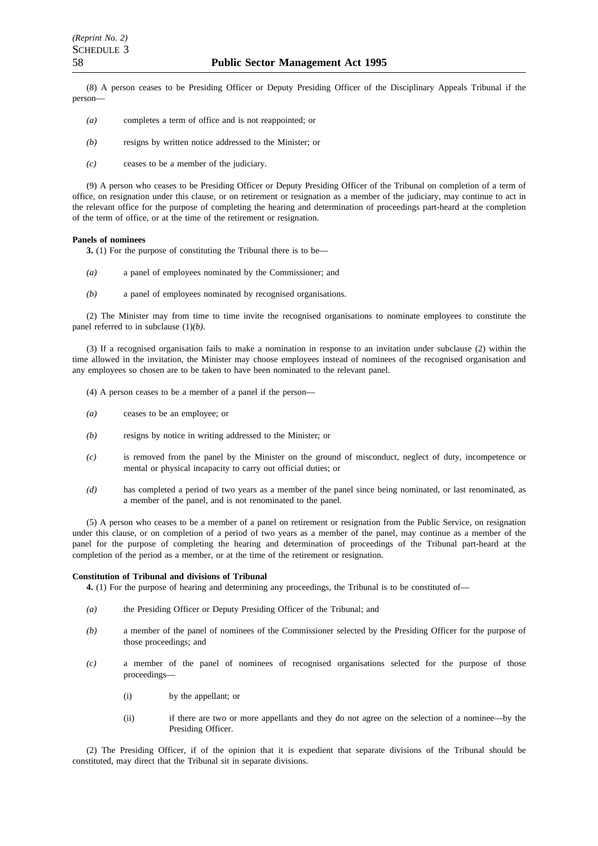(8) A person ceases to be Presiding Officer or Deputy Presiding Officer of the Disciplinary Appeals Tribunal if the person—

- *(a)* completes a term of office and is not reappointed; or
- *(b)* resigns by written notice addressed to the Minister; or
- *(c)* ceases to be a member of the judiciary.

(9) A person who ceases to be Presiding Officer or Deputy Presiding Officer of the Tribunal on completion of a term of office, on resignation under this clause, or on retirement or resignation as a member of the judiciary, may continue to act in the relevant office for the purpose of completing the hearing and determination of proceedings part-heard at the completion of the term of office, or at the time of the retirement or resignation.

#### **Panels of nominees**

**3.** (1) For the purpose of constituting the Tribunal there is to be—

- *(a)* a panel of employees nominated by the Commissioner; and
- *(b)* a panel of employees nominated by recognised organisations.

(2) The Minister may from time to time invite the recognised organisations to nominate employees to constitute the panel referred to in subclause (1)*(b)*.

(3) If a recognised organisation fails to make a nomination in response to an invitation under subclause (2) within the time allowed in the invitation, the Minister may choose employees instead of nominees of the recognised organisation and any employees so chosen are to be taken to have been nominated to the relevant panel.

- (4) A person ceases to be a member of a panel if the person—
- *(a)* ceases to be an employee; or
- *(b)* resigns by notice in writing addressed to the Minister; or
- *(c)* is removed from the panel by the Minister on the ground of misconduct, neglect of duty, incompetence or mental or physical incapacity to carry out official duties; or
- *(d)* has completed a period of two years as a member of the panel since being nominated, or last renominated, as a member of the panel, and is not renominated to the panel.

(5) A person who ceases to be a member of a panel on retirement or resignation from the Public Service, on resignation under this clause, or on completion of a period of two years as a member of the panel, may continue as a member of the panel for the purpose of completing the hearing and determination of proceedings of the Tribunal part-heard at the completion of the period as a member, or at the time of the retirement or resignation.

#### **Constitution of Tribunal and divisions of Tribunal**

**4.** (1) For the purpose of hearing and determining any proceedings, the Tribunal is to be constituted of—

- *(a)* the Presiding Officer or Deputy Presiding Officer of the Tribunal; and
- *(b)* a member of the panel of nominees of the Commissioner selected by the Presiding Officer for the purpose of those proceedings; and
- *(c)* a member of the panel of nominees of recognised organisations selected for the purpose of those proceedings—
	- (i) by the appellant; or
	- (ii) if there are two or more appellants and they do not agree on the selection of a nominee—by the Presiding Officer.

(2) The Presiding Officer, if of the opinion that it is expedient that separate divisions of the Tribunal should be constituted, may direct that the Tribunal sit in separate divisions.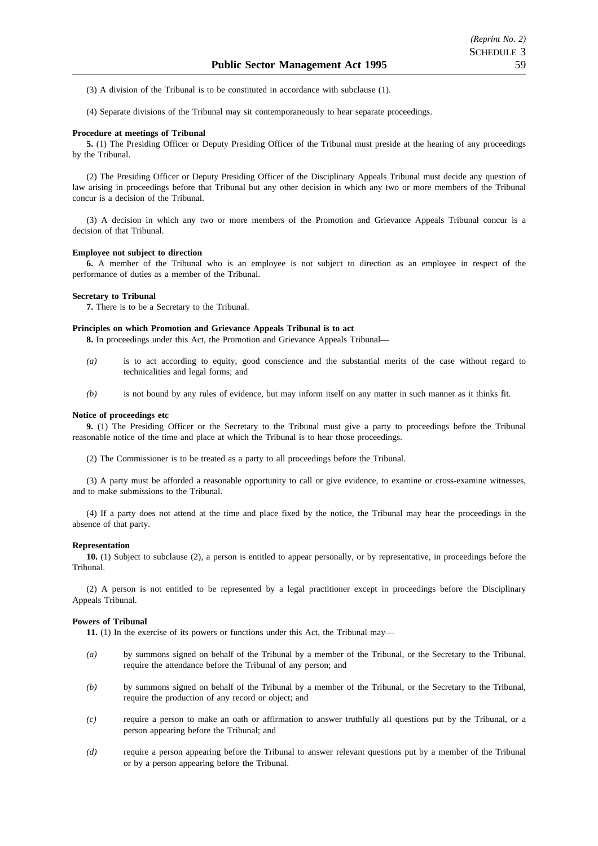- (3) A division of the Tribunal is to be constituted in accordance with subclause (1).
- (4) Separate divisions of the Tribunal may sit contemporaneously to hear separate proceedings.

#### **Procedure at meetings of Tribunal**

**5.** (1) The Presiding Officer or Deputy Presiding Officer of the Tribunal must preside at the hearing of any proceedings by the Tribunal.

(2) The Presiding Officer or Deputy Presiding Officer of the Disciplinary Appeals Tribunal must decide any question of law arising in proceedings before that Tribunal but any other decision in which any two or more members of the Tribunal concur is a decision of the Tribunal.

(3) A decision in which any two or more members of the Promotion and Grievance Appeals Tribunal concur is a decision of that Tribunal.

#### **Employee not subject to direction**

**6.** A member of the Tribunal who is an employee is not subject to direction as an employee in respect of the performance of duties as a member of the Tribunal.

#### **Secretary to Tribunal**

**7.** There is to be a Secretary to the Tribunal.

#### **Principles on which Promotion and Grievance Appeals Tribunal is to act**

**8.** In proceedings under this Act, the Promotion and Grievance Appeals Tribunal—

- *(a)* is to act according to equity, good conscience and the substantial merits of the case without regard to technicalities and legal forms; and
- *(b)* is not bound by any rules of evidence, but may inform itself on any matter in such manner as it thinks fit.

#### **Notice of proceedings etc**

**9.** (1) The Presiding Officer or the Secretary to the Tribunal must give a party to proceedings before the Tribunal reasonable notice of the time and place at which the Tribunal is to hear those proceedings.

(2) The Commissioner is to be treated as a party to all proceedings before the Tribunal.

(3) A party must be afforded a reasonable opportunity to call or give evidence, to examine or cross-examine witnesses, and to make submissions to the Tribunal.

(4) If a party does not attend at the time and place fixed by the notice, the Tribunal may hear the proceedings in the absence of that party.

#### **Representation**

**10.** (1) Subject to subclause (2), a person is entitled to appear personally, or by representative, in proceedings before the Tribunal.

(2) A person is not entitled to be represented by a legal practitioner except in proceedings before the Disciplinary Appeals Tribunal.

#### **Powers of Tribunal**

**11.** (1) In the exercise of its powers or functions under this Act, the Tribunal may—

- *(a)* by summons signed on behalf of the Tribunal by a member of the Tribunal, or the Secretary to the Tribunal, require the attendance before the Tribunal of any person; and
- *(b)* by summons signed on behalf of the Tribunal by a member of the Tribunal, or the Secretary to the Tribunal, require the production of any record or object; and
- *(c)* require a person to make an oath or affirmation to answer truthfully all questions put by the Tribunal, or a person appearing before the Tribunal; and
- *(d)* require a person appearing before the Tribunal to answer relevant questions put by a member of the Tribunal or by a person appearing before the Tribunal.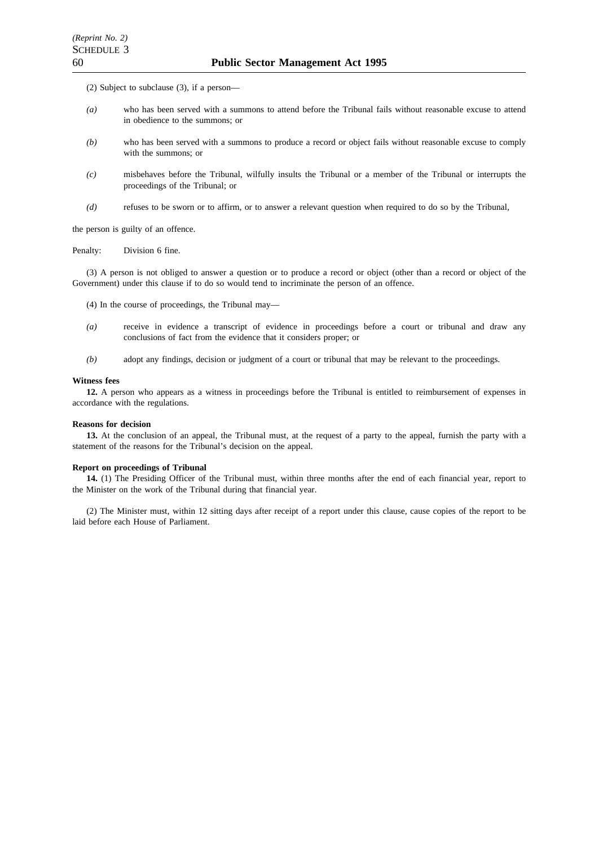(2) Subject to subclause (3), if a person—

- *(a)* who has been served with a summons to attend before the Tribunal fails without reasonable excuse to attend in obedience to the summons; or
- *(b)* who has been served with a summons to produce a record or object fails without reasonable excuse to comply with the summons; or
- *(c)* misbehaves before the Tribunal, wilfully insults the Tribunal or a member of the Tribunal or interrupts the proceedings of the Tribunal; or
- *(d)* refuses to be sworn or to affirm, or to answer a relevant question when required to do so by the Tribunal,

the person is guilty of an offence.

Penalty: Division 6 fine.

(3) A person is not obliged to answer a question or to produce a record or object (other than a record or object of the Government) under this clause if to do so would tend to incriminate the person of an offence.

- (4) In the course of proceedings, the Tribunal may—
- *(a)* receive in evidence a transcript of evidence in proceedings before a court or tribunal and draw any conclusions of fact from the evidence that it considers proper; or
- *(b)* adopt any findings, decision or judgment of a court or tribunal that may be relevant to the proceedings.

#### **Witness fees**

**12.** A person who appears as a witness in proceedings before the Tribunal is entitled to reimbursement of expenses in accordance with the regulations.

#### **Reasons for decision**

**13.** At the conclusion of an appeal, the Tribunal must, at the request of a party to the appeal, furnish the party with a statement of the reasons for the Tribunal's decision on the appeal.

#### **Report on proceedings of Tribunal**

**14.** (1) The Presiding Officer of the Tribunal must, within three months after the end of each financial year, report to the Minister on the work of the Tribunal during that financial year.

(2) The Minister must, within 12 sitting days after receipt of a report under this clause, cause copies of the report to be laid before each House of Parliament.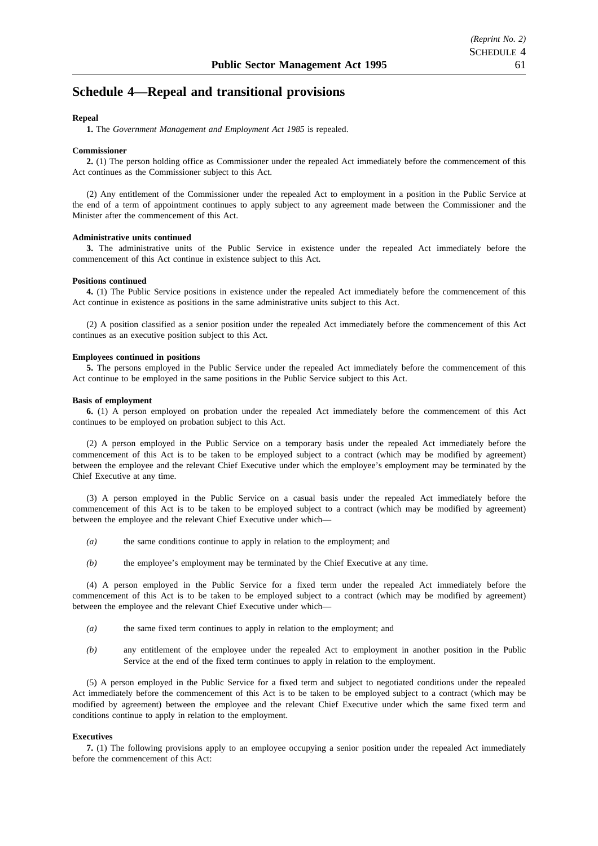# **Schedule 4—Repeal and transitional provisions**

#### **Repeal**

**1.** The *Government Management and Employment Act 1985* is repealed.

#### **Commissioner**

**2.** (1) The person holding office as Commissioner under the repealed Act immediately before the commencement of this Act continues as the Commissioner subject to this Act.

(2) Any entitlement of the Commissioner under the repealed Act to employment in a position in the Public Service at the end of a term of appointment continues to apply subject to any agreement made between the Commissioner and the Minister after the commencement of this Act.

#### **Administrative units continued**

**3.** The administrative units of the Public Service in existence under the repealed Act immediately before the commencement of this Act continue in existence subject to this Act.

#### **Positions continued**

**4.** (1) The Public Service positions in existence under the repealed Act immediately before the commencement of this Act continue in existence as positions in the same administrative units subject to this Act.

(2) A position classified as a senior position under the repealed Act immediately before the commencement of this Act continues as an executive position subject to this Act.

#### **Employees continued in positions**

**5.** The persons employed in the Public Service under the repealed Act immediately before the commencement of this Act continue to be employed in the same positions in the Public Service subject to this Act.

#### **Basis of employment**

**6.** (1) A person employed on probation under the repealed Act immediately before the commencement of this Act continues to be employed on probation subject to this Act.

(2) A person employed in the Public Service on a temporary basis under the repealed Act immediately before the commencement of this Act is to be taken to be employed subject to a contract (which may be modified by agreement) between the employee and the relevant Chief Executive under which the employee's employment may be terminated by the Chief Executive at any time.

(3) A person employed in the Public Service on a casual basis under the repealed Act immediately before the commencement of this Act is to be taken to be employed subject to a contract (which may be modified by agreement) between the employee and the relevant Chief Executive under which—

- *(a)* the same conditions continue to apply in relation to the employment; and
- *(b)* the employee's employment may be terminated by the Chief Executive at any time.

(4) A person employed in the Public Service for a fixed term under the repealed Act immediately before the commencement of this Act is to be taken to be employed subject to a contract (which may be modified by agreement) between the employee and the relevant Chief Executive under which—

- *(a)* the same fixed term continues to apply in relation to the employment; and
- *(b)* any entitlement of the employee under the repealed Act to employment in another position in the Public Service at the end of the fixed term continues to apply in relation to the employment.

(5) A person employed in the Public Service for a fixed term and subject to negotiated conditions under the repealed Act immediately before the commencement of this Act is to be taken to be employed subject to a contract (which may be modified by agreement) between the employee and the relevant Chief Executive under which the same fixed term and conditions continue to apply in relation to the employment.

#### **Executives**

**7.** (1) The following provisions apply to an employee occupying a senior position under the repealed Act immediately before the commencement of this Act: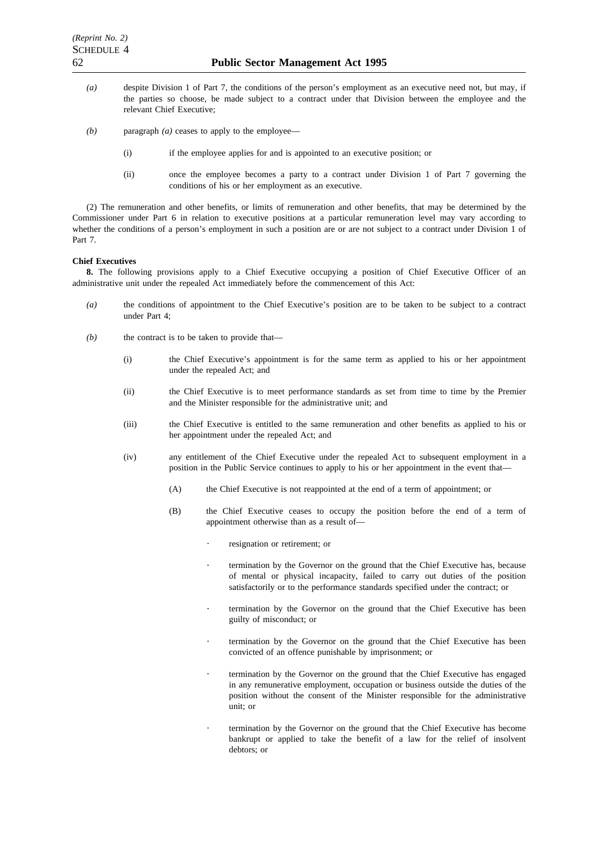- *(a)* despite Division 1 of Part 7, the conditions of the person's employment as an executive need not, but may, if the parties so choose, be made subject to a contract under that Division between the employee and the relevant Chief Executive;
- *(b)* paragraph *(a)* ceases to apply to the employee—
	- (i) if the employee applies for and is appointed to an executive position; or
	- (ii) once the employee becomes a party to a contract under Division 1 of Part 7 governing the conditions of his or her employment as an executive.

(2) The remuneration and other benefits, or limits of remuneration and other benefits, that may be determined by the Commissioner under Part 6 in relation to executive positions at a particular remuneration level may vary according to whether the conditions of a person's employment in such a position are or are not subject to a contract under Division 1 of Part 7.

#### **Chief Executives**

**8.** The following provisions apply to a Chief Executive occupying a position of Chief Executive Officer of an administrative unit under the repealed Act immediately before the commencement of this Act:

- *(a)* the conditions of appointment to the Chief Executive's position are to be taken to be subject to a contract under Part 4;
- *(b)* the contract is to be taken to provide that—
	- (i) the Chief Executive's appointment is for the same term as applied to his or her appointment under the repealed Act; and
	- (ii) the Chief Executive is to meet performance standards as set from time to time by the Premier and the Minister responsible for the administrative unit; and
	- (iii) the Chief Executive is entitled to the same remuneration and other benefits as applied to his or her appointment under the repealed Act; and
	- (iv) any entitlement of the Chief Executive under the repealed Act to subsequent employment in a position in the Public Service continues to apply to his or her appointment in the event that—
		- (A) the Chief Executive is not reappointed at the end of a term of appointment; or
		- (B) the Chief Executive ceases to occupy the position before the end of a term of appointment otherwise than as a result of
			- resignation or retirement; or
			- termination by the Governor on the ground that the Chief Executive has, because of mental or physical incapacity, failed to carry out duties of the position satisfactorily or to the performance standards specified under the contract; or
			- termination by the Governor on the ground that the Chief Executive has been guilty of misconduct; or
			- termination by the Governor on the ground that the Chief Executive has been convicted of an offence punishable by imprisonment; or
			- termination by the Governor on the ground that the Chief Executive has engaged in any remunerative employment, occupation or business outside the duties of the position without the consent of the Minister responsible for the administrative unit; or
			- termination by the Governor on the ground that the Chief Executive has become bankrupt or applied to take the benefit of a law for the relief of insolvent debtors; or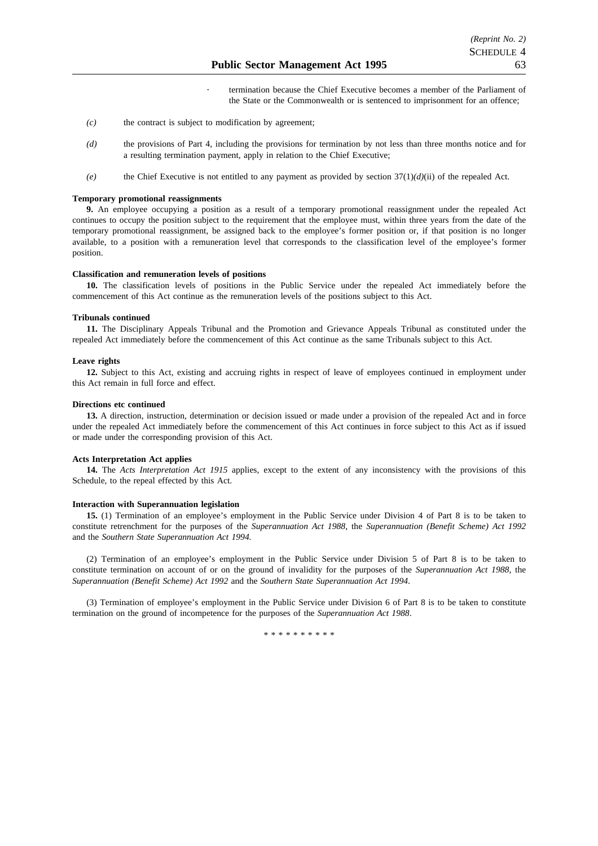termination because the Chief Executive becomes a member of the Parliament of the State or the Commonwealth or is sentenced to imprisonment for an offence;

- *(c)* the contract is subject to modification by agreement;
- *(d)* the provisions of Part 4, including the provisions for termination by not less than three months notice and for a resulting termination payment, apply in relation to the Chief Executive;
- *(e)* the Chief Executive is not entitled to any payment as provided by section 37(1)*(d)*(ii) of the repealed Act.

#### **Temporary promotional reassignments**

**9.** An employee occupying a position as a result of a temporary promotional reassignment under the repealed Act continues to occupy the position subject to the requirement that the employee must, within three years from the date of the temporary promotional reassignment, be assigned back to the employee's former position or, if that position is no longer available, to a position with a remuneration level that corresponds to the classification level of the employee's former position.

#### **Classification and remuneration levels of positions**

**10.** The classification levels of positions in the Public Service under the repealed Act immediately before the commencement of this Act continue as the remuneration levels of the positions subject to this Act.

#### **Tribunals continued**

**11.** The Disciplinary Appeals Tribunal and the Promotion and Grievance Appeals Tribunal as constituted under the repealed Act immediately before the commencement of this Act continue as the same Tribunals subject to this Act.

#### **Leave rights**

**12.** Subject to this Act, existing and accruing rights in respect of leave of employees continued in employment under this Act remain in full force and effect.

#### **Directions etc continued**

**13.** A direction, instruction, determination or decision issued or made under a provision of the repealed Act and in force under the repealed Act immediately before the commencement of this Act continues in force subject to this Act as if issued or made under the corresponding provision of this Act.

#### **Acts Interpretation Act applies**

**14.** The *Acts Interpretation Act 1915* applies, except to the extent of any inconsistency with the provisions of this Schedule, to the repeal effected by this Act.

#### **Interaction with Superannuation legislation**

**15.** (1) Termination of an employee's employment in the Public Service under Division 4 of Part 8 is to be taken to constitute retrenchment for the purposes of the *Superannuation Act 1988*, the *Superannuation (Benefit Scheme) Act 1992* and the *Southern State Superannuation Act 1994.*

(2) Termination of an employee's employment in the Public Service under Division 5 of Part 8 is to be taken to constitute termination on account of or on the ground of invalidity for the purposes of the *Superannuation Act 1988*, the *Superannuation (Benefit Scheme) Act 1992* and the *Southern State Superannuation Act 1994*.

(3) Termination of employee's employment in the Public Service under Division 6 of Part 8 is to be taken to constitute termination on the ground of incompetence for the purposes of the *Superannuation Act 1988*.

\*\*\*\*\*\*\*\*\*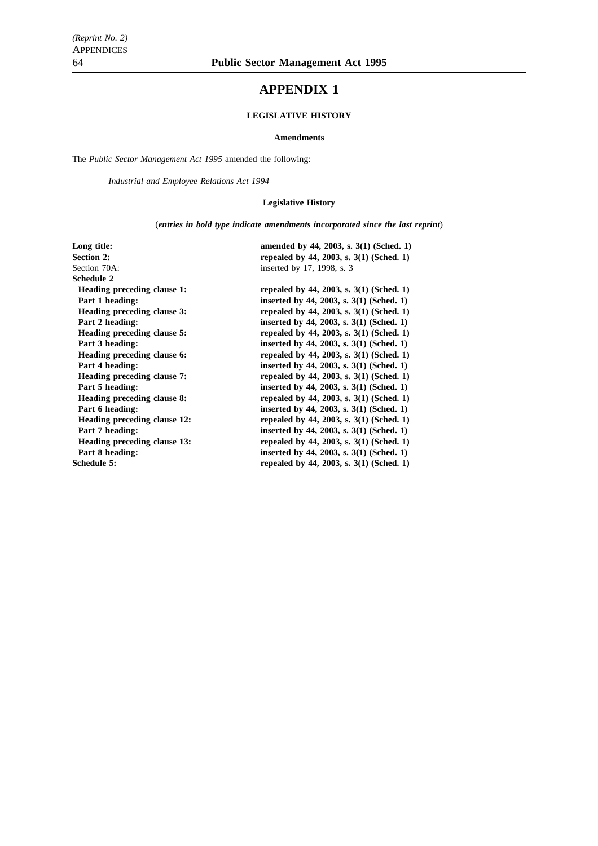# **APPENDIX 1**

#### **LEGISLATIVE HISTORY**

#### **Amendments**

The *Public Sector Management Act 1995* amended the following:

*Industrial and Employee Relations Act 1994*

#### **Legislative History**

(*entries in bold type indicate amendments incorporated since the last reprint*)

| Long title:                         | amended by 44, 2003, s. 3(1) (Sched. 1)    |
|-------------------------------------|--------------------------------------------|
| <b>Section 2:</b>                   | repealed by 44, 2003, s. $3(1)$ (Sched. 1) |
| Section 70A:                        | inserted by 17, 1998, s. 3                 |
| Schedule 2                          |                                            |
| Heading preceding clause 1:         | repealed by 44, 2003, s. $3(1)$ (Sched. 1) |
| Part 1 heading:                     | inserted by 44, 2003, s. $3(1)$ (Sched. 1) |
| Heading preceding clause 3:         | repealed by 44, 2003, s. $3(1)$ (Sched. 1) |
| Part 2 heading:                     | inserted by 44, 2003, s. $3(1)$ (Sched. 1) |
| Heading preceding clause 5:         | repealed by 44, 2003, s. $3(1)$ (Sched. 1) |
| Part 3 heading:                     | inserted by 44, 2003, s. $3(1)$ (Sched. 1) |
| Heading preceding clause 6:         | repealed by 44, 2003, s. $3(1)$ (Sched. 1) |
| Part 4 heading:                     | inserted by 44, 2003, s. $3(1)$ (Sched. 1) |
| Heading preceding clause 7:         | repealed by 44, 2003, s. $3(1)$ (Sched. 1) |
| Part 5 heading:                     | inserted by 44, 2003, s. 3(1) (Sched. 1)   |
| Heading preceding clause 8:         | repealed by 44, 2003, s. $3(1)$ (Sched. 1) |
| Part 6 heading:                     | inserted by 44, 2003, s. $3(1)$ (Sched. 1) |
| Heading preceding clause 12:        | repealed by 44, 2003, s. $3(1)$ (Sched. 1) |
| Part 7 heading:                     | inserted by 44, 2003, s. 3(1) (Sched. 1)   |
| <b>Heading preceding clause 13:</b> | repealed by 44, 2003, s. $3(1)$ (Sched. 1) |
| Part 8 heading:                     | inserted by 44, 2003, s. $3(1)$ (Sched. 1) |
| Schedule 5:                         | repealed by 44, 2003, s. 3(1) (Sched. 1)   |
|                                     |                                            |